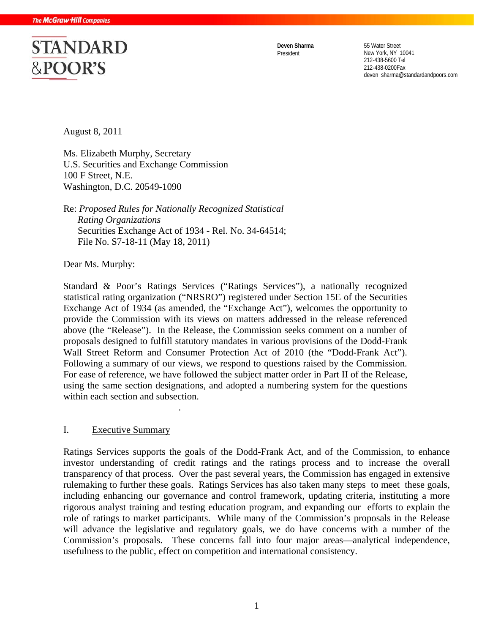# **STANDARD** &POOR'S

**Deven Sharma** 55 Water Street President New York, NY 10041 212-438-5600 Tel 212-438-0200Fax deven\_sharma@standardandpoors.com

August 8, 2011

Ms. Elizabeth Murphy, Secretary U.S. Securities and Exchange Commission 100 F Street, N.E. Washington, D.C. 20549-1090

Re: *Proposed Rules for Nationally Recognized Statistical Rating Organizations*  Securities Exchange Act of 1934 - Rel. No. 34-64514; File No. S7-18-11 (May 18, 2011)

.

Dear Ms. Murphy:

Standard & Poor's Ratings Services ("Ratings Services"), a nationally recognized statistical rating organization ("NRSRO") registered under Section 15E of the Securities Exchange Act of 1934 (as amended, the "Exchange Act"), welcomes the opportunity to provide the Commission with its views on matters addressed in the release referenced above (the "Release"). In the Release, the Commission seeks comment on a number of proposals designed to fulfill statutory mandates in various provisions of the Dodd-Frank Wall Street Reform and Consumer Protection Act of 2010 (the "Dodd-Frank Act"). Following a summary of our views, we respond to questions raised by the Commission. For ease of reference, we have followed the subject matter order in Part II of the Release, using the same section designations, and adopted a numbering system for the questions within each section and subsection.

#### I. Executive Summary

Ratings Services supports the goals of the Dodd-Frank Act, and of the Commission, to enhance investor understanding of credit ratings and the ratings process and to increase the overall transparency of that process. Over the past several years, the Commission has engaged in extensive rulemaking to further these goals. Ratings Services has also taken many steps to meet these goals, including enhancing our governance and control framework, updating criteria, instituting a more rigorous analyst training and testing education program, and expanding our efforts to explain the role of ratings to market participants. While many of the Commission's proposals in the Release will advance the legislative and regulatory goals, we do have concerns with a number of the Commission's proposals. These concerns fall into four major areas—analytical independence, usefulness to the public, effect on competition and international consistency.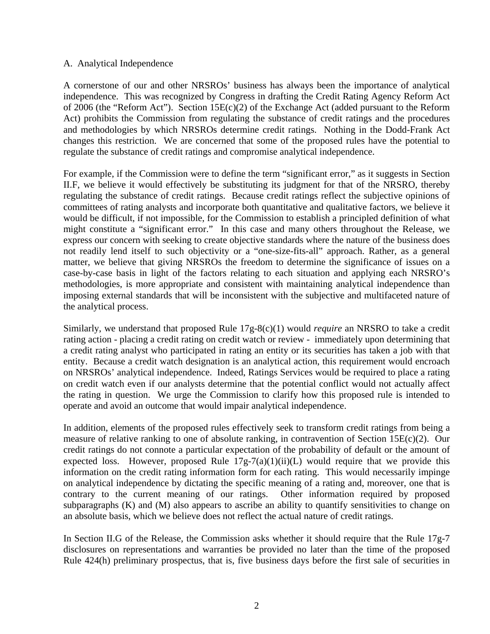#### A. Analytical Independence

A cornerstone of our and other NRSROs' business has always been the importance of analytical independence. This was recognized by Congress in drafting the Credit Rating Agency Reform Act of 2006 (the "Reform Act"). Section 15E(c)(2) of the Exchange Act (added pursuant to the Reform Act) prohibits the Commission from regulating the substance of credit ratings and the procedures and methodologies by which NRSROs determine credit ratings. Nothing in the Dodd-Frank Act changes this restriction. We are concerned that some of the proposed rules have the potential to regulate the substance of credit ratings and compromise analytical independence.

For example, if the Commission were to define the term "significant error," as it suggests in Section II.F, we believe it would effectively be substituting its judgment for that of the NRSRO, thereby regulating the substance of credit ratings. Because credit ratings reflect the subjective opinions of committees of rating analysts and incorporate both quantitative and qualitative factors, we believe it would be difficult, if not impossible, for the Commission to establish a principled definition of what might constitute a "significant error." In this case and many others throughout the Release, we express our concern with seeking to create objective standards where the nature of the business does not readily lend itself to such objectivity or a "one-size-fits-all" approach. Rather, as a general matter, we believe that giving NRSROs the freedom to determine the significance of issues on a case-by-case basis in light of the factors relating to each situation and applying each NRSRO's methodologies, is more appropriate and consistent with maintaining analytical independence than imposing external standards that will be inconsistent with the subjective and multifaceted nature of the analytical process.

Similarly, we understand that proposed Rule 17g-8(c)(1) would *require* an NRSRO to take a credit rating action - placing a credit rating on credit watch or review - immediately upon determining that a credit rating analyst who participated in rating an entity or its securities has taken a job with that entity. Because a credit watch designation is an analytical action, this requirement would encroach on NRSROs' analytical independence. Indeed, Ratings Services would be required to place a rating on credit watch even if our analysts determine that the potential conflict would not actually affect the rating in question. We urge the Commission to clarify how this proposed rule is intended to operate and avoid an outcome that would impair analytical independence.

In addition, elements of the proposed rules effectively seek to transform credit ratings from being a measure of relative ranking to one of absolute ranking, in contravention of Section 15E(c)(2). Our credit ratings do not connote a particular expectation of the probability of default or the amount of expected loss. However, proposed Rule  $17g-7(a)(1)(ii)(L)$  would require that we provide this information on the credit rating information form for each rating. This would necessarily impinge on analytical independence by dictating the specific meaning of a rating and, moreover, one that is contrary to the current meaning of our ratings. Other information required by proposed subparagraphs (K) and (M) also appears to ascribe an ability to quantify sensitivities to change on an absolute basis, which we believe does not reflect the actual nature of credit ratings.

In Section II.G of the Release, the Commission asks whether it should require that the Rule 17g-7 disclosures on representations and warranties be provided no later than the time of the proposed Rule 424(h) preliminary prospectus, that is, five business days before the first sale of securities in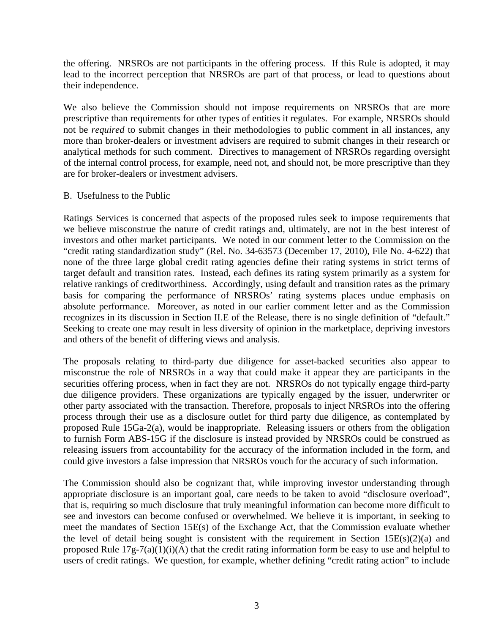the offering. NRSROs are not participants in the offering process. If this Rule is adopted, it may lead to the incorrect perception that NRSROs are part of that process, or lead to questions about their independence.

We also believe the Commission should not impose requirements on NRSROs that are more prescriptive than requirements for other types of entities it regulates. For example, NRSROs should not be *required* to submit changes in their methodologies to public comment in all instances, any more than broker-dealers or investment advisers are required to submit changes in their research or analytical methods for such comment. Directives to management of NRSROs regarding oversight of the internal control process, for example, need not, and should not, be more prescriptive than they are for broker-dealers or investment advisers.

#### B. Usefulness to the Public

Ratings Services is concerned that aspects of the proposed rules seek to impose requirements that we believe misconstrue the nature of credit ratings and, ultimately, are not in the best interest of investors and other market participants. We noted in our comment letter to the Commission on the "credit rating standardization study" (Rel. No. 34-63573 (December 17, 2010), File No. 4-622) that none of the three large global credit rating agencies define their rating systems in strict terms of target default and transition rates. Instead, each defines its rating system primarily as a system for relative rankings of creditworthiness. Accordingly, using default and transition rates as the primary basis for comparing the performance of NRSROs' rating systems places undue emphasis on absolute performance. Moreover, as noted in our earlier comment letter and as the Commission recognizes in its discussion in Section II.E of the Release, there is no single definition of "default." Seeking to create one may result in less diversity of opinion in the marketplace, depriving investors and others of the benefit of differing views and analysis.

The proposals relating to third-party due diligence for asset-backed securities also appear to misconstrue the role of NRSROs in a way that could make it appear they are participants in the securities offering process, when in fact they are not. NRSROs do not typically engage third-party due diligence providers. These organizations are typically engaged by the issuer, underwriter or other party associated with the transaction. Therefore, proposals to inject NRSROs into the offering process through their use as a disclosure outlet for third party due diligence, as contemplated by proposed Rule 15Ga-2(a), would be inappropriate. Releasing issuers or others from the obligation to furnish Form ABS-15G if the disclosure is instead provided by NRSROs could be construed as releasing issuers from accountability for the accuracy of the information included in the form, and could give investors a false impression that NRSROs vouch for the accuracy of such information.

The Commission should also be cognizant that, while improving investor understanding through appropriate disclosure is an important goal, care needs to be taken to avoid "disclosure overload", that is, requiring so much disclosure that truly meaningful information can become more difficult to see and investors can become confused or overwhelmed. We believe it is important, in seeking to meet the mandates of Section 15E(s) of the Exchange Act, that the Commission evaluate whether the level of detail being sought is consistent with the requirement in Section  $15E(s)(2)(a)$  and proposed Rule 17g-7(a)(1)(i)(A) that the credit rating information form be easy to use and helpful to users of credit ratings. We question, for example, whether defining "credit rating action" to include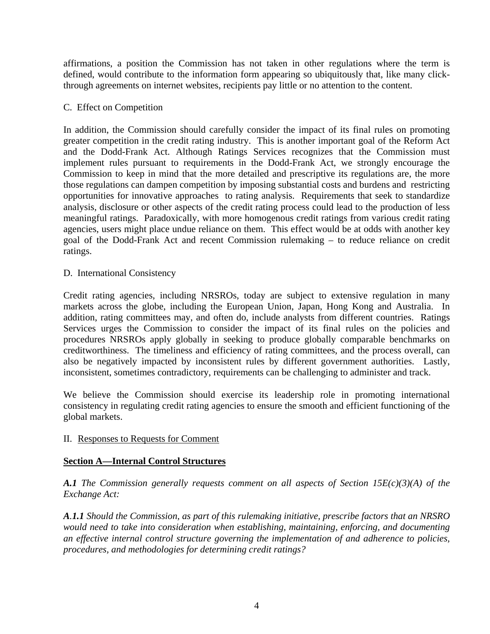affirmations, a position the Commission has not taken in other regulations where the term is defined, would contribute to the information form appearing so ubiquitously that, like many clickthrough agreements on internet websites, recipients pay little or no attention to the content.

#### C. Effect on Competition

In addition, the Commission should carefully consider the impact of its final rules on promoting greater competition in the credit rating industry. This is another important goal of the Reform Act and the Dodd-Frank Act. Although Ratings Services recognizes that the Commission must implement rules pursuant to requirements in the Dodd-Frank Act, we strongly encourage the Commission to keep in mind that the more detailed and prescriptive its regulations are, the more those regulations can dampen competition by imposing substantial costs and burdens and restricting opportunities for innovative approaches to rating analysis. Requirements that seek to standardize analysis, disclosure or other aspects of the credit rating process could lead to the production of less meaningful ratings. Paradoxically, with more homogenous credit ratings from various credit rating agencies, users might place undue reliance on them. This effect would be at odds with another key goal of the Dodd-Frank Act and recent Commission rulemaking – to reduce reliance on credit ratings.

D. International Consistency

Credit rating agencies, including NRSROs, today are subject to extensive regulation in many markets across the globe, including the European Union, Japan, Hong Kong and Australia. In addition, rating committees may, and often do, include analysts from different countries. Ratings Services urges the Commission to consider the impact of its final rules on the policies and procedures NRSROs apply globally in seeking to produce globally comparable benchmarks on creditworthiness. The timeliness and efficiency of rating committees, and the process overall, can also be negatively impacted by inconsistent rules by different government authorities. Lastly, inconsistent, sometimes contradictory, requirements can be challenging to administer and track.

We believe the Commission should exercise its leadership role in promoting international consistency in regulating credit rating agencies to ensure the smooth and efficient functioning of the global markets.

# II. Responses to Requests for Comment

# **Section A—Internal Control Structures**

*A.1 The Commission generally requests comment on all aspects of Section 15E(c)(3)(A) of the Exchange Act:* 

*A.1.1 Should the Commission, as part of this rulemaking initiative, prescribe factors that an NRSRO would need to take into consideration when establishing, maintaining, enforcing, and documenting an effective internal control structure governing the implementation of and adherence to policies, procedures, and methodologies for determining credit ratings?*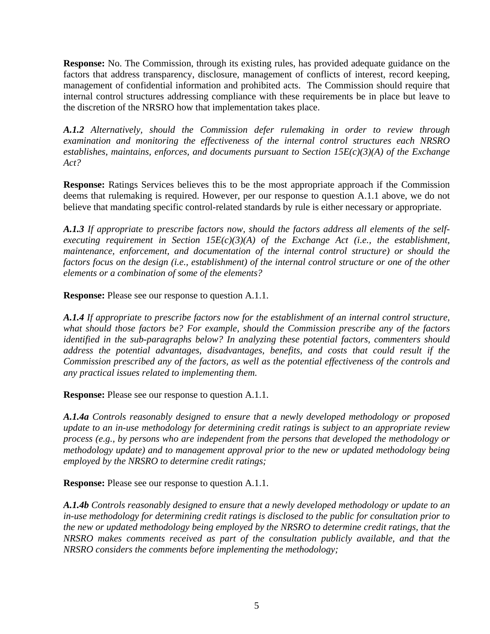**Response:** No. The Commission, through its existing rules, has provided adequate guidance on the factors that address transparency, disclosure, management of conflicts of interest, record keeping, management of confidential information and prohibited acts. The Commission should require that internal control structures addressing compliance with these requirements be in place but leave to the discretion of the NRSRO how that implementation takes place.

*A.1.2 Alternatively, should the Commission defer rulemaking in order to review through examination and monitoring the effectiveness of the internal control structures each NRSRO establishes, maintains, enforces, and documents pursuant to Section 15E(c)(3)(A) of the Exchange Act?* 

**Response:** Ratings Services believes this to be the most appropriate approach if the Commission deems that rulemaking is required. However, per our response to question A.1.1 above, we do not believe that mandating specific control-related standards by rule is either necessary or appropriate.

*A.1.3 If appropriate to prescribe factors now, should the factors address all elements of the selfexecuting requirement in Section 15E(c)(3)(A) of the Exchange Act (i.e., the establishment, maintenance, enforcement, and documentation of the internal control structure) or should the factors focus on the design (i.e., establishment) of the internal control structure or one of the other elements or a combination of some of the elements?* 

**Response:** Please see our response to question A.1.1.

*A.1.4 If appropriate to prescribe factors now for the establishment of an internal control structure, what should those factors be? For example, should the Commission prescribe any of the factors identified in the sub-paragraphs below? In analyzing these potential factors, commenters should address the potential advantages, disadvantages, benefits, and costs that could result if the Commission prescribed any of the factors, as well as the potential effectiveness of the controls and any practical issues related to implementing them.* 

**Response:** Please see our response to question A.1.1.

*A.1.4a Controls reasonably designed to ensure that a newly developed methodology or proposed update to an in-use methodology for determining credit ratings is subject to an appropriate review process (e.g., by persons who are independent from the persons that developed the methodology or methodology update) and to management approval prior to the new or updated methodology being employed by the NRSRO to determine credit ratings;* 

**Response:** Please see our response to question A.1.1.

*A.1.4b Controls reasonably designed to ensure that a newly developed methodology or update to an in-use methodology for determining credit ratings is disclosed to the public for consultation prior to the new or updated methodology being employed by the NRSRO to determine credit ratings, that the NRSRO makes comments received as part of the consultation publicly available, and that the NRSRO considers the comments before implementing the methodology;*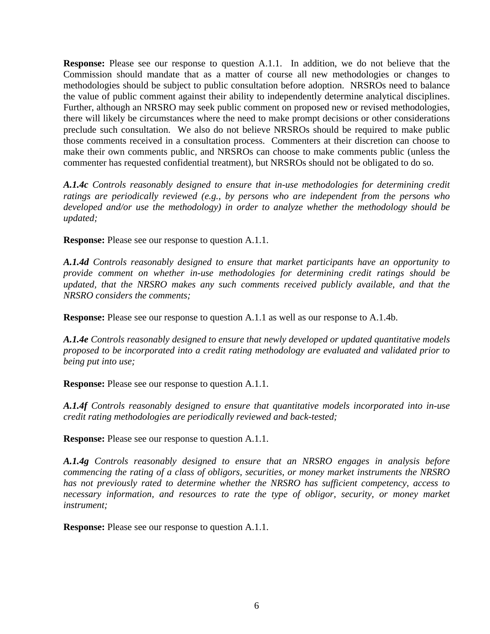**Response:** Please see our response to question A.1.1.In addition, we do not believe that the Commission should mandate that as a matter of course all new methodologies or changes to methodologies should be subject to public consultation before adoption. NRSROs need to balance the value of public comment against their ability to independently determine analytical disciplines. Further, although an NRSRO may seek public comment on proposed new or revised methodologies, there will likely be circumstances where the need to make prompt decisions or other considerations preclude such consultation. We also do not believe NRSROs should be required to make public those comments received in a consultation process. Commenters at their discretion can choose to make their own comments public, and NRSROs can choose to make comments public (unless the commenter has requested confidential treatment), but NRSROs should not be obligated to do so.

*A.1.4c Controls reasonably designed to ensure that in-use methodologies for determining credit ratings are periodically reviewed (e.g., by persons who are independent from the persons who developed and/or use the methodology) in order to analyze whether the methodology should be updated;* 

**Response:** Please see our response to question A.1.1.

*A.1.4d Controls reasonably designed to ensure that market participants have an opportunity to provide comment on whether in-use methodologies for determining credit ratings should be updated, that the NRSRO makes any such comments received publicly available, and that the NRSRO considers the comments;* 

**Response:** Please see our response to question A.1.1 as well as our response to A.1.4b.

*A.1.4e Controls reasonably designed to ensure that newly developed or updated quantitative models proposed to be incorporated into a credit rating methodology are evaluated and validated prior to being put into use;* 

**Response:** Please see our response to question A.1.1.

*A.1.4f Controls reasonably designed to ensure that quantitative models incorporated into in-use credit rating methodologies are periodically reviewed and back-tested;* 

**Response:** Please see our response to question A.1.1.

*A.1.4g Controls reasonably designed to ensure that an NRSRO engages in analysis before commencing the rating of a class of obligors, securities, or money market instruments the NRSRO has not previously rated to determine whether the NRSRO has sufficient competency, access to necessary information, and resources to rate the type of obligor, security, or money market instrument;* 

**Response:** Please see our response to question A.1.1.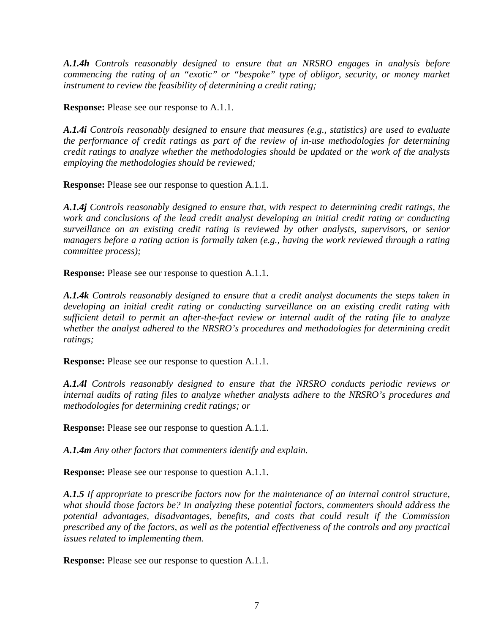*A.1.4h Controls reasonably designed to ensure that an NRSRO engages in analysis before commencing the rating of an "exotic" or "bespoke" type of obligor, security, or money market instrument to review the feasibility of determining a credit rating;* 

**Response:** Please see our response to A.1.1.

*A.1.4i Controls reasonably designed to ensure that measures (e.g., statistics) are used to evaluate the performance of credit ratings as part of the review of in-use methodologies for determining credit ratings to analyze whether the methodologies should be updated or the work of the analysts employing the methodologies should be reviewed;* 

**Response:** Please see our response to question A.1.1.

*A.1.4j Controls reasonably designed to ensure that, with respect to determining credit ratings, the work and conclusions of the lead credit analyst developing an initial credit rating or conducting surveillance on an existing credit rating is reviewed by other analysts, supervisors, or senior managers before a rating action is formally taken (e.g., having the work reviewed through a rating committee process);* 

**Response:** Please see our response to question A.1.1.

*A.1.4k Controls reasonably designed to ensure that a credit analyst documents the steps taken in developing an initial credit rating or conducting surveillance on an existing credit rating with sufficient detail to permit an after-the-fact review or internal audit of the rating file to analyze whether the analyst adhered to the NRSRO's procedures and methodologies for determining credit ratings;* 

**Response:** Please see our response to question A.1.1.

*A.1.4l Controls reasonably designed to ensure that the NRSRO conducts periodic reviews or internal audits of rating files to analyze whether analysts adhere to the NRSRO's procedures and methodologies for determining credit ratings; or* 

**Response:** Please see our response to question A.1.1.

*A.1.4m Any other factors that commenters identify and explain.* 

**Response:** Please see our response to question A.1.1.

*A.1.5 If appropriate to prescribe factors now for the maintenance of an internal control structure, what should those factors be? In analyzing these potential factors, commenters should address the potential advantages, disadvantages, benefits, and costs that could result if the Commission prescribed any of the factors, as well as the potential effectiveness of the controls and any practical issues related to implementing them.* 

**Response:** Please see our response to question A.1.1.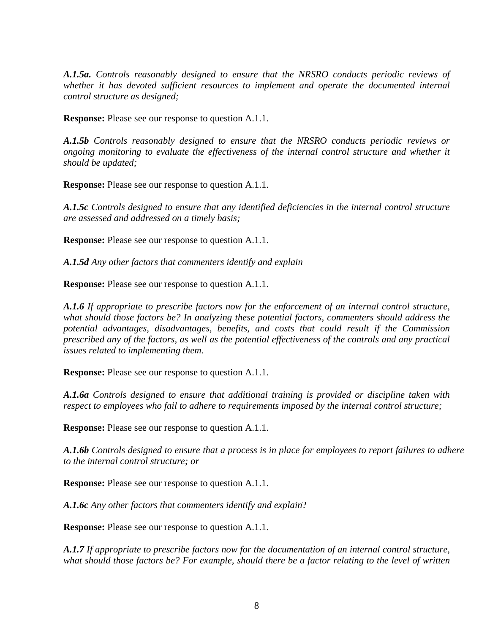*A.1.5a. Controls reasonably designed to ensure that the NRSRO conducts periodic reviews of whether it has devoted sufficient resources to implement and operate the documented internal control structure as designed;* 

**Response:** Please see our response to question A.1.1.

*A.1.5b Controls reasonably designed to ensure that the NRSRO conducts periodic reviews or ongoing monitoring to evaluate the effectiveness of the internal control structure and whether it should be updated;* 

**Response:** Please see our response to question A.1.1.

*A.1.5c Controls designed to ensure that any identified deficiencies in the internal control structure are assessed and addressed on a timely basis;* 

**Response:** Please see our response to question A.1.1.

*A.1.5d Any other factors that commenters identify and explain* 

**Response:** Please see our response to question A.1.1.

*A.1.6 If appropriate to prescribe factors now for the enforcement of an internal control structure, what should those factors be? In analyzing these potential factors, commenters should address the potential advantages, disadvantages, benefits, and costs that could result if the Commission prescribed any of the factors, as well as the potential effectiveness of the controls and any practical issues related to implementing them.* 

**Response:** Please see our response to question A.1.1.

*A.1.6a Controls designed to ensure that additional training is provided or discipline taken with respect to employees who fail to adhere to requirements imposed by the internal control structure;* 

**Response:** Please see our response to question A.1.1.

*A.1.6b Controls designed to ensure that a process is in place for employees to report failures to adhere to the internal control structure; or* 

**Response:** Please see our response to question A.1.1.

*A.1.6c Any other factors that commenters identify and explain*?

**Response:** Please see our response to question A.1.1.

*A.1.7 If appropriate to prescribe factors now for the documentation of an internal control structure, what should those factors be? For example, should there be a factor relating to the level of written*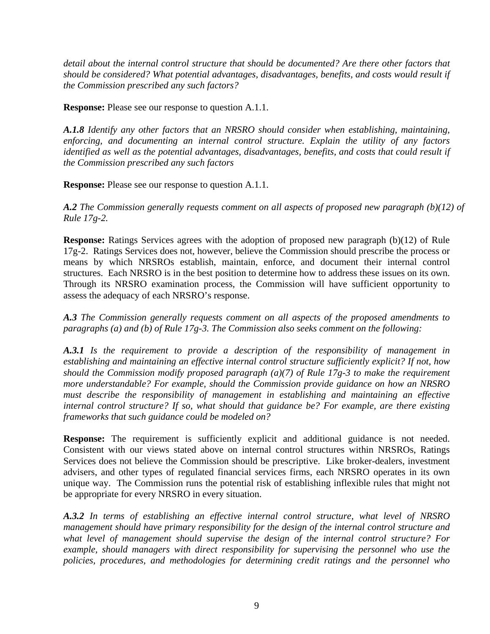*detail about the internal control structure that should be documented? Are there other factors that should be considered? What potential advantages, disadvantages, benefits, and costs would result if the Commission prescribed any such factors?* 

**Response:** Please see our response to question A.1.1.

*A.1.8 Identify any other factors that an NRSRO should consider when establishing, maintaining, enforcing, and documenting an internal control structure. Explain the utility of any factors identified as well as the potential advantages, disadvantages, benefits, and costs that could result if the Commission prescribed any such factors* 

**Response:** Please see our response to question A.1.1.

*A.2 The Commission generally requests comment on all aspects of proposed new paragraph (b)(12) of Rule 17g-2.* 

**Response:** Ratings Services agrees with the adoption of proposed new paragraph (b)(12) of Rule 17g-2. Ratings Services does not, however, believe the Commission should prescribe the process or means by which NRSROs establish, maintain, enforce, and document their internal control structures. Each NRSRO is in the best position to determine how to address these issues on its own. Through its NRSRO examination process, the Commission will have sufficient opportunity to assess the adequacy of each NRSRO's response.

*A.3 The Commission generally requests comment on all aspects of the proposed amendments to paragraphs (a) and (b) of Rule 17g-3. The Commission also seeks comment on the following:* 

*A.3.1 Is the requirement to provide a description of the responsibility of management in establishing and maintaining an effective internal control structure sufficiently explicit? If not, how should the Commission modify proposed paragraph (a)(7) of Rule 17g-3 to make the requirement more understandable? For example, should the Commission provide guidance on how an NRSRO must describe the responsibility of management in establishing and maintaining an effective internal control structure? If so, what should that guidance be? For example, are there existing frameworks that such guidance could be modeled on?* 

**Response:** The requirement is sufficiently explicit and additional guidance is not needed. Consistent with our views stated above on internal control structures within NRSROs, Ratings Services does not believe the Commission should be prescriptive. Like broker-dealers, investment advisers, and other types of regulated financial services firms, each NRSRO operates in its own unique way. The Commission runs the potential risk of establishing inflexible rules that might not be appropriate for every NRSRO in every situation.

*A.3.2 In terms of establishing an effective internal control structure, what level of NRSRO management should have primary responsibility for the design of the internal control structure and what level of management should supervise the design of the internal control structure? For example, should managers with direct responsibility for supervising the personnel who use the policies, procedures, and methodologies for determining credit ratings and the personnel who*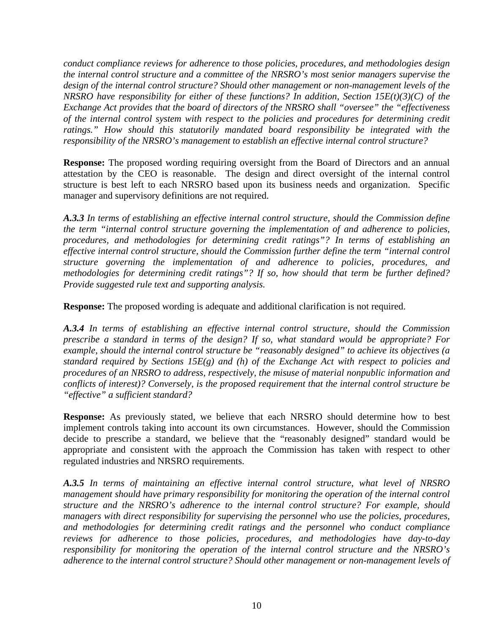*conduct compliance reviews for adherence to those policies, procedures, and methodologies design the internal control structure and a committee of the NRSRO's most senior managers supervise the design of the internal control structure? Should other management or non-management levels of the NRSRO have responsibility for either of these functions? In addition, Section 15E(t)(3)(C) of the Exchange Act provides that the board of directors of the NRSRO shall "oversee" the "effectiveness of the internal control system with respect to the policies and procedures for determining credit ratings." How should this statutorily mandated board responsibility be integrated with the responsibility of the NRSRO's management to establish an effective internal control structure?* 

**Response:** The proposed wording requiring oversight from the Board of Directors and an annual attestation by the CEO is reasonable. The design and direct oversight of the internal control structure is best left to each NRSRO based upon its business needs and organization. Specific manager and supervisory definitions are not required.

*A.3.3 In terms of establishing an effective internal control structure, should the Commission define the term "internal control structure governing the implementation of and adherence to policies, procedures, and methodologies for determining credit ratings"? In terms of establishing an effective internal control structure, should the Commission further define the term "internal control structure governing the implementation of and adherence to policies, procedures, and methodologies for determining credit ratings"? If so, how should that term be further defined? Provide suggested rule text and supporting analysis.* 

**Response:** The proposed wording is adequate and additional clarification is not required.

*A.3.4 In terms of establishing an effective internal control structure, should the Commission prescribe a standard in terms of the design? If so, what standard would be appropriate? For example, should the internal control structure be "reasonably designed" to achieve its objectives (a standard required by Sections 15E(g) and (h) of the Exchange Act with respect to policies and procedures of an NRSRO to address, respectively, the misuse of material nonpublic information and conflicts of interest)? Conversely, is the proposed requirement that the internal control structure be "effective" a sufficient standard?* 

**Response:** As previously stated, we believe that each NRSRO should determine how to best implement controls taking into account its own circumstances. However, should the Commission decide to prescribe a standard, we believe that the "reasonably designed" standard would be appropriate and consistent with the approach the Commission has taken with respect to other regulated industries and NRSRO requirements.

*A.3.5 In terms of maintaining an effective internal control structure, what level of NRSRO management should have primary responsibility for monitoring the operation of the internal control structure and the NRSRO's adherence to the internal control structure? For example, should managers with direct responsibility for supervising the personnel who use the policies, procedures, and methodologies for determining credit ratings and the personnel who conduct compliance reviews for adherence to those policies, procedures, and methodologies have day-to-day responsibility for monitoring the operation of the internal control structure and the NRSRO's adherence to the internal control structure? Should other management or non-management levels of*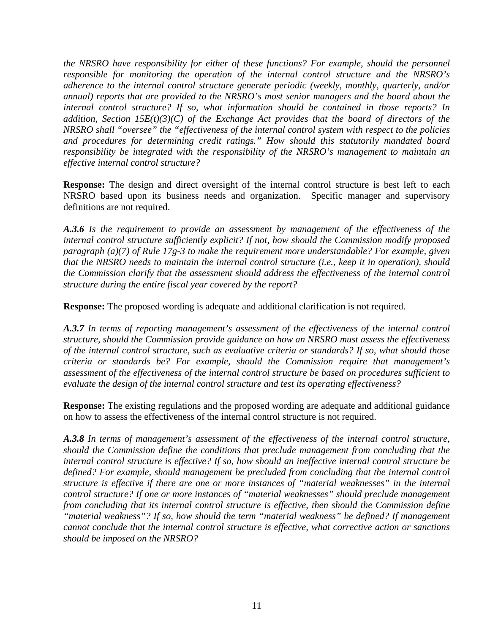*the NRSRO have responsibility for either of these functions? For example, should the personnel responsible for monitoring the operation of the internal control structure and the NRSRO's adherence to the internal control structure generate periodic (weekly, monthly, quarterly, and/or annual) reports that are provided to the NRSRO's most senior managers and the board about the internal control structure? If so, what information should be contained in those reports? In addition, Section 15E(t)(3)(C) of the Exchange Act provides that the board of directors of the NRSRO shall "oversee" the "effectiveness of the internal control system with respect to the policies and procedures for determining credit ratings." How should this statutorily mandated board responsibility be integrated with the responsibility of the NRSRO's management to maintain an effective internal control structure?* 

**Response:** The design and direct oversight of the internal control structure is best left to each NRSRO based upon its business needs and organization. Specific manager and supervisory definitions are not required.

*A.3.6 Is the requirement to provide an assessment by management of the effectiveness of the internal control structure sufficiently explicit? If not, how should the Commission modify proposed paragraph (a)(7) of Rule 17g-3 to make the requirement more understandable? For example, given that the NRSRO needs to maintain the internal control structure (i.e., keep it in operation), should the Commission clarify that the assessment should address the effectiveness of the internal control structure during the entire fiscal year covered by the report?* 

**Response:** The proposed wording is adequate and additional clarification is not required.

*A.3.7 In terms of reporting management's assessment of the effectiveness of the internal control structure, should the Commission provide guidance on how an NRSRO must assess the effectiveness of the internal control structure, such as evaluative criteria or standards? If so, what should those criteria or standards be? For example, should the Commission require that management's assessment of the effectiveness of the internal control structure be based on procedures sufficient to evaluate the design of the internal control structure and test its operating effectiveness?* 

**Response:** The existing regulations and the proposed wording are adequate and additional guidance on how to assess the effectiveness of the internal control structure is not required.

*A.3.8 In terms of management's assessment of the effectiveness of the internal control structure, should the Commission define the conditions that preclude management from concluding that the internal control structure is effective? If so, how should an ineffective internal control structure be defined? For example, should management be precluded from concluding that the internal control structure is effective if there are one or more instances of "material weaknesses" in the internal control structure? If one or more instances of "material weaknesses" should preclude management from concluding that its internal control structure is effective, then should the Commission define "material weakness"? If so, how should the term "material weakness" be defined? If management cannot conclude that the internal control structure is effective, what corrective action or sanctions should be imposed on the NRSRO?*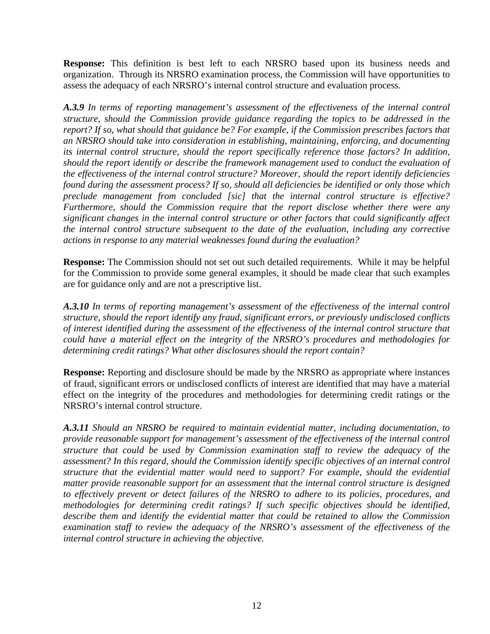**Response:** This definition is best left to each NRSRO based upon its business needs and organization. Through its NRSRO examination process, the Commission will have opportunities to assess the adequacy of each NRSRO's internal control structure and evaluation process.

*A.3.9 In terms of reporting management's assessment of the effectiveness of the internal control structure, should the Commission provide guidance regarding the topics to be addressed in the report? If so, what should that guidance be? For example, if the Commission prescribes factors that an NRSRO should take into consideration in establishing, maintaining, enforcing, and documenting its internal control structure, should the report specifically reference those factors? In addition, should the report identify or describe the framework management used to conduct the evaluation of the effectiveness of the internal control structure? Moreover, should the report identify deficiencies found during the assessment process? If so, should all deficiencies be identified or only those which preclude management from concluded [sic] that the internal control structure is effective? Furthermore, should the Commission require that the report disclose whether there were any significant changes in the internal control structure or other factors that could significantly affect the internal control structure subsequent to the date of the evaluation, including any corrective actions in response to any material weaknesses found during the evaluation?* 

**Response:** The Commission should not set out such detailed requirements. While it may be helpful for the Commission to provide some general examples, it should be made clear that such examples are for guidance only and are not a prescriptive list.

*A.3.10 In terms of reporting management's assessment of the effectiveness of the internal control structure, should the report identify any fraud, significant errors, or previously undisclosed conflicts of interest identified during the assessment of the effectiveness of the internal control structure that could have a material effect on the integrity of the NRSRO's procedures and methodologies for determining credit ratings? What other disclosures should the report contain?* 

**Response:** Reporting and disclosure should be made by the NRSRO as appropriate where instances of fraud, significant errors or undisclosed conflicts of interest are identified that may have a material effect on the integrity of the procedures and methodologies for determining credit ratings or the NRSRO's internal control structure.

*A.3.11 Should an NRSRO be required to maintain evidential matter, including documentation, to provide reasonable support for management's assessment of the effectiveness of the internal control structure that could be used by Commission examination staff to review the adequacy of the assessment? In this regard, should the Commission identify specific objectives of an internal control structure that the evidential matter would need to support? For example, should the evidential matter provide reasonable support for an assessment that the internal control structure is designed to effectively prevent or detect failures of the NRSRO to adhere to its policies, procedures, and methodologies for determining credit ratings? If such specific objectives should be identified, describe them and identify the evidential matter that could be retained to allow the Commission examination staff to review the adequacy of the NRSRO's assessment of the effectiveness of the internal control structure in achieving the objective.*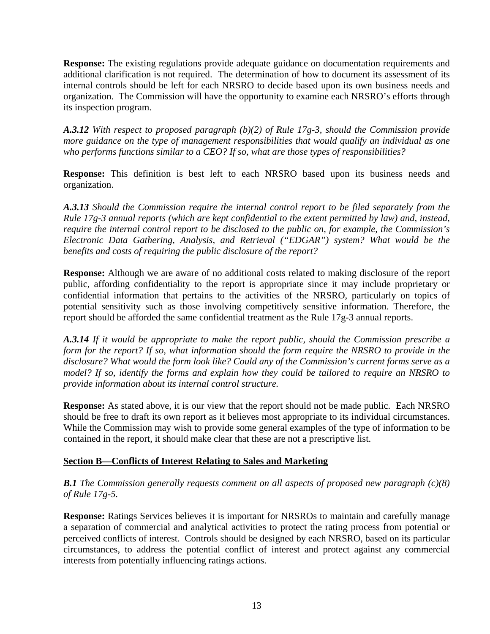**Response:** The existing regulations provide adequate guidance on documentation requirements and additional clarification is not required. The determination of how to document its assessment of its internal controls should be left for each NRSRO to decide based upon its own business needs and organization. The Commission will have the opportunity to examine each NRSRO's efforts through its inspection program.

*A.3.12 With respect to proposed paragraph (b)(2) of Rule 17g-3, should the Commission provide more guidance on the type of management responsibilities that would qualify an individual as one who performs functions similar to a CEO? If so, what are those types of responsibilities?* 

**Response:** This definition is best left to each NRSRO based upon its business needs and organization.

*A.3.13 Should the Commission require the internal control report to be filed separately from the Rule 17g-3 annual reports (which are kept confidential to the extent permitted by law) and, instead, require the internal control report to be disclosed to the public on, for example, the Commission's Electronic Data Gathering, Analysis, and Retrieval ("EDGAR") system? What would be the benefits and costs of requiring the public disclosure of the report?* 

**Response:** Although we are aware of no additional costs related to making disclosure of the report public, affording confidentiality to the report is appropriate since it may include proprietary or confidential information that pertains to the activities of the NRSRO, particularly on topics of potential sensitivity such as those involving competitively sensitive information. Therefore, the report should be afforded the same confidential treatment as the Rule 17g-3 annual reports.

*A.3.14 If it would be appropriate to make the report public, should the Commission prescribe a form for the report? If so, what information should the form require the NRSRO to provide in the disclosure? What would the form look like? Could any of the Commission's current forms serve as a model? If so, identify the forms and explain how they could be tailored to require an NRSRO to provide information about its internal control structure.* 

**Response:** As stated above, it is our view that the report should not be made public. Each NRSRO should be free to draft its own report as it believes most appropriate to its individual circumstances. While the Commission may wish to provide some general examples of the type of information to be contained in the report, it should make clear that these are not a prescriptive list.

# **Section B—Conflicts of Interest Relating to Sales and Marketing**

*B.1 The Commission generally requests comment on all aspects of proposed new paragraph (c)(8) of Rule 17g-5.* 

**Response:** Ratings Services believes it is important for NRSROs to maintain and carefully manage a separation of commercial and analytical activities to protect the rating process from potential or perceived conflicts of interest. Controls should be designed by each NRSRO, based on its particular circumstances, to address the potential conflict of interest and protect against any commercial interests from potentially influencing ratings actions.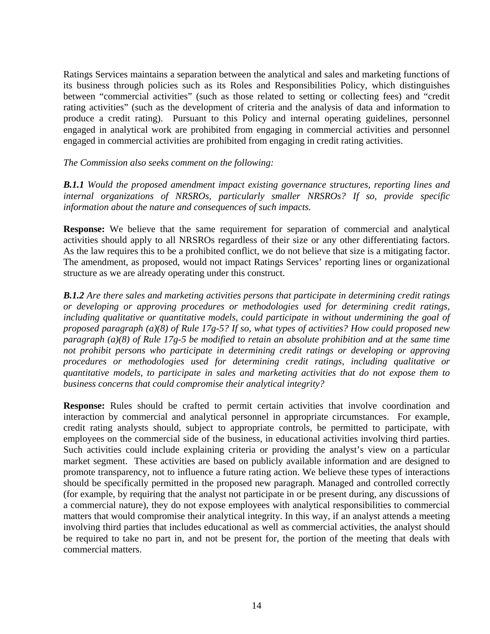Ratings Services maintains a separation between the analytical and sales and marketing functions of its business through policies such as its Roles and Responsibilities Policy, which distinguishes between "commercial activities" (such as those related to setting or collecting fees) and "credit rating activities" (such as the development of criteria and the analysis of data and information to produce a credit rating). Pursuant to this Policy and internal operating guidelines, personnel engaged in analytical work are prohibited from engaging in commercial activities and personnel engaged in commercial activities are prohibited from engaging in credit rating activities.

#### *The Commission also seeks comment on the following:*

*B.1.1 Would the proposed amendment impact existing governance structures, reporting lines and internal organizations of NRSROs, particularly smaller NRSROs? If so, provide specific information about the nature and consequences of such impacts.* 

**Response:** We believe that the same requirement for separation of commercial and analytical activities should apply to all NRSROs regardless of their size or any other differentiating factors. As the law requires this to be a prohibited conflict, we do not believe that size is a mitigating factor. The amendment, as proposed, would not impact Ratings Services' reporting lines or organizational structure as we are already operating under this construct.

*B.1.2 Are there sales and marketing activities persons that participate in determining credit ratings or developing or approving procedures or methodologies used for determining credit ratings, including qualitative or quantitative models, could participate in without undermining the goal of proposed paragraph (a)(8) of Rule 17g-5? If so, what types of activities? How could proposed new paragraph (a)(8) of Rule 17g-5 be modified to retain an absolute prohibition and at the same time not prohibit persons who participate in determining credit ratings or developing or approving procedures or methodologies used for determining credit ratings, including qualitative or quantitative models, to participate in sales and marketing activities that do not expose them to business concerns that could compromise their analytical integrity?* 

**Response:** Rules should be crafted to permit certain activities that involve coordination and interaction by commercial and analytical personnel in appropriate circumstances. For example, credit rating analysts should, subject to appropriate controls, be permitted to participate, with employees on the commercial side of the business, in educational activities involving third parties. Such activities could include explaining criteria or providing the analyst's view on a particular market segment. These activities are based on publicly available information and are designed to promote transparency, not to influence a future rating action. We believe these types of interactions should be specifically permitted in the proposed new paragraph. Managed and controlled correctly (for example, by requiring that the analyst not participate in or be present during, any discussions of a commercial nature), they do not expose employees with analytical responsibilities to commercial matters that would compromise their analytical integrity. In this way, if an analyst attends a meeting involving third parties that includes educational as well as commercial activities, the analyst should be required to take no part in, and not be present for, the portion of the meeting that deals with commercial matters.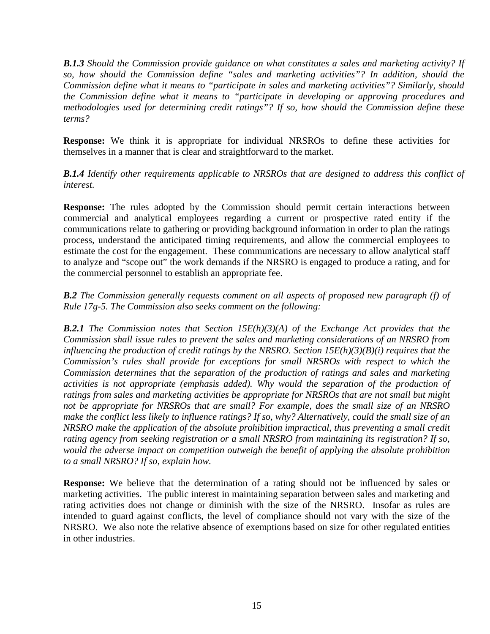*B.1.3 Should the Commission provide guidance on what constitutes a sales and marketing activity? If so, how should the Commission define "sales and marketing activities"? In addition, should the Commission define what it means to "participate in sales and marketing activities"? Similarly, should the Commission define what it means to "participate in developing or approving procedures and methodologies used for determining credit ratings"? If so, how should the Commission define these terms?* 

**Response:** We think it is appropriate for individual NRSROs to define these activities for themselves in a manner that is clear and straightforward to the market.

*B.1.4 Identify other requirements applicable to NRSROs that are designed to address this conflict of interest.* 

**Response:** The rules adopted by the Commission should permit certain interactions between commercial and analytical employees regarding a current or prospective rated entity if the communications relate to gathering or providing background information in order to plan the ratings process, understand the anticipated timing requirements, and allow the commercial employees to estimate the cost for the engagement. These communications are necessary to allow analytical staff to analyze and "scope out" the work demands if the NRSRO is engaged to produce a rating, and for the commercial personnel to establish an appropriate fee.

*B.2 The Commission generally requests comment on all aspects of proposed new paragraph (f) of Rule 17g-5. The Commission also seeks comment on the following:* 

*B.2.1 The Commission notes that Section 15E(h)(3)(A) of the Exchange Act provides that the Commission shall issue rules to prevent the sales and marketing considerations of an NRSRO from influencing the production of credit ratings by the NRSRO. Section 15E(h)(3)(B)(i) requires that the Commission's rules shall provide for exceptions for small NRSROs with respect to which the Commission determines that the separation of the production of ratings and sales and marketing activities is not appropriate (emphasis added). Why would the separation of the production of ratings from sales and marketing activities be appropriate for NRSROs that are not small but might not be appropriate for NRSROs that are small? For example, does the small size of an NRSRO make the conflict less likely to influence ratings? If so, why? Alternatively, could the small size of an NRSRO make the application of the absolute prohibition impractical, thus preventing a small credit rating agency from seeking registration or a small NRSRO from maintaining its registration? If so, would the adverse impact on competition outweigh the benefit of applying the absolute prohibition to a small NRSRO? If so, explain how.* 

**Response:** We believe that the determination of a rating should not be influenced by sales or marketing activities. The public interest in maintaining separation between sales and marketing and rating activities does not change or diminish with the size of the NRSRO. Insofar as rules are intended to guard against conflicts, the level of compliance should not vary with the size of the NRSRO. We also note the relative absence of exemptions based on size for other regulated entities in other industries.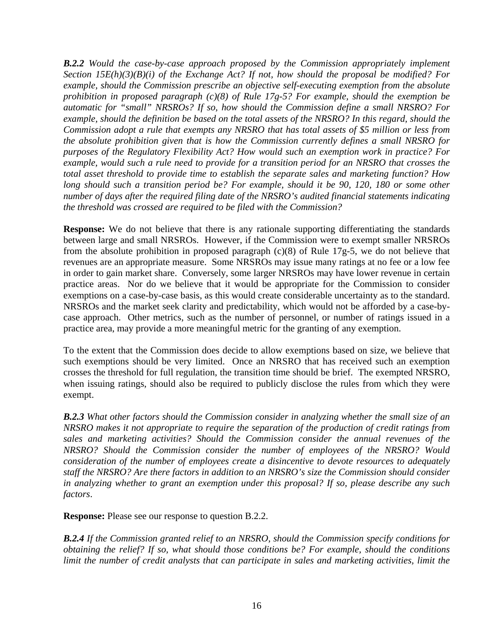**B.2.2** *Would the case-by-case approach proposed by the Commission appropriately implement Section 15E(h)(3)(B)(i) of the Exchange Act? If not, how should the proposal be modified? For example, should the Commission prescribe an objective self-executing exemption from the absolute prohibition in proposed paragraph (c)(8) of Rule 17g-5? For example, should the exemption be automatic for "small" NRSROs? If so, how should the Commission define a small NRSRO? For example, should the definition be based on the total assets of the NRSRO? In this regard, should the Commission adopt a rule that exempts any NRSRO that has total assets of \$5 million or less from the absolute prohibition given that is how the Commission currently defines a small NRSRO for purposes of the Regulatory Flexibility Act? How would such an exemption work in practice? For example, would such a rule need to provide for a transition period for an NRSRO that crosses the total asset threshold to provide time to establish the separate sales and marketing function? How long should such a transition period be? For example, should it be 90, 120, 180 or some other number of days after the required filing date of the NRSRO's audited financial statements indicating the threshold was crossed are required to be filed with the Commission?* 

**Response:** We do not believe that there is any rationale supporting differentiating the standards between large and small NRSROs. However, if the Commission were to exempt smaller NRSROs from the absolute prohibition in proposed paragraph (c)(8) of Rule 17g-5, we do not believe that revenues are an appropriate measure. Some NRSROs may issue many ratings at no fee or a low fee in order to gain market share. Conversely, some larger NRSROs may have lower revenue in certain practice areas. Nor do we believe that it would be appropriate for the Commission to consider exemptions on a case-by-case basis, as this would create considerable uncertainty as to the standard. NRSROs and the market seek clarity and predictability, which would not be afforded by a case-bycase approach. Other metrics, such as the number of personnel, or number of ratings issued in a practice area, may provide a more meaningful metric for the granting of any exemption.

To the extent that the Commission does decide to allow exemptions based on size, we believe that such exemptions should be very limited. Once an NRSRO that has received such an exemption crosses the threshold for full regulation, the transition time should be brief. The exempted NRSRO, when issuing ratings, should also be required to publicly disclose the rules from which they were exempt.

*B.2.3 What other factors should the Commission consider in analyzing whether the small size of an NRSRO makes it not appropriate to require the separation of the production of credit ratings from sales and marketing activities? Should the Commission consider the annual revenues of the NRSRO? Should the Commission consider the number of employees of the NRSRO? Would consideration of the number of employees create a disincentive to devote resources to adequately staff the NRSRO? Are there factors in addition to an NRSRO's size the Commission should consider in analyzing whether to grant an exemption under this proposal? If so, please describe any such factors*.

**Response:** Please see our response to question B.2.2.

*B.2.4 If the Commission granted relief to an NRSRO, should the Commission specify conditions for obtaining the relief? If so, what should those conditions be? For example, should the conditions limit the number of credit analysts that can participate in sales and marketing activities, limit the*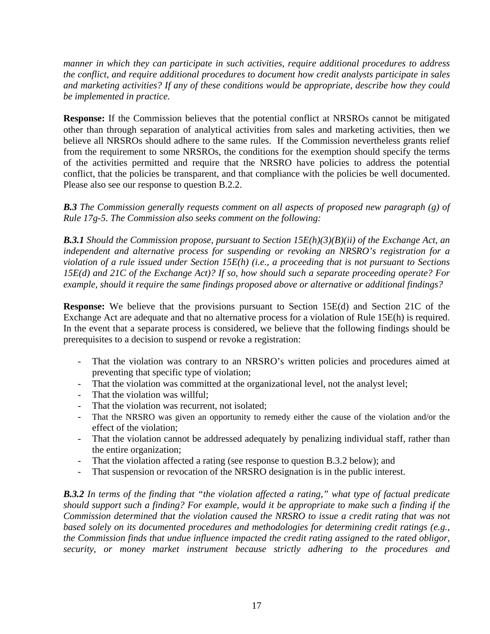*manner in which they can participate in such activities, require additional procedures to address the conflict, and require additional procedures to document how credit analysts participate in sales and marketing activities? If any of these conditions would be appropriate, describe how they could be implemented in practice.* 

**Response:** If the Commission believes that the potential conflict at NRSROs cannot be mitigated other than through separation of analytical activities from sales and marketing activities, then we believe all NRSROs should adhere to the same rules. If the Commission nevertheless grants relief from the requirement to some NRSROs, the conditions for the exemption should specify the terms of the activities permitted and require that the NRSRO have policies to address the potential conflict, that the policies be transparent, and that compliance with the policies be well documented. Please also see our response to question B.2.2.

*B.3 The Commission generally requests comment on all aspects of proposed new paragraph (g) of Rule 17g-5. The Commission also seeks comment on the following:* 

*B.3.1 Should the Commission propose, pursuant to Section 15E(h)(3)(B)(ii) of the Exchange Act, an independent and alternative process for suspending or revoking an NRSRO's registration for a violation of a rule issued under Section 15E(h) (i.e., a proceeding that is not pursuant to Sections 15E(d) and 21C of the Exchange Act)? If so, how should such a separate proceeding operate? For example, should it require the same findings proposed above or alternative or additional findings?* 

**Response:** We believe that the provisions pursuant to Section 15E(d) and Section 21C of the Exchange Act are adequate and that no alternative process for a violation of Rule 15E(h) is required. In the event that a separate process is considered, we believe that the following findings should be prerequisites to a decision to suspend or revoke a registration:

- That the violation was contrary to an NRSRO's written policies and procedures aimed at preventing that specific type of violation;
- That the violation was committed at the organizational level, not the analyst level;
- That the violation was willful;
- That the violation was recurrent, not isolated;
- That the NRSRO was given an opportunity to remedy either the cause of the violation and/or the effect of the violation;
- That the violation cannot be addressed adequately by penalizing individual staff, rather than the entire organization;
- That the violation affected a rating (see response to question B.3.2 below); and
- That suspension or revocation of the NRSRO designation is in the public interest.

*B.3.2 In terms of the finding that "the violation affected a rating," what type of factual predicate should support such a finding? For example, would it be appropriate to make such a finding if the Commission determined that the violation caused the NRSRO to issue a credit rating that was not based solely on its documented procedures and methodologies for determining credit ratings (e.g., the Commission finds that undue influence impacted the credit rating assigned to the rated obligor, security, or money market instrument because strictly adhering to the procedures and*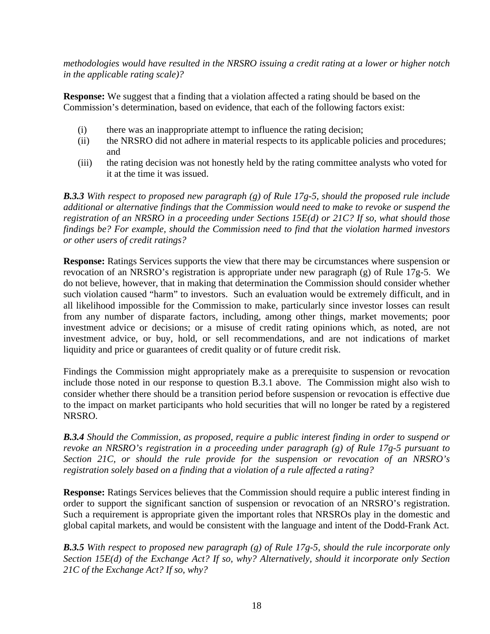*methodologies would have resulted in the NRSRO issuing a credit rating at a lower or higher notch in the applicable rating scale)?* 

**Response:** We suggest that a finding that a violation affected a rating should be based on the Commission's determination, based on evidence, that each of the following factors exist:

- (i) there was an inappropriate attempt to influence the rating decision;
- (ii) the NRSRO did not adhere in material respects to its applicable policies and procedures; and
- (iii) the rating decision was not honestly held by the rating committee analysts who voted for it at the time it was issued.

*B.3.3 With respect to proposed new paragraph (g) of Rule 17g-5, should the proposed rule include additional or alternative findings that the Commission would need to make to revoke or suspend the registration of an NRSRO in a proceeding under Sections 15E(d) or 21C? If so, what should those findings be? For example, should the Commission need to find that the violation harmed investors or other users of credit ratings?* 

**Response:** Ratings Services supports the view that there may be circumstances where suspension or revocation of an NRSRO's registration is appropriate under new paragraph (g) of Rule 17g-5. We do not believe, however, that in making that determination the Commission should consider whether such violation caused "harm" to investors. Such an evaluation would be extremely difficult, and in all likelihood impossible for the Commission to make, particularly since investor losses can result from any number of disparate factors, including, among other things, market movements; poor investment advice or decisions; or a misuse of credit rating opinions which, as noted, are not investment advice, or buy, hold, or sell recommendations, and are not indications of market liquidity and price or guarantees of credit quality or of future credit risk.

Findings the Commission might appropriately make as a prerequisite to suspension or revocation include those noted in our response to question B.3.1 above. The Commission might also wish to consider whether there should be a transition period before suspension or revocation is effective due to the impact on market participants who hold securities that will no longer be rated by a registered NRSRO.

*B.3.4 Should the Commission, as proposed, require a public interest finding in order to suspend or revoke an NRSRO's registration in a proceeding under paragraph (g) of Rule 17g-5 pursuant to Section 21C, or should the rule provide for the suspension or revocation of an NRSRO's registration solely based on a finding that a violation of a rule affected a rating?* 

**Response:** Ratings Services believes that the Commission should require a public interest finding in order to support the significant sanction of suspension or revocation of an NRSRO's registration. Such a requirement is appropriate given the important roles that NRSROs play in the domestic and global capital markets, and would be consistent with the language and intent of the Dodd-Frank Act.

*B.3.5 With respect to proposed new paragraph (g) of Rule 17g-5, should the rule incorporate only Section 15E(d) of the Exchange Act? If so, why? Alternatively, should it incorporate only Section 21C of the Exchange Act? If so, why?*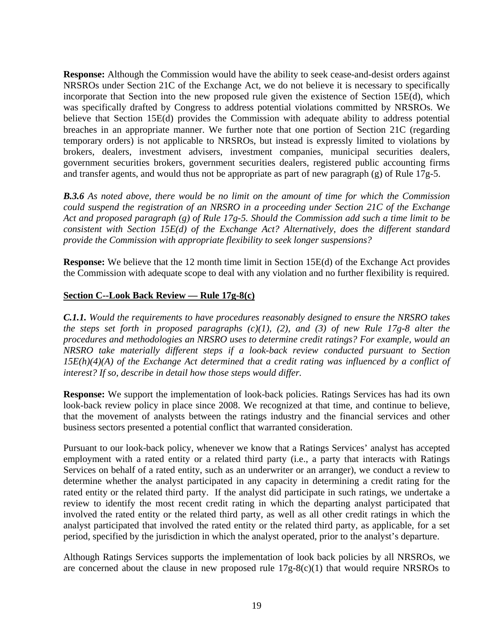**Response:** Although the Commission would have the ability to seek cease-and-desist orders against NRSROs under Section 21C of the Exchange Act, we do not believe it is necessary to specifically incorporate that Section into the new proposed rule given the existence of Section 15E(d), which was specifically drafted by Congress to address potential violations committed by NRSROs. We believe that Section 15E(d) provides the Commission with adequate ability to address potential breaches in an appropriate manner. We further note that one portion of Section 21C (regarding temporary orders) is not applicable to NRSROs, but instead is expressly limited to violations by brokers, dealers, investment advisers, investment companies, municipal securities dealers, government securities brokers, government securities dealers, registered public accounting firms and transfer agents, and would thus not be appropriate as part of new paragraph (g) of Rule 17g-5.

*B.3.6 As noted above, there would be no limit on the amount of time for which the Commission could suspend the registration of an NRSRO in a proceeding under Section 21C of the Exchange Act and proposed paragraph (g) of Rule 17g-5. Should the Commission add such a time limit to be consistent with Section 15E(d) of the Exchange Act? Alternatively, does the different standard provide the Commission with appropriate flexibility to seek longer suspensions?* 

**Response:** We believe that the 12 month time limit in Section 15E(d) of the Exchange Act provides the Commission with adequate scope to deal with any violation and no further flexibility is required.

#### **Section C--Look Back Review — Rule 17g-8(c)**

*C.1.1. Would the requirements to have procedures reasonably designed to ensure the NRSRO takes the steps set forth in proposed paragraphs (c)(1), (2), and (3) of new Rule 17g-8 alter the procedures and methodologies an NRSRO uses to determine credit ratings? For example, would an NRSRO take materially different steps if a look-back review conducted pursuant to Section 15E(h)(4)(A) of the Exchange Act determined that a credit rating was influenced by a conflict of interest? If so, describe in detail how those steps would differ.* 

**Response:** We support the implementation of look-back policies. Ratings Services has had its own look-back review policy in place since 2008. We recognized at that time, and continue to believe, that the movement of analysts between the ratings industry and the financial services and other business sectors presented a potential conflict that warranted consideration.

Pursuant to our look-back policy, whenever we know that a Ratings Services' analyst has accepted employment with a rated entity or a related third party (i.e., a party that interacts with Ratings Services on behalf of a rated entity, such as an underwriter or an arranger), we conduct a review to determine whether the analyst participated in any capacity in determining a credit rating for the rated entity or the related third party. If the analyst did participate in such ratings, we undertake a review to identify the most recent credit rating in which the departing analyst participated that involved the rated entity or the related third party, as well as all other credit ratings in which the analyst participated that involved the rated entity or the related third party, as applicable, for a set period, specified by the jurisdiction in which the analyst operated, prior to the analyst's departure.

Although Ratings Services supports the implementation of look back policies by all NRSROs, we are concerned about the clause in new proposed rule  $17g-8(c)(1)$  that would require NRSROs to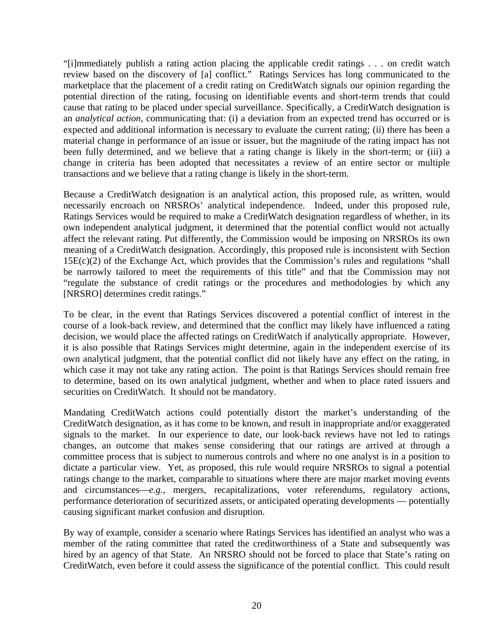"[i]mmediately publish a rating action placing the applicable credit ratings . . . on credit watch review based on the discovery of [a] conflict." Ratings Services has long communicated to the marketplace that the placement of a credit rating on CreditWatch signals our opinion regarding the potential direction of the rating, focusing on identifiable events and short-term trends that could cause that rating to be placed under special surveillance. Specifically, a CreditWatch designation is an *analytical action*, communicating that: (i) a deviation from an expected trend has occurred or is expected and additional information is necessary to evaluate the current rating; (ii) there has been a material change in performance of an issue or issuer, but the magnitude of the rating impact has not been fully determined, and we believe that a rating change is likely in the short-term; or (iii) a change in criteria has been adopted that necessitates a review of an entire sector or multiple transactions and we believe that a rating change is likely in the short-term.

Because a CreditWatch designation is an analytical action, this proposed rule, as written, would necessarily encroach on NRSROs' analytical independence. Indeed, under this proposed rule, Ratings Services would be required to make a CreditWatch designation regardless of whether, in its own independent analytical judgment, it determined that the potential conflict would not actually affect the relevant rating. Put differently, the Commission would be imposing on NRSROs its own meaning of a CreditWatch designation. Accordingly, this proposed rule is inconsistent with Section 15E(c)(2) of the Exchange Act, which provides that the Commission's rules and regulations "shall be narrowly tailored to meet the requirements of this title" and that the Commission may not "regulate the substance of credit ratings or the procedures and methodologies by which any [NRSRO] determines credit ratings."

To be clear, in the event that Ratings Services discovered a potential conflict of interest in the course of a look-back review, and determined that the conflict may likely have influenced a rating decision, we would place the affected ratings on CreditWatch if analytically appropriate. However, it is also possible that Ratings Services might determine, again in the independent exercise of its own analytical judgment, that the potential conflict did not likely have any effect on the rating, in which case it may not take any rating action. The point is that Ratings Services should remain free to determine, based on its own analytical judgment, whether and when to place rated issuers and securities on CreditWatch. It should not be mandatory.

Mandating CreditWatch actions could potentially distort the market's understanding of the CreditWatch designation, as it has come to be known, and result in inappropriate and/or exaggerated signals to the market. In our experience to date, our look-back reviews have not led to ratings changes, an outcome that makes sense considering that our ratings are arrived at through a committee process that is subject to numerous controls and where no one analyst is in a position to dictate a particular view. Yet, as proposed, this rule would require NRSROs to signal a potential ratings change to the market, comparable to situations where there are major market moving events and circumstances—*e.g.,* mergers, recapitalizations, voter referendums, regulatory actions, performance deterioration of securitized assets, or anticipated operating developments — potentially causing significant market confusion and disruption.

By way of example, consider a scenario where Ratings Services has identified an analyst who was a member of the rating committee that rated the creditworthiness of a State and subsequently was hired by an agency of that State. An NRSRO should not be forced to place that State's rating on CreditWatch, even before it could assess the significance of the potential conflict. This could result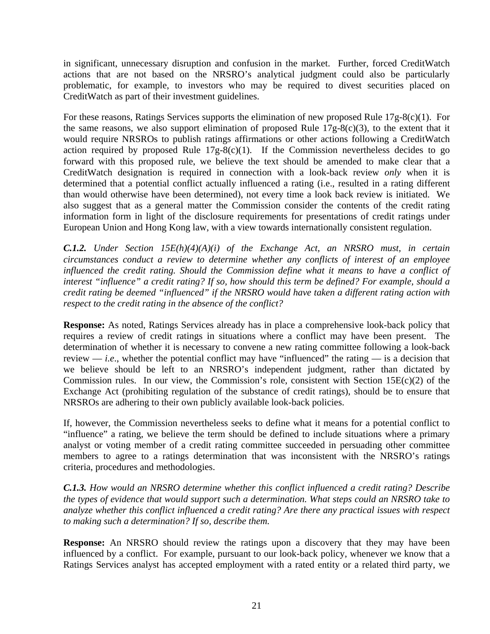in significant, unnecessary disruption and confusion in the market. Further, forced CreditWatch actions that are not based on the NRSRO's analytical judgment could also be particularly problematic, for example, to investors who may be required to divest securities placed on CreditWatch as part of their investment guidelines.

For these reasons, Ratings Services supports the elimination of new proposed Rule 17g-8(c)(1). For the same reasons, we also support elimination of proposed Rule  $17g-8(c)(3)$ , to the extent that it would require NRSROs to publish ratings affirmations or other actions following a CreditWatch action required by proposed Rule  $17g-8(c)(1)$ . If the Commission nevertheless decides to go forward with this proposed rule, we believe the text should be amended to make clear that a CreditWatch designation is required in connection with a look-back review *only* when it is determined that a potential conflict actually influenced a rating (i.e., resulted in a rating different than would otherwise have been determined), not every time a look back review is initiated. We also suggest that as a general matter the Commission consider the contents of the credit rating information form in light of the disclosure requirements for presentations of credit ratings under European Union and Hong Kong law, with a view towards internationally consistent regulation.

*C.1.2. Under Section 15E(h)(4)(A)(i) of the Exchange Act, an NRSRO must, in certain circumstances conduct a review to determine whether any conflicts of interest of an employee influenced the credit rating. Should the Commission define what it means to have a conflict of interest "influence" a credit rating? If so, how should this term be defined? For example, should a credit rating be deemed "influenced" if the NRSRO would have taken a different rating action with respect to the credit rating in the absence of the conflict?*

**Response:** As noted, Ratings Services already has in place a comprehensive look-back policy that requires a review of credit ratings in situations where a conflict may have been present. The determination of whether it is necessary to convene a new rating committee following a look-back review — *i.e.*, whether the potential conflict may have "influenced" the rating — is a decision that we believe should be left to an NRSRO's independent judgment, rather than dictated by Commission rules. In our view, the Commission's role, consistent with Section  $15E(c)(2)$  of the Exchange Act (prohibiting regulation of the substance of credit ratings), should be to ensure that NRSROs are adhering to their own publicly available look-back policies.

If, however, the Commission nevertheless seeks to define what it means for a potential conflict to "influence" a rating, we believe the term should be defined to include situations where a primary analyst or voting member of a credit rating committee succeeded in persuading other committee members to agree to a ratings determination that was inconsistent with the NRSRO's ratings criteria, procedures and methodologies.

*C.1.3. How would an NRSRO determine whether this conflict influenced a credit rating? Describe the types of evidence that would support such a determination. What steps could an NRSRO take to analyze whether this conflict influenced a credit rating? Are there any practical issues with respect to making such a determination? If so, describe them.*

**Response:** An NRSRO should review the ratings upon a discovery that they may have been influenced by a conflict. For example, pursuant to our look-back policy, whenever we know that a Ratings Services analyst has accepted employment with a rated entity or a related third party, we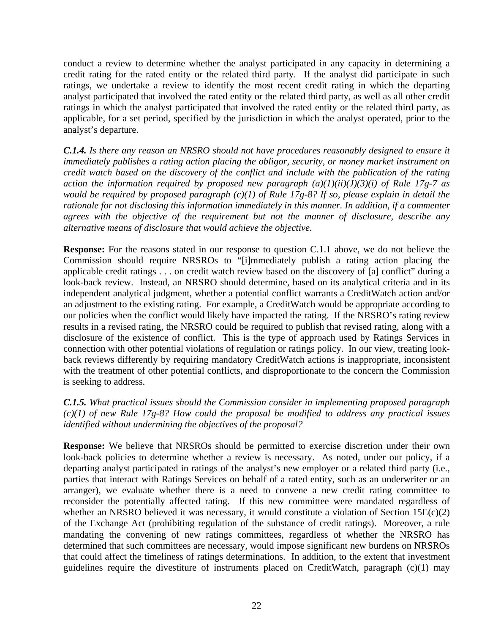conduct a review to determine whether the analyst participated in any capacity in determining a credit rating for the rated entity or the related third party. If the analyst did participate in such ratings, we undertake a review to identify the most recent credit rating in which the departing analyst participated that involved the rated entity or the related third party, as well as all other credit ratings in which the analyst participated that involved the rated entity or the related third party, as applicable, for a set period, specified by the jurisdiction in which the analyst operated, prior to the analyst's departure.

*C.1.4. Is there any reason an NRSRO should not have procedures reasonably designed to ensure it immediately publishes a rating action placing the obligor, security, or money market instrument on credit watch based on the discovery of the conflict and include with the publication of the rating action the information required by proposed new paragraph (a)(1)(ii)(J)(3)(i) of Rule 17g-7 as would be required by proposed paragraph (c)(1) of Rule 17g-8? If so, please explain in detail the rationale for not disclosing this information immediately in this manner. In addition, if a commenter agrees with the objective of the requirement but not the manner of disclosure, describe any alternative means of disclosure that would achieve the objective.* 

**Response:** For the reasons stated in our response to question C.1.1 above, we do not believe the Commission should require NRSROs to "[i]mmediately publish a rating action placing the applicable credit ratings . . . on credit watch review based on the discovery of [a] conflict" during a look-back review. Instead, an NRSRO should determine, based on its analytical criteria and in its independent analytical judgment, whether a potential conflict warrants a CreditWatch action and/or an adjustment to the existing rating. For example, a CreditWatch would be appropriate according to our policies when the conflict would likely have impacted the rating. If the NRSRO's rating review results in a revised rating, the NRSRO could be required to publish that revised rating, along with a disclosure of the existence of conflict. This is the type of approach used by Ratings Services in connection with other potential violations of regulation or ratings policy. In our view, treating lookback reviews differently by requiring mandatory CreditWatch actions is inappropriate, inconsistent with the treatment of other potential conflicts, and disproportionate to the concern the Commission is seeking to address.

*C.1.5. What practical issues should the Commission consider in implementing proposed paragraph (c)(1) of new Rule 17g-8? How could the proposal be modified to address any practical issues identified without undermining the objectives of the proposal?* 

**Response:** We believe that NRSROs should be permitted to exercise discretion under their own look-back policies to determine whether a review is necessary. As noted, under our policy, if a departing analyst participated in ratings of the analyst's new employer or a related third party (i.e., parties that interact with Ratings Services on behalf of a rated entity, such as an underwriter or an arranger), we evaluate whether there is a need to convene a new credit rating committee to reconsider the potentially affected rating. If this new committee were mandated regardless of whether an NRSRO believed it was necessary, it would constitute a violation of Section  $15E(c)(2)$ of the Exchange Act (prohibiting regulation of the substance of credit ratings). Moreover, a rule mandating the convening of new ratings committees, regardless of whether the NRSRO has determined that such committees are necessary, would impose significant new burdens on NRSROs that could affect the timeliness of ratings determinations. In addition, to the extent that investment guidelines require the divestiture of instruments placed on CreditWatch, paragraph (c)(1) may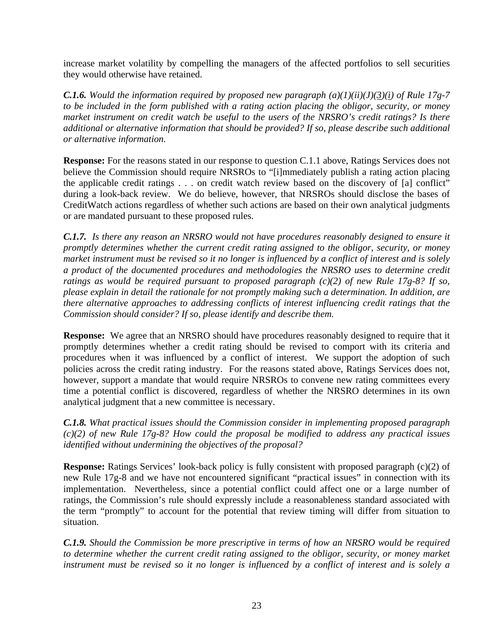increase market volatility by compelling the managers of the affected portfolios to sell securities they would otherwise have retained.

*C.1.6. Would the information required by proposed new paragraph (a)(1)(ii)(J)(3)(i) of Rule 17g-7 to be included in the form published with a rating action placing the obligor, security, or money market instrument on credit watch be useful to the users of the NRSRO's credit ratings? Is there additional or alternative information that should be provided? If so, please describe such additional or alternative information.* 

**Response:** For the reasons stated in our response to question C.1.1 above, Ratings Services does not believe the Commission should require NRSROs to "[i]mmediately publish a rating action placing the applicable credit ratings . . . on credit watch review based on the discovery of [a] conflict" during a look-back review. We do believe, however, that NRSROs should disclose the bases of CreditWatch actions regardless of whether such actions are based on their own analytical judgments or are mandated pursuant to these proposed rules.

*C.1.7. Is there any reason an NRSRO would not have procedures reasonably designed to ensure it promptly determines whether the current credit rating assigned to the obligor, security, or money market instrument must be revised so it no longer is influenced by a conflict of interest and is solely a product of the documented procedures and methodologies the NRSRO uses to determine credit ratings as would be required pursuant to proposed paragraph (c)(2) of new Rule 17g-8? If so, please explain in detail the rationale for not promptly making such a determination. In addition, are there alternative approaches to addressing conflicts of interest influencing credit ratings that the Commission should consider? If so, please identify and describe them.* 

**Response:** We agree that an NRSRO should have procedures reasonably designed to require that it promptly determines whether a credit rating should be revised to comport with its criteria and procedures when it was influenced by a conflict of interest. We support the adoption of such policies across the credit rating industry. For the reasons stated above, Ratings Services does not, however, support a mandate that would require NRSROs to convene new rating committees every time a potential conflict is discovered, regardless of whether the NRSRO determines in its own analytical judgment that a new committee is necessary.

*C.1.8. What practical issues should the Commission consider in implementing proposed paragraph (c)(2) of new Rule 17g-8? How could the proposal be modified to address any practical issues identified without undermining the objectives of the proposal?* 

**Response:** Ratings Services' look-back policy is fully consistent with proposed paragraph (c)(2) of new Rule 17g-8 and we have not encountered significant "practical issues" in connection with its implementation. Nevertheless, since a potential conflict could affect one or a large number of ratings, the Commission's rule should expressly include a reasonableness standard associated with the term "promptly" to account for the potential that review timing will differ from situation to situation.

*C.1.9. Should the Commission be more prescriptive in terms of how an NRSRO would be required to determine whether the current credit rating assigned to the obligor, security, or money market instrument must be revised so it no longer is influenced by a conflict of interest and is solely a*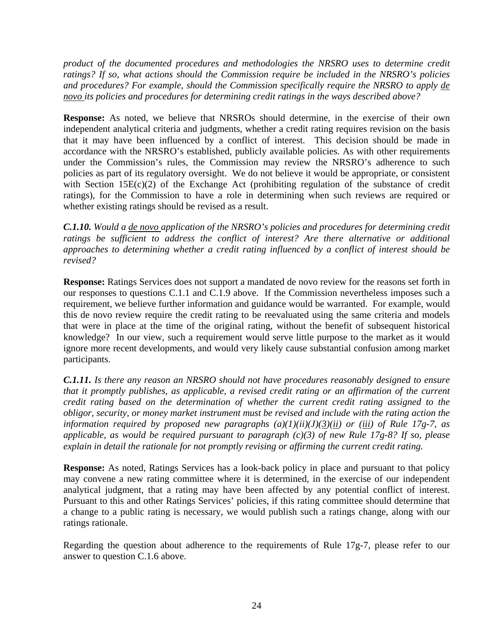*product of the documented procedures and methodologies the NRSRO uses to determine credit ratings? If so, what actions should the Commission require be included in the NRSRO's policies and procedures? For example, should the Commission specifically require the NRSRO to apply de novo its policies and procedures for determining credit ratings in the ways described above?*

**Response:** As noted, we believe that NRSROs should determine, in the exercise of their own independent analytical criteria and judgments, whether a credit rating requires revision on the basis that it may have been influenced by a conflict of interest. This decision should be made in accordance with the NRSRO's established, publicly available policies. As with other requirements under the Commission's rules, the Commission may review the NRSRO's adherence to such policies as part of its regulatory oversight. We do not believe it would be appropriate, or consistent with Section 15E(c)(2) of the Exchange Act (prohibiting regulation of the substance of credit ratings), for the Commission to have a role in determining when such reviews are required or whether existing ratings should be revised as a result.

*C.1.10. Would a de novo application of the NRSRO's policies and procedures for determining credit ratings be sufficient to address the conflict of interest? Are there alternative or additional approaches to determining whether a credit rating influenced by a conflict of interest should be revised?* 

**Response:** Ratings Services does not support a mandated de novo review for the reasons set forth in our responses to questions C.1.1 and C.1.9 above. If the Commission nevertheless imposes such a requirement, we believe further information and guidance would be warranted. For example, would this de novo review require the credit rating to be reevaluated using the same criteria and models that were in place at the time of the original rating, without the benefit of subsequent historical knowledge? In our view, such a requirement would serve little purpose to the market as it would ignore more recent developments, and would very likely cause substantial confusion among market participants.

*C.1.11. Is there any reason an NRSRO should not have procedures reasonably designed to ensure that it promptly publishes, as applicable, a revised credit rating or an affirmation of the current credit rating based on the determination of whether the current credit rating assigned to the obligor, security, or money market instrument must be revised and include with the rating action the information required by proposed new paragraphs*  $(a)(1)(ii)(J)(3)(ii)$  *or*  $(iii)$  *of Rule 17g-7, as applicable, as would be required pursuant to paragraph (c)(3) of new Rule 17g-8? If so, please explain in detail the rationale for not promptly revising or affirming the current credit rating.* 

**Response:** As noted, Ratings Services has a look-back policy in place and pursuant to that policy may convene a new rating committee where it is determined, in the exercise of our independent analytical judgment, that a rating may have been affected by any potential conflict of interest. Pursuant to this and other Ratings Services' policies, if this rating committee should determine that a change to a public rating is necessary, we would publish such a ratings change, along with our ratings rationale.

Regarding the question about adherence to the requirements of Rule 17g-7, please refer to our answer to question C.1.6 above.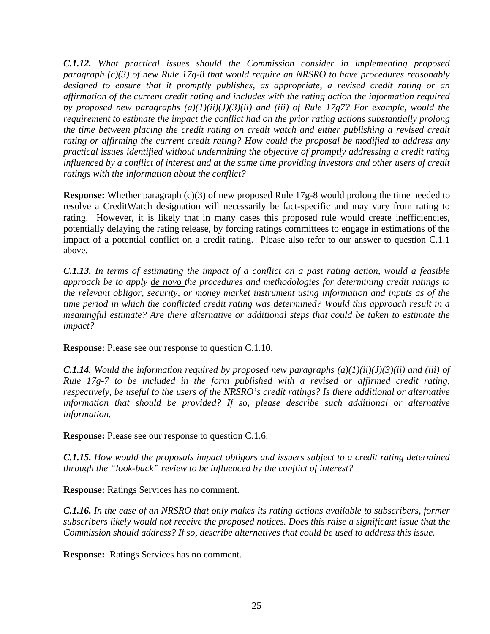*C.1.12. What practical issues should the Commission consider in implementing proposed paragraph (c)(3) of new Rule 17g-8 that would require an NRSRO to have procedures reasonably designed to ensure that it promptly publishes, as appropriate, a revised credit rating or an affirmation of the current credit rating and includes with the rating action the information required by proposed new paragraphs (a)(1)(ii)(J)(3)(ii) and (iii) of Rule 17g7? For example, would the requirement to estimate the impact the conflict had on the prior rating actions substantially prolong the time between placing the credit rating on credit watch and either publishing a revised credit rating or affirming the current credit rating? How could the proposal be modified to address any practical issues identified without undermining the objective of promptly addressing a credit rating influenced by a conflict of interest and at the same time providing investors and other users of credit ratings with the information about the conflict?*

**Response:** Whether paragraph (c)(3) of new proposed Rule 17g-8 would prolong the time needed to resolve a CreditWatch designation will necessarily be fact-specific and may vary from rating to rating. However, it is likely that in many cases this proposed rule would create inefficiencies, potentially delaying the rating release, by forcing ratings committees to engage in estimations of the impact of a potential conflict on a credit rating. Please also refer to our answer to question C.1.1 above.

*C.1.13. In terms of estimating the impact of a conflict on a past rating action, would a feasible approach be to apply de novo the procedures and methodologies for determining credit ratings to the relevant obligor, security, or money market instrument using information and inputs as of the time period in which the conflicted credit rating was determined? Would this approach result in a meaningful estimate? Are there alternative or additional steps that could be taken to estimate the impact?*

**Response:** Please see our response to question C.1.10.

*C.1.14.* Would the information required by proposed new paragraphs (a)(1)(ii)(J)(3)(ii) and (iii) of *Rule 17g-7 to be included in the form published with a revised or affirmed credit rating, respectively, be useful to the users of the NRSRO's credit ratings? Is there additional or alternative information that should be provided? If so, please describe such additional or alternative information.*

**Response:** Please see our response to question C.1.6.

*C.1.15. How would the proposals impact obligors and issuers subject to a credit rating determined through the "look-back" review to be influenced by the conflict of interest?* 

**Response:** Ratings Services has no comment.

*C.1.16. In the case of an NRSRO that only makes its rating actions available to subscribers, former subscribers likely would not receive the proposed notices. Does this raise a significant issue that the Commission should address? If so, describe alternatives that could be used to address this issue.*

**Response:** Ratings Services has no comment.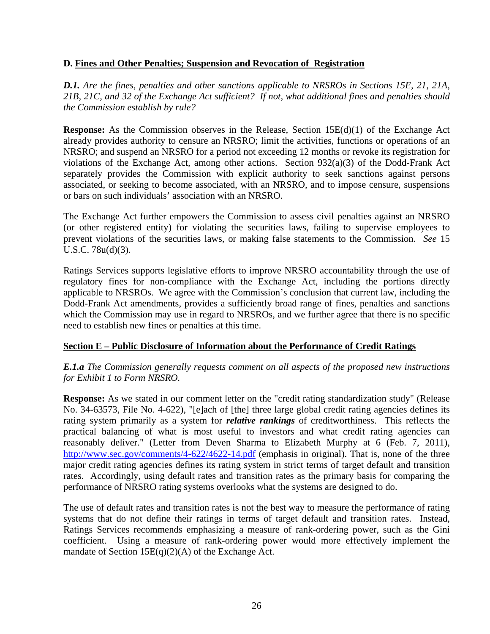### **D. Fines and Other Penalties; Suspension and Revocation of Registration**

*D.1. Are the fines, penalties and other sanctions applicable to NRSROs in Sections 15E, 21, 21A, 21B, 21C, and 32 of the Exchange Act sufficient? If not, what additional fines and penalties should the Commission establish by rule?*

**Response:** As the Commission observes in the Release, Section 15E(d)(1) of the Exchange Act already provides authority to censure an NRSRO; limit the activities, functions or operations of an NRSRO; and suspend an NRSRO for a period not exceeding 12 months or revoke its registration for violations of the Exchange Act, among other actions. Section 932(a)(3) of the Dodd-Frank Act separately provides the Commission with explicit authority to seek sanctions against persons associated, or seeking to become associated, with an NRSRO, and to impose censure, suspensions or bars on such individuals' association with an NRSRO.

The Exchange Act further empowers the Commission to assess civil penalties against an NRSRO (or other registered entity) for violating the securities laws, failing to supervise employees to prevent violations of the securities laws, or making false statements to the Commission. *See* 15 U.S.C. 78u(d)(3).

Ratings Services supports legislative efforts to improve NRSRO accountability through the use of regulatory fines for non-compliance with the Exchange Act, including the portions directly applicable to NRSROs. We agree with the Commission's conclusion that current law, including the Dodd-Frank Act amendments, provides a sufficiently broad range of fines, penalties and sanctions which the Commission may use in regard to NRSROs, and we further agree that there is no specific need to establish new fines or penalties at this time.

# **Section E – Public Disclosure of Information about the Performance of Credit Ratings**

# *E.1.a The Commission generally requests comment on all aspects of the proposed new instructions for Exhibit 1 to Form NRSRO.*

**Response:** As we stated in our comment letter on the "credit rating standardization study" (Release No. 34-63573, File No. 4-622), "[e]ach of [the] three large global credit rating agencies defines its rating system primarily as a system for *relative rankings* of creditworthiness. This reflects the practical balancing of what is most useful to investors and what credit rating agencies can reasonably deliver." (Letter from Deven Sharma to Elizabeth Murphy at 6 (Feb. 7, 2011), <http://www.sec.gov/comments/4-622/4622-14.pdf>(emphasis in original). That is, none of the three major credit rating agencies defines its rating system in strict terms of target default and transition rates. Accordingly, using default rates and transition rates as the primary basis for comparing the performance of NRSRO rating systems overlooks what the systems are designed to do.

The use of default rates and transition rates is not the best way to measure the performance of rating systems that do not define their ratings in terms of target default and transition rates. Instead, Ratings Services recommends emphasizing a measure of rank-ordering power, such as the Gini coefficient. Using a measure of rank-ordering power would more effectively implement the mandate of Section 15E(q)(2)(A) of the Exchange Act.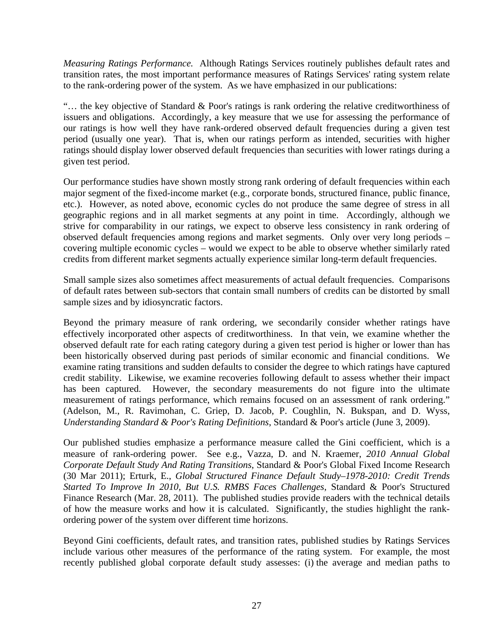*Measuring Ratings Performance.* Although Ratings Services routinely publishes default rates and transition rates, the most important performance measures of Ratings Services' rating system relate to the rank-ordering power of the system. As we have emphasized in our publications:

"… the key objective of Standard & Poor's ratings is rank ordering the relative creditworthiness of issuers and obligations. Accordingly, a key measure that we use for assessing the performance of our ratings is how well they have rank-ordered observed default frequencies during a given test period (usually one year). That is, when our ratings perform as intended, securities with higher ratings should display lower observed default frequencies than securities with lower ratings during a given test period.

Our performance studies have shown mostly strong rank ordering of default frequencies within each major segment of the fixed-income market (e.g., corporate bonds, structured finance, public finance, etc.). However, as noted above, economic cycles do not produce the same degree of stress in all geographic regions and in all market segments at any point in time. Accordingly, although we strive for comparability in our ratings, we expect to observe less consistency in rank ordering of observed default frequencies among regions and market segments. Only over very long periods – covering multiple economic cycles – would we expect to be able to observe whether similarly rated credits from different market segments actually experience similar long-term default frequencies.

Small sample sizes also sometimes affect measurements of actual default frequencies. Comparisons of default rates between sub-sectors that contain small numbers of credits can be distorted by small sample sizes and by idiosyncratic factors.

Beyond the primary measure of rank ordering, we secondarily consider whether ratings have effectively incorporated other aspects of creditworthiness. In that vein, we examine whether the observed default rate for each rating category during a given test period is higher or lower than has been historically observed during past periods of similar economic and financial conditions. We examine rating transitions and sudden defaults to consider the degree to which ratings have captured credit stability. Likewise, we examine recoveries following default to assess whether their impact has been captured. However, the secondary measurements do not figure into the ultimate measurement of ratings performance, which remains focused on an assessment of rank ordering." (Adelson, M., R. Ravimohan, C. Griep, D. Jacob, P. Coughlin, N. Bukspan, and D. Wyss, *Understanding Standard & Poor's Rating Definitions*, Standard & Poor's article (June 3, 2009).

Our published studies emphasize a performance measure called the Gini coefficient, which is a measure of rank-ordering power. See e.g., Vazza, D. and N. Kraemer, *2010 Annual Global Corporate Default Study And Rating Transitions*, Standard & Poor's Global Fixed Income Research (30 Mar 2011); Erturk, E., *Global Structured Finance Default Study–1978-2010: Credit Trends Started To Improve In 2010, But U.S. RMBS Faces Challenges*, Standard & Poor's Structured Finance Research (Mar. 28, 2011). The published studies provide readers with the technical details of how the measure works and how it is calculated. Significantly, the studies highlight the rankordering power of the system over different time horizons.

Beyond Gini coefficients, default rates, and transition rates, published studies by Ratings Services include various other measures of the performance of the rating system. For example, the most recently published global corporate default study assesses: (i) the average and median paths to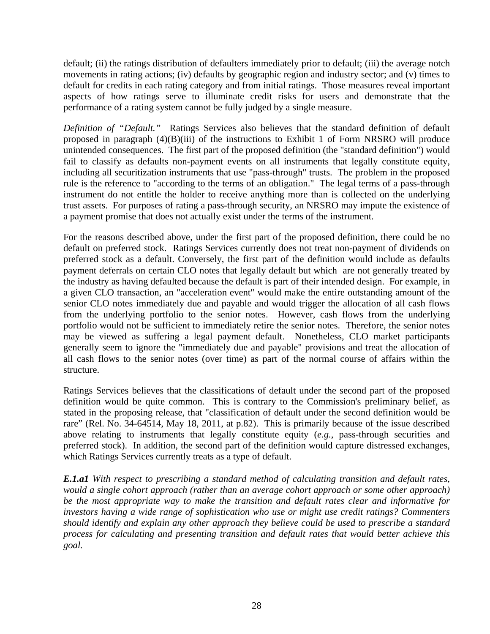default; (ii) the ratings distribution of defaulters immediately prior to default; (iii) the average notch movements in rating actions; (iv) defaults by geographic region and industry sector; and (v) times to default for credits in each rating category and from initial ratings. Those measures reveal important aspects of how ratings serve to illuminate credit risks for users and demonstrate that the performance of a rating system cannot be fully judged by a single measure.

*Definition of "Default."* Ratings Services also believes that the standard definition of default proposed in paragraph (4)(B)(iii) of the instructions to Exhibit 1 of Form NRSRO will produce unintended consequences. The first part of the proposed definition (the "standard definition") would fail to classify as defaults non-payment events on all instruments that legally constitute equity, including all securitization instruments that use "pass-through" trusts. The problem in the proposed rule is the reference to "according to the terms of an obligation." The legal terms of a pass-through instrument do not entitle the holder to receive anything more than is collected on the underlying trust assets. For purposes of rating a pass-through security, an NRSRO may impute the existence of a payment promise that does not actually exist under the terms of the instrument.

For the reasons described above, under the first part of the proposed definition, there could be no default on preferred stock. Ratings Services currently does not treat non-payment of dividends on preferred stock as a default. Conversely, the first part of the definition would include as defaults payment deferrals on certain CLO notes that legally default but which are not generally treated by the industry as having defaulted because the default is part of their intended design. For example, in a given CLO transaction, an "acceleration event" would make the entire outstanding amount of the senior CLO notes immediately due and payable and would trigger the allocation of all cash flows from the underlying portfolio to the senior notes. However, cash flows from the underlying portfolio would not be sufficient to immediately retire the senior notes. Therefore, the senior notes may be viewed as suffering a legal payment default. Nonetheless, CLO market participants generally seem to ignore the "immediately due and payable" provisions and treat the allocation of all cash flows to the senior notes (over time) as part of the normal course of affairs within the structure.

Ratings Services believes that the classifications of default under the second part of the proposed definition would be quite common. This is contrary to the Commission's preliminary belief, as stated in the proposing release, that "classification of default under the second definition would be rare" (Rel. No. 34-64514, May 18, 2011, at p.82). This is primarily because of the issue described above relating to instruments that legally constitute equity (*e.g.*, pass-through securities and preferred stock). In addition, the second part of the definition would capture distressed exchanges, which Ratings Services currently treats as a type of default.

*E.1.a1 With respect to prescribing a standard method of calculating transition and default rates, would a single cohort approach (rather than an average cohort approach or some other approach) be the most appropriate way to make the transition and default rates clear and informative for investors having a wide range of sophistication who use or might use credit ratings? Commenters should identify and explain any other approach they believe could be used to prescribe a standard process for calculating and presenting transition and default rates that would better achieve this goal.*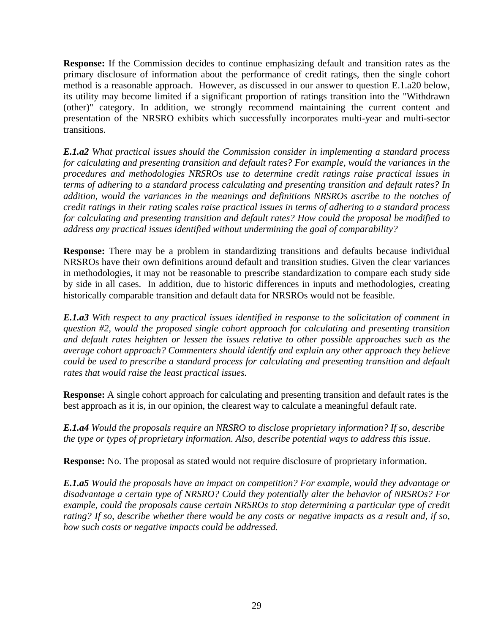**Response:** If the Commission decides to continue emphasizing default and transition rates as the primary disclosure of information about the performance of credit ratings, then the single cohort method is a reasonable approach. However, as discussed in our answer to question E.1.a20 below, its utility may become limited if a significant proportion of ratings transition into the "Withdrawn (other)" category. In addition, we strongly recommend maintaining the current content and presentation of the NRSRO exhibits which successfully incorporates multi-year and multi-sector transitions.

*E.1.a2 What practical issues should the Commission consider in implementing a standard process for calculating and presenting transition and default rates? For example, would the variances in the procedures and methodologies NRSROs use to determine credit ratings raise practical issues in terms of adhering to a standard process calculating and presenting transition and default rates? In addition, would the variances in the meanings and definitions NRSROs ascribe to the notches of credit ratings in their rating scales raise practical issues in terms of adhering to a standard process for calculating and presenting transition and default rates? How could the proposal be modified to address any practical issues identified without undermining the goal of comparability?* 

**Response:** There may be a problem in standardizing transitions and defaults because individual NRSROs have their own definitions around default and transition studies. Given the clear variances in methodologies, it may not be reasonable to prescribe standardization to compare each study side by side in all cases. In addition, due to historic differences in inputs and methodologies, creating historically comparable transition and default data for NRSROs would not be feasible.

*E.1.a3 With respect to any practical issues identified in response to the solicitation of comment in question #2, would the proposed single cohort approach for calculating and presenting transition and default rates heighten or lessen the issues relative to other possible approaches such as the average cohort approach? Commenters should identify and explain any other approach they believe could be used to prescribe a standard process for calculating and presenting transition and default rates that would raise the least practical issues.*

**Response:** A single cohort approach for calculating and presenting transition and default rates is the best approach as it is, in our opinion, the clearest way to calculate a meaningful default rate.

*E.1.a4 Would the proposals require an NRSRO to disclose proprietary information? If so, describe the type or types of proprietary information. Also, describe potential ways to address this issue.* 

**Response:** No. The proposal as stated would not require disclosure of proprietary information.

*E.1.a5 Would the proposals have an impact on competition? For example, would they advantage or disadvantage a certain type of NRSRO? Could they potentially alter the behavior of NRSROs? For example, could the proposals cause certain NRSROs to stop determining a particular type of credit rating? If so, describe whether there would be any costs or negative impacts as a result and, if so, how such costs or negative impacts could be addressed.*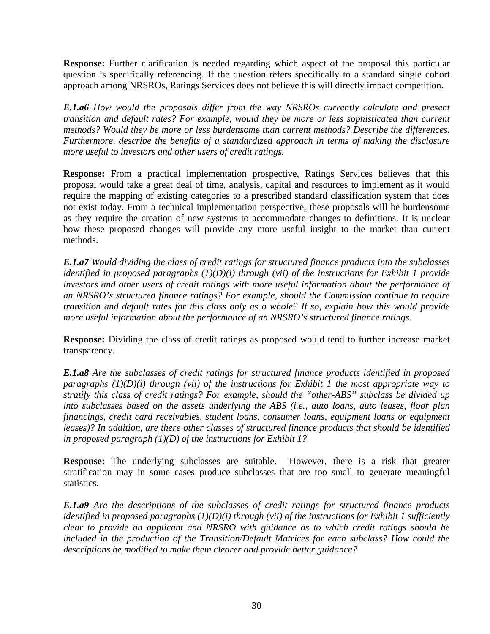**Response:** Further clarification is needed regarding which aspect of the proposal this particular question is specifically referencing. If the question refers specifically to a standard single cohort approach among NRSROs, Ratings Services does not believe this will directly impact competition.

*E.1.a6 How would the proposals differ from the way NRSROs currently calculate and present transition and default rates? For example, would they be more or less sophisticated than current methods? Would they be more or less burdensome than current methods? Describe the differences. Furthermore, describe the benefits of a standardized approach in terms of making the disclosure more useful to investors and other users of credit ratings.* 

**Response:** From a practical implementation prospective, Ratings Services believes that this proposal would take a great deal of time, analysis, capital and resources to implement as it would require the mapping of existing categories to a prescribed standard classification system that does not exist today. From a technical implementation perspective, these proposals will be burdensome as they require the creation of new systems to accommodate changes to definitions. It is unclear how these proposed changes will provide any more useful insight to the market than current methods.

*E.1.a7 Would dividing the class of credit ratings for structured finance products into the subclasses identified in proposed paragraphs (1)(D)(i) through (vii) of the instructions for Exhibit 1 provide investors and other users of credit ratings with more useful information about the performance of an NRSRO's structured finance ratings? For example, should the Commission continue to require transition and default rates for this class only as a whole? If so, explain how this would provide more useful information about the performance of an NRSRO's structured finance ratings.* 

**Response:** Dividing the class of credit ratings as proposed would tend to further increase market transparency.

*E.1.a8 Are the subclasses of credit ratings for structured finance products identified in proposed paragraphs (1)(D)(i) through (vii) of the instructions for Exhibit 1 the most appropriate way to stratify this class of credit ratings? For example, should the "other-ABS" subclass be divided up into subclasses based on the assets underlying the ABS (i.e., auto loans, auto leases, floor plan financings, credit card receivables, student loans, consumer loans, equipment loans or equipment leases)? In addition, are there other classes of structured finance products that should be identified in proposed paragraph (1)(D) of the instructions for Exhibit 1?* 

**Response:** The underlying subclasses are suitable. However, there is a risk that greater stratification may in some cases produce subclasses that are too small to generate meaningful statistics.

*E.1.a9 Are the descriptions of the subclasses of credit ratings for structured finance products identified in proposed paragraphs (1)(D)(i) through (vii) of the instructions for Exhibit 1 sufficiently clear to provide an applicant and NRSRO with guidance as to which credit ratings should be*  included in the production of the Transition/Default Matrices for each subclass? How could the *descriptions be modified to make them clearer and provide better guidance?*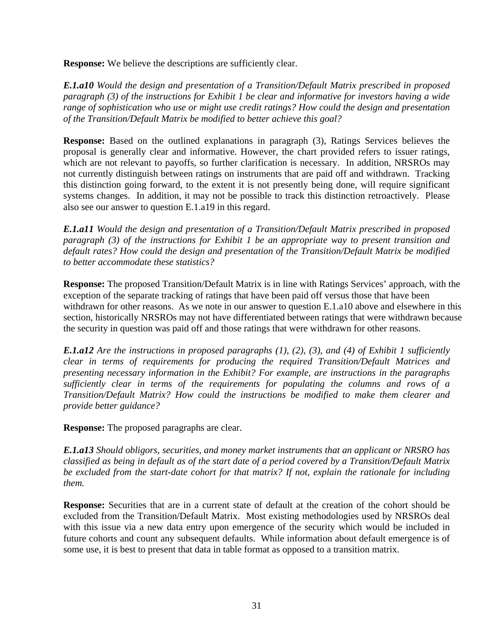**Response:** We believe the descriptions are sufficiently clear.

*E.1.a10 Would the design and presentation of a Transition/Default Matrix prescribed in proposed paragraph (3) of the instructions for Exhibit 1 be clear and informative for investors having a wide range of sophistication who use or might use credit ratings? How could the design and presentation of the Transition/Default Matrix be modified to better achieve this goal?* 

**Response:** Based on the outlined explanations in paragraph (3), Ratings Services believes the proposal is generally clear and informative. However, the chart provided refers to issuer ratings, which are not relevant to payoffs, so further clarification is necessary. In addition, NRSROs may not currently distinguish between ratings on instruments that are paid off and withdrawn. Tracking this distinction going forward, to the extent it is not presently being done, will require significant systems changes. In addition, it may not be possible to track this distinction retroactively. Please also see our answer to question E.1.a19 in this regard.

*E.1.a11 Would the design and presentation of a Transition/Default Matrix prescribed in proposed paragraph (3) of the instructions for Exhibit 1 be an appropriate way to present transition and default rates? How could the design and presentation of the Transition/Default Matrix be modified to better accommodate these statistics?* 

**Response:** The proposed Transition/Default Matrix is in line with Ratings Services' approach, with the exception of the separate tracking of ratings that have been paid off versus those that have been withdrawn for other reasons. As we note in our answer to question E.1.a10 above and elsewhere in this section, historically NRSROs may not have differentiated between ratings that were withdrawn because the security in question was paid off and those ratings that were withdrawn for other reasons.

*E.1.a12 Are the instructions in proposed paragraphs (1), (2), (3), and (4) of Exhibit 1 sufficiently clear in terms of requirements for producing the required Transition/Default Matrices and presenting necessary information in the Exhibit? For example, are instructions in the paragraphs sufficiently clear in terms of the requirements for populating the columns and rows of a Transition/Default Matrix? How could the instructions be modified to make them clearer and provide better guidance?* 

**Response:** The proposed paragraphs are clear.

*E.1.a13 Should obligors, securities, and money market instruments that an applicant or NRSRO has classified as being in default as of the start date of a period covered by a Transition/Default Matrix be excluded from the start-date cohort for that matrix? If not, explain the rationale for including them.* 

**Response:** Securities that are in a current state of default at the creation of the cohort should be excluded from the Transition/Default Matrix. Most existing methodologies used by NRSROs deal with this issue via a new data entry upon emergence of the security which would be included in future cohorts and count any subsequent defaults. While information about default emergence is of some use, it is best to present that data in table format as opposed to a transition matrix.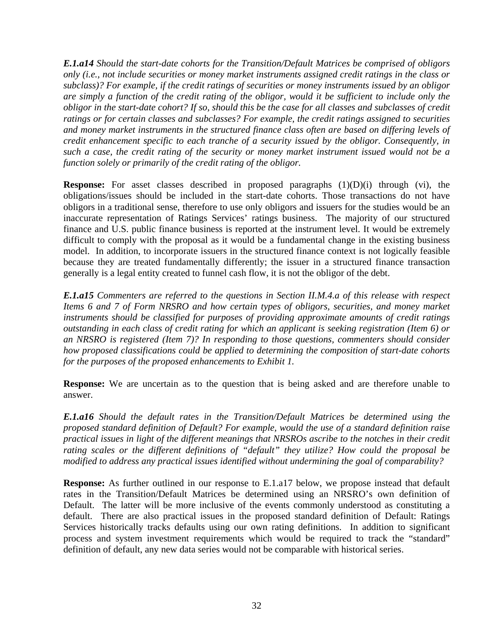*E.1.a14 Should the start-date cohorts for the Transition/Default Matrices be comprised of obligors only (i.e., not include securities or money market instruments assigned credit ratings in the class or subclass)? For example, if the credit ratings of securities or money instruments issued by an obligor are simply a function of the credit rating of the obligor, would it be sufficient to include only the obligor in the start-date cohort? If so, should this be the case for all classes and subclasses of credit ratings or for certain classes and subclasses? For example, the credit ratings assigned to securities and money market instruments in the structured finance class often are based on differing levels of credit enhancement specific to each tranche of a security issued by the obligor. Consequently, in such a case, the credit rating of the security or money market instrument issued would not be a function solely or primarily of the credit rating of the obligor.* 

**Response:** For asset classes described in proposed paragraphs  $(1)(D)(i)$  through (vi), the obligations/issues should be included in the start-date cohorts. Those transactions do not have obligors in a traditional sense, therefore to use only obligors and issuers for the studies would be an inaccurate representation of Ratings Services' ratings business. The majority of our structured finance and U.S. public finance business is reported at the instrument level. It would be extremely difficult to comply with the proposal as it would be a fundamental change in the existing business model. In addition, to incorporate issuers in the structured finance context is not logically feasible because they are treated fundamentally differently; the issuer in a structured finance transaction generally is a legal entity created to funnel cash flow, it is not the obligor of the debt.

*E.1.a15 Commenters are referred to the questions in Section II.M.4.a of this release with respect Items 6 and 7 of Form NRSRO and how certain types of obligors, securities, and money market instruments should be classified for purposes of providing approximate amounts of credit ratings outstanding in each class of credit rating for which an applicant is seeking registration (Item 6) or an NRSRO is registered (Item 7)? In responding to those questions, commenters should consider how proposed classifications could be applied to determining the composition of start-date cohorts for the purposes of the proposed enhancements to Exhibit 1.* 

**Response:** We are uncertain as to the question that is being asked and are therefore unable to answer.

*E.1.a16 Should the default rates in the Transition/Default Matrices be determined using the proposed standard definition of Default? For example, would the use of a standard definition raise practical issues in light of the different meanings that NRSROs ascribe to the notches in their credit rating scales or the different definitions of "default" they utilize? How could the proposal be modified to address any practical issues identified without undermining the goal of comparability?* 

**Response:** As further outlined in our response to E.1.a17 below, we propose instead that default rates in the Transition/Default Matrices be determined using an NRSRO's own definition of Default. The latter will be more inclusive of the events commonly understood as constituting a default. There are also practical issues in the proposed standard definition of Default: Ratings Services historically tracks defaults using our own rating definitions. In addition to significant process and system investment requirements which would be required to track the "standard" definition of default, any new data series would not be comparable with historical series.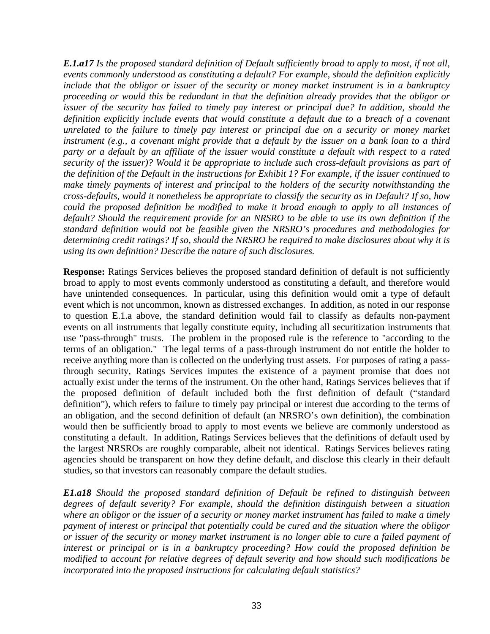*E.1.a17 Is the proposed standard definition of Default sufficiently broad to apply to most, if not all, events commonly understood as constituting a default? For example, should the definition explicitly include that the obligor or issuer of the security or money market instrument is in a bankruptcy proceeding or would this be redundant in that the definition already provides that the obligor or issuer of the security has failed to timely pay interest or principal due? In addition, should the* definition explicitly include events that would constitute a default due to a breach of a covenant *unrelated to the failure to timely pay interest or principal due on a security or money market instrument (e.g., a covenant might provide that a default by the issuer on a bank loan to a third party or a default by an affiliate of the issuer would constitute a default with respect to a rated security of the issuer)? Would it be appropriate to include such cross-default provisions as part of the definition of the Default in the instructions for Exhibit 1? For example, if the issuer continued to make timely payments of interest and principal to the holders of the security notwithstanding the cross-defaults, would it nonetheless be appropriate to classify the security as in Default? If so, how could the proposed definition be modified to make it broad enough to apply to all instances of default? Should the requirement provide for an NRSRO to be able to use its own definition if the standard definition would not be feasible given the NRSRO's procedures and methodologies for determining credit ratings? If so, should the NRSRO be required to make disclosures about why it is using its own definition? Describe the nature of such disclosures.* 

**Response:** Ratings Services believes the proposed standard definition of default is not sufficiently broad to apply to most events commonly understood as constituting a default, and therefore would have unintended consequences. In particular, using this definition would omit a type of default event which is not uncommon, known as distressed exchanges. In addition, as noted in our response to question E.1.a above, the standard definition would fail to classify as defaults non-payment events on all instruments that legally constitute equity, including all securitization instruments that use "pass-through" trusts. The problem in the proposed rule is the reference to "according to the terms of an obligation." The legal terms of a pass-through instrument do not entitle the holder to receive anything more than is collected on the underlying trust assets. For purposes of rating a passthrough security, Ratings Services imputes the existence of a payment promise that does not actually exist under the terms of the instrument. On the other hand, Ratings Services believes that if the proposed definition of default included both the first definition of default ("standard definition"), which refers to failure to timely pay principal or interest due according to the terms of an obligation, and the second definition of default (an NRSRO's own definition), the combination would then be sufficiently broad to apply to most events we believe are commonly understood as constituting a default. In addition, Ratings Services believes that the definitions of default used by the largest NRSROs are roughly comparable, albeit not identical. Ratings Services believes rating agencies should be transparent on how they define default, and disclose this clearly in their default studies, so that investors can reasonably compare the default studies.

*E1.a18 Should the proposed standard definition of Default be refined to distinguish between degrees of default severity? For example, should the definition distinguish between a situation where an obligor or the issuer of a security or money market instrument has failed to make a timely payment of interest or principal that potentially could be cured and the situation where the obligor or issuer of the security or money market instrument is no longer able to cure a failed payment of interest or principal or is in a bankruptcy proceeding? How could the proposed definition be modified to account for relative degrees of default severity and how should such modifications be incorporated into the proposed instructions for calculating default statistics?*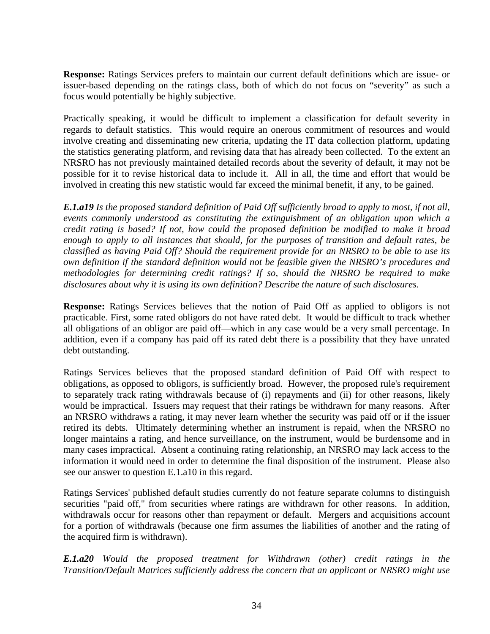**Response:** Ratings Services prefers to maintain our current default definitions which are issue- or issuer-based depending on the ratings class, both of which do not focus on "severity" as such a focus would potentially be highly subjective.

Practically speaking, it would be difficult to implement a classification for default severity in regards to default statistics. This would require an onerous commitment of resources and would involve creating and disseminating new criteria, updating the IT data collection platform, updating the statistics generating platform, and revising data that has already been collected. To the extent an NRSRO has not previously maintained detailed records about the severity of default, it may not be possible for it to revise historical data to include it. All in all, the time and effort that would be involved in creating this new statistic would far exceed the minimal benefit, if any, to be gained.

*E.1.a19 Is the proposed standard definition of Paid Off sufficiently broad to apply to most, if not all, events commonly understood as constituting the extinguishment of an obligation upon which a credit rating is based? If not, how could the proposed definition be modified to make it broad enough to apply to all instances that should, for the purposes of transition and default rates, be classified as having Paid Off? Should the requirement provide for an NRSRO to be able to use its own definition if the standard definition would not be feasible given the NRSRO's procedures and methodologies for determining credit ratings? If so, should the NRSRO be required to make disclosures about why it is using its own definition? Describe the nature of such disclosures.* 

**Response:** Ratings Services believes that the notion of Paid Off as applied to obligors is not practicable. First, some rated obligors do not have rated debt. It would be difficult to track whether all obligations of an obligor are paid off—which in any case would be a very small percentage. In addition, even if a company has paid off its rated debt there is a possibility that they have unrated debt outstanding.

Ratings Services believes that the proposed standard definition of Paid Off with respect to obligations, as opposed to obligors, is sufficiently broad. However, the proposed rule's requirement to separately track rating withdrawals because of (i) repayments and (ii) for other reasons, likely would be impractical. Issuers may request that their ratings be withdrawn for many reasons. After an NRSRO withdraws a rating, it may never learn whether the security was paid off or if the issuer retired its debts. Ultimately determining whether an instrument is repaid, when the NRSRO no longer maintains a rating, and hence surveillance, on the instrument, would be burdensome and in many cases impractical. Absent a continuing rating relationship, an NRSRO may lack access to the information it would need in order to determine the final disposition of the instrument. Please also see our answer to question E.1.a10 in this regard.

Ratings Services' published default studies currently do not feature separate columns to distinguish securities "paid off," from securities where ratings are withdrawn for other reasons. In addition, withdrawals occur for reasons other than repayment or default. Mergers and acquisitions account for a portion of withdrawals (because one firm assumes the liabilities of another and the rating of the acquired firm is withdrawn).

*E.1.a20 Would the proposed treatment for Withdrawn (other) credit ratings in the Transition/Default Matrices sufficiently address the concern that an applicant or NRSRO might use*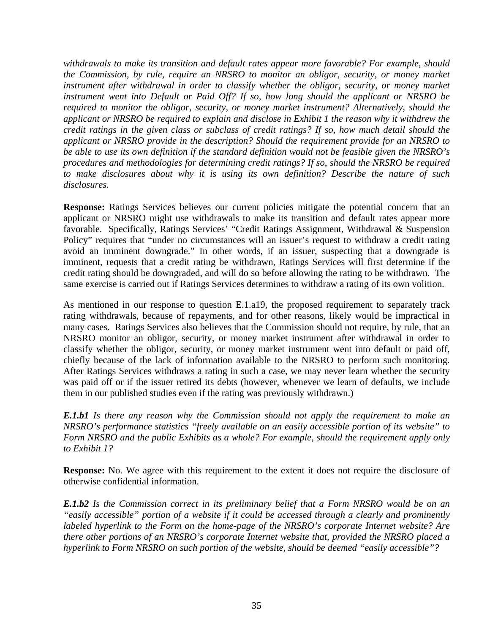*withdrawals to make its transition and default rates appear more favorable? For example, should the Commission, by rule, require an NRSRO to monitor an obligor, security, or money market instrument after withdrawal in order to classify whether the obligor, security, or money market instrument went into Default or Paid Off? If so, how long should the applicant or NRSRO be required to monitor the obligor, security, or money market instrument? Alternatively, should the applicant or NRSRO be required to explain and disclose in Exhibit 1 the reason why it withdrew the credit ratings in the given class or subclass of credit ratings? If so, how much detail should the applicant or NRSRO provide in the description? Should the requirement provide for an NRSRO to be able to use its own definition if the standard definition would not be feasible given the NRSRO's procedures and methodologies for determining credit ratings? If so, should the NRSRO be required to make disclosures about why it is using its own definition? Describe the nature of such disclosures.* 

**Response:** Ratings Services believes our current policies mitigate the potential concern that an applicant or NRSRO might use withdrawals to make its transition and default rates appear more favorable. Specifically, Ratings Services' "Credit Ratings Assignment, Withdrawal & Suspension Policy" requires that "under no circumstances will an issuer's request to withdraw a credit rating avoid an imminent downgrade." In other words, if an issuer, suspecting that a downgrade is imminent, requests that a credit rating be withdrawn, Ratings Services will first determine if the credit rating should be downgraded, and will do so before allowing the rating to be withdrawn. The same exercise is carried out if Ratings Services determines to withdraw a rating of its own volition.

As mentioned in our response to question E.1.a19, the proposed requirement to separately track rating withdrawals, because of repayments, and for other reasons, likely would be impractical in many cases. Ratings Services also believes that the Commission should not require, by rule, that an NRSRO monitor an obligor, security, or money market instrument after withdrawal in order to classify whether the obligor, security, or money market instrument went into default or paid off, chiefly because of the lack of information available to the NRSRO to perform such monitoring. After Ratings Services withdraws a rating in such a case, we may never learn whether the security was paid off or if the issuer retired its debts (however, whenever we learn of defaults, we include them in our published studies even if the rating was previously withdrawn.)

*E.1.b1 Is there any reason why the Commission should not apply the requirement to make an NRSRO's performance statistics "freely available on an easily accessible portion of its website" to Form NRSRO and the public Exhibits as a whole? For example, should the requirement apply only to Exhibit 1?* 

**Response:** No. We agree with this requirement to the extent it does not require the disclosure of otherwise confidential information.

*E.1.b2 Is the Commission correct in its preliminary belief that a Form NRSRO would be on an "easily accessible" portion of a website if it could be accessed through a clearly and prominently labeled hyperlink to the Form on the home-page of the NRSRO's corporate Internet website? Are there other portions of an NRSRO's corporate Internet website that, provided the NRSRO placed a hyperlink to Form NRSRO on such portion of the website, should be deemed "easily accessible"?*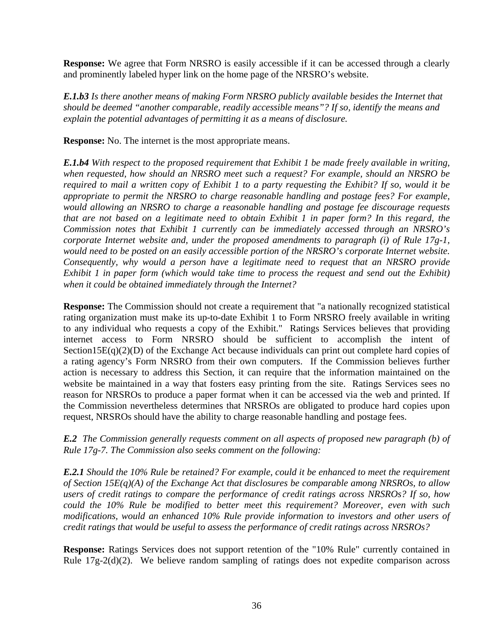**Response:** We agree that Form NRSRO is easily accessible if it can be accessed through a clearly and prominently labeled hyper link on the home page of the NRSRO's website.

*E.1.b3 Is there another means of making Form NRSRO publicly available besides the Internet that should be deemed "another comparable, readily accessible means"? If so, identify the means and explain the potential advantages of permitting it as a means of disclosure.* 

**Response:** No. The internet is the most appropriate means.

*E.1.b4 With respect to the proposed requirement that Exhibit 1 be made freely available in writing, when requested, how should an NRSRO meet such a request? For example, should an NRSRO be required to mail a written copy of Exhibit 1 to a party requesting the Exhibit? If so, would it be appropriate to permit the NRSRO to charge reasonable handling and postage fees? For example, would allowing an NRSRO to charge a reasonable handling and postage fee discourage requests that are not based on a legitimate need to obtain Exhibit 1 in paper form? In this regard, the Commission notes that Exhibit 1 currently can be immediately accessed through an NRSRO's corporate Internet website and, under the proposed amendments to paragraph (i) of Rule 17g-1, would need to be posted on an easily accessible portion of the NRSRO's corporate Internet website. Consequently, why would a person have a legitimate need to request that an NRSRO provide Exhibit 1 in paper form (which would take time to process the request and send out the Exhibit) when it could be obtained immediately through the Internet?* 

**Response:** The Commission should not create a requirement that "a nationally recognized statistical rating organization must make its up-to-date Exhibit 1 to Form NRSRO freely available in writing to any individual who requests a copy of the Exhibit." Ratings Services believes that providing internet access to Form NRSRO should be sufficient to accomplish the intent of Section15E(q)(2)(D) of the Exchange Act because individuals can print out complete hard copies of a rating agency's Form NRSRO from their own computers. If the Commission believes further action is necessary to address this Section, it can require that the information maintained on the website be maintained in a way that fosters easy printing from the site. Ratings Services sees no reason for NRSROs to produce a paper format when it can be accessed via the web and printed. If the Commission nevertheless determines that NRSROs are obligated to produce hard copies upon request, NRSROs should have the ability to charge reasonable handling and postage fees.

*E.2 The Commission generally requests comment on all aspects of proposed new paragraph (b) of Rule 17g-7. The Commission also seeks comment on the following:* 

*E.2.1 Should the 10% Rule be retained? For example, could it be enhanced to meet the requirement of Section 15E(q)(A) of the Exchange Act that disclosures be comparable among NRSROs, to allow users of credit ratings to compare the performance of credit ratings across NRSROs? If so, how could the 10% Rule be modified to better meet this requirement? Moreover, even with such modifications, would an enhanced 10% Rule provide information to investors and other users of credit ratings that would be useful to assess the performance of credit ratings across NRSROs?* 

**Response:** Ratings Services does not support retention of the "10% Rule" currently contained in Rule 17g-2(d)(2). We believe random sampling of ratings does not expedite comparison across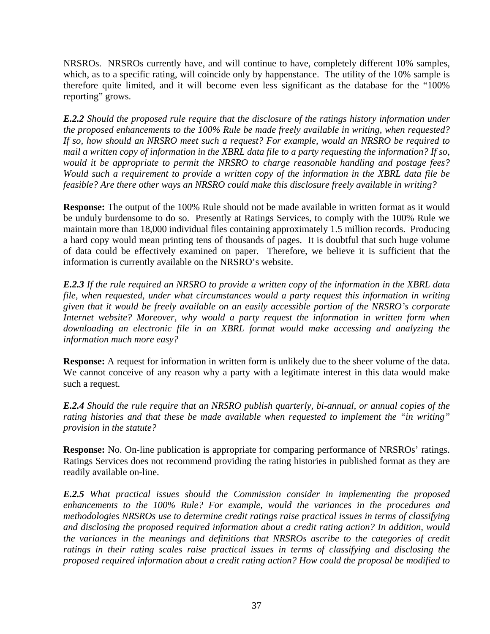NRSROs. NRSROs currently have, and will continue to have, completely different 10% samples, which, as to a specific rating, will coincide only by happenstance. The utility of the 10% sample is therefore quite limited, and it will become even less significant as the database for the "100% reporting" grows.

*E.2.2 Should the proposed rule require that the disclosure of the ratings history information under the proposed enhancements to the 100% Rule be made freely available in writing, when requested? If so, how should an NRSRO meet such a request? For example, would an NRSRO be required to mail a written copy of information in the XBRL data file to a party requesting the information? If so, would it be appropriate to permit the NRSRO to charge reasonable handling and postage fees? Would such a requirement to provide a written copy of the information in the XBRL data file be feasible? Are there other ways an NRSRO could make this disclosure freely available in writing?* 

**Response:** The output of the 100% Rule should not be made available in written format as it would be unduly burdensome to do so. Presently at Ratings Services, to comply with the 100% Rule we maintain more than 18,000 individual files containing approximately 1.5 million records. Producing a hard copy would mean printing tens of thousands of pages. It is doubtful that such huge volume of data could be effectively examined on paper. Therefore, we believe it is sufficient that the information is currently available on the NRSRO's website.

*E.2.3 If the rule required an NRSRO to provide a written copy of the information in the XBRL data file, when requested, under what circumstances would a party request this information in writing given that it would be freely available on an easily accessible portion of the NRSRO's corporate Internet website? Moreover, why would a party request the information in written form when downloading an electronic file in an XBRL format would make accessing and analyzing the information much more easy?* 

**Response:** A request for information in written form is unlikely due to the sheer volume of the data. We cannot conceive of any reason why a party with a legitimate interest in this data would make such a request.

*E.2.4 Should the rule require that an NRSRO publish quarterly, bi-annual, or annual copies of the rating histories and that these be made available when requested to implement the "in writing" provision in the statute?* 

**Response:** No. On-line publication is appropriate for comparing performance of NRSROs' ratings. Ratings Services does not recommend providing the rating histories in published format as they are readily available on-line.

*E.2.5 What practical issues should the Commission consider in implementing the proposed enhancements to the 100% Rule? For example, would the variances in the procedures and methodologies NRSROs use to determine credit ratings raise practical issues in terms of classifying and disclosing the proposed required information about a credit rating action? In addition, would the variances in the meanings and definitions that NRSROs ascribe to the categories of credit ratings in their rating scales raise practical issues in terms of classifying and disclosing the proposed required information about a credit rating action? How could the proposal be modified to*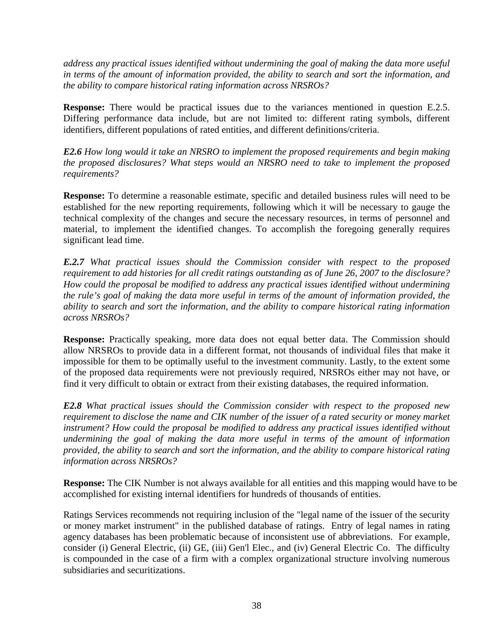*address any practical issues identified without undermining the goal of making the data more useful in terms of the amount of information provided, the ability to search and sort the information, and the ability to compare historical rating information across NRSROs?* 

**Response:** There would be practical issues due to the variances mentioned in question E.2.5. Differing performance data include, but are not limited to: different rating symbols, different identifiers, different populations of rated entities, and different definitions/criteria.

*E2.6 How long would it take an NRSRO to implement the proposed requirements and begin making the proposed disclosures? What steps would an NRSRO need to take to implement the proposed requirements?* 

**Response:** To determine a reasonable estimate, specific and detailed business rules will need to be established for the new reporting requirements, following which it will be necessary to gauge the technical complexity of the changes and secure the necessary resources, in terms of personnel and material, to implement the identified changes. To accomplish the foregoing generally requires significant lead time.

*E.2.7 What practical issues should the Commission consider with respect to the proposed requirement to add histories for all credit ratings outstanding as of June 26, 2007 to the disclosure? How could the proposal be modified to address any practical issues identified without undermining the rule's goal of making the data more useful in terms of the amount of information provided, the ability to search and sort the information, and the ability to compare historical rating information across NRSROs?* 

**Response:** Practically speaking, more data does not equal better data. The Commission should allow NRSROs to provide data in a different format, not thousands of individual files that make it impossible for them to be optimally useful to the investment community. Lastly, to the extent some of the proposed data requirements were not previously required, NRSROs either may not have, or find it very difficult to obtain or extract from their existing databases, the required information.

*E2.8 What practical issues should the Commission consider with respect to the proposed new requirement to disclose the name and CIK number of the issuer of a rated security or money market instrument? How could the proposal be modified to address any practical issues identified without undermining the goal of making the data more useful in terms of the amount of information provided, the ability to search and sort the information, and the ability to compare historical rating information across NRSROs?* 

**Response:** The CIK Number is not always available for all entities and this mapping would have to be accomplished for existing internal identifiers for hundreds of thousands of entities.

Ratings Services recommends not requiring inclusion of the "legal name of the issuer of the security or money market instrument" in the published database of ratings. Entry of legal names in rating agency databases has been problematic because of inconsistent use of abbreviations. For example, consider (i) General Electric, (ii) GE, (iii) Gen'l Elec., and (iv) General Electric Co. The difficulty is compounded in the case of a firm with a complex organizational structure involving numerous subsidiaries and securitizations.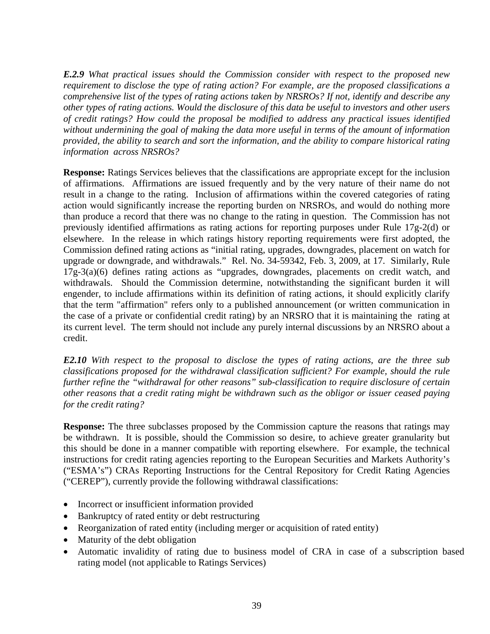*E.2.9 What practical issues should the Commission consider with respect to the proposed new requirement to disclose the type of rating action? For example, are the proposed classifications a comprehensive list of the types of rating actions taken by NRSROs? If not, identify and describe any other types of rating actions. Would the disclosure of this data be useful to investors and other users of credit ratings? How could the proposal be modified to address any practical issues identified without undermining the goal of making the data more useful in terms of the amount of information provided, the ability to search and sort the information, and the ability to compare historical rating information across NRSROs?* 

**Response:** Ratings Services believes that the classifications are appropriate except for the inclusion of affirmations. Affirmations are issued frequently and by the very nature of their name do not result in a change to the rating. Inclusion of affirmations within the covered categories of rating action would significantly increase the reporting burden on NRSROs, and would do nothing more than produce a record that there was no change to the rating in question. The Commission has not previously identified affirmations as rating actions for reporting purposes under Rule 17g-2(d) or elsewhere. In the release in which ratings history reporting requirements were first adopted, the Commission defined rating actions as "initial rating, upgrades, downgrades, placement on watch for upgrade or downgrade, and withdrawals." Rel. No. 34-59342, Feb. 3, 2009, at 17. Similarly, Rule 17g-3(a)(6) defines rating actions as "upgrades, downgrades, placements on credit watch, and withdrawals. Should the Commission determine, notwithstanding the significant burden it will engender, to include affirmations within its definition of rating actions, it should explicitly clarify that the term "affirmation" refers only to a published announcement (or written communication in the case of a private or confidential credit rating) by an NRSRO that it is maintaining the rating at its current level. The term should not include any purely internal discussions by an NRSRO about a credit.

*E2.10 With respect to the proposal to disclose the types of rating actions, are the three sub classifications proposed for the withdrawal classification sufficient? For example, should the rule further refine the "withdrawal for other reasons" sub-classification to require disclosure of certain other reasons that a credit rating might be withdrawn such as the obligor or issuer ceased paying for the credit rating?* 

**Response:** The three subclasses proposed by the Commission capture the reasons that ratings may be withdrawn. It is possible, should the Commission so desire, to achieve greater granularity but this should be done in a manner compatible with reporting elsewhere. For example, the technical instructions for credit rating agencies reporting to the European Securities and Markets Authority's ("ESMA's") CRAs Reporting Instructions for the Central Repository for Credit Rating Agencies ("CEREP"), currently provide the following withdrawal classifications:

- Incorrect or insufficient information provided
- Bankruptcy of rated entity or debt restructuring
- Reorganization of rated entity (including merger or acquisition of rated entity)
- Maturity of the debt obligation
- Automatic invalidity of rating due to business model of CRA in case of a subscription based rating model (not applicable to Ratings Services)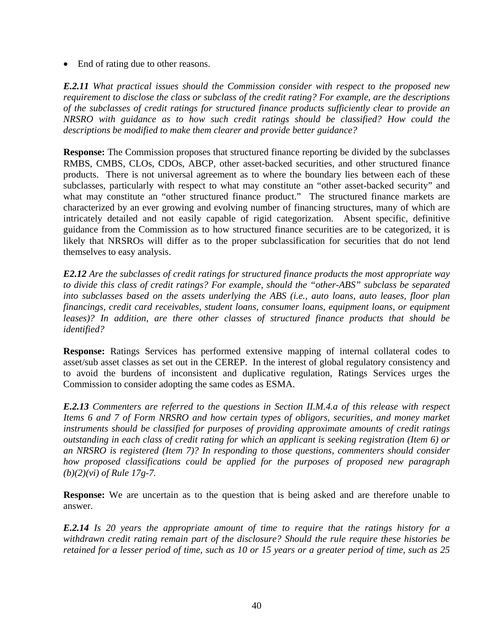End of rating due to other reasons.

*E.2.11 What practical issues should the Commission consider with respect to the proposed new requirement to disclose the class or subclass of the credit rating? For example, are the descriptions of the subclasses of credit ratings for structured finance products sufficiently clear to provide an NRSRO with guidance as to how such credit ratings should be classified? How could the descriptions be modified to make them clearer and provide better guidance?* 

**Response:** The Commission proposes that structured finance reporting be divided by the subclasses RMBS, CMBS, CLOs, CDOs, ABCP, other asset-backed securities, and other structured finance products. There is not universal agreement as to where the boundary lies between each of these subclasses, particularly with respect to what may constitute an "other asset-backed security" and what may constitute an "other structured finance product." The structured finance markets are characterized by an ever growing and evolving number of financing structures, many of which are intricately detailed and not easily capable of rigid categorization. Absent specific, definitive guidance from the Commission as to how structured finance securities are to be categorized, it is likely that NRSROs will differ as to the proper subclassification for securities that do not lend themselves to easy analysis.

*E2.12 Are the subclasses of credit ratings for structured finance products the most appropriate way to divide this class of credit ratings? For example, should the "other-ABS" subclass be separated into subclasses based on the assets underlying the ABS (i.e., auto loans, auto leases, floor plan financings, credit card receivables, student loans, consumer loans, equipment loans, or equipment leases)? In addition, are there other classes of structured finance products that should be identified?* 

**Response:** Ratings Services has performed extensive mapping of internal collateral codes to asset/sub asset classes as set out in the CEREP. In the interest of global regulatory consistency and to avoid the burdens of inconsistent and duplicative regulation, Ratings Services urges the Commission to consider adopting the same codes as ESMA.

*E.2.13 Commenters are referred to the questions in Section II.M.4.a of this release with respect Items 6 and 7 of Form NRSRO and how certain types of obligors, securities, and money market instruments should be classified for purposes of providing approximate amounts of credit ratings outstanding in each class of credit rating for which an applicant is seeking registration (Item 6) or an NRSRO is registered (Item 7)? In responding to those questions, commenters should consider how proposed classifications could be applied for the purposes of proposed new paragraph (b)(2)(vi) of Rule 17g-7.* 

**Response:** We are uncertain as to the question that is being asked and are therefore unable to answer.

*E.2.14 Is 20 years the appropriate amount of time to require that the ratings history for a withdrawn credit rating remain part of the disclosure? Should the rule require these histories be retained for a lesser period of time, such as 10 or 15 years or a greater period of time, such as 25*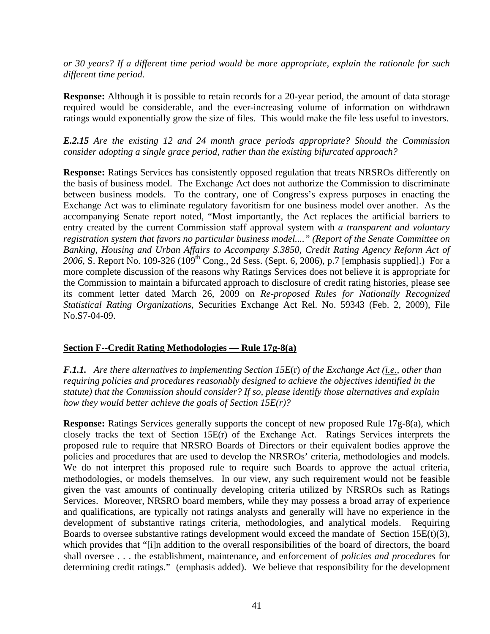*or 30 years? If a different time period would be more appropriate, explain the rationale for such different time period.* 

**Response:** Although it is possible to retain records for a 20-year period, the amount of data storage required would be considerable, and the ever-increasing volume of information on withdrawn ratings would exponentially grow the size of files. This would make the file less useful to investors.

*E.2.15 Are the existing 12 and 24 month grace periods appropriate? Should the Commission consider adopting a single grace period, rather than the existing bifurcated approach?* 

**Response:** Ratings Services has consistently opposed regulation that treats NRSROs differently on the basis of business model. The Exchange Act does not authorize the Commission to discriminate between business models. To the contrary, one of Congress's express purposes in enacting the Exchange Act was to eliminate regulatory favoritism for one business model over another. As the accompanying Senate report noted, "Most importantly, the Act replaces the artificial barriers to entry created by the current Commission staff approval system with *a transparent and voluntary registration system that favors no particular business model...." (Report of the Senate Committee on Banking, Housing and Urban Affairs to Accompany S.3850, Credit Rating Agency Reform Act of*  2006, S. Report No. 109-326 (109<sup>th</sup> Cong., 2d Sess. (Sept. 6, 2006), p.7 [emphasis supplied].) For a more complete discussion of the reasons why Ratings Services does not believe it is appropriate for the Commission to maintain a bifurcated approach to disclosure of credit rating histories, please see its comment letter dated March 26, 2009 on *Re-proposed Rules for Nationally Recognized Statistical Rating Organizations,* Securities Exchange Act Rel. No. 59343 (Feb. 2, 2009), File No.S7-04-09.

## **Section F--Credit Rating Methodologies — Rule 17g-8(a)**

*F.1.1. Are there alternatives to implementing Section 15E*(r) *of the Exchange Act (i.e., other than requiring policies and procedures reasonably designed to achieve the objectives identified in the statute) that the Commission should consider? If so, please identify those alternatives and explain how they would better achieve the goals of Section 15E(r)?*

**Response:** Ratings Services generally supports the concept of new proposed Rule 17g-8(a), which closely tracks the text of Section  $15E(r)$  of the Exchange Act. Ratings Services interprets the proposed rule to require that NRSRO Boards of Directors or their equivalent bodies approve the policies and procedures that are used to develop the NRSROs' criteria, methodologies and models. We do not interpret this proposed rule to require such Boards to approve the actual criteria, methodologies, or models themselves. In our view, any such requirement would not be feasible given the vast amounts of continually developing criteria utilized by NRSROs such as Ratings Services. Moreover, NRSRO board members, while they may possess a broad array of experience and qualifications, are typically not ratings analysts and generally will have no experience in the development of substantive ratings criteria, methodologies, and analytical models. Requiring Boards to oversee substantive ratings development would exceed the mandate of Section 15 $E(t)(3)$ , which provides that "[i]n addition to the overall responsibilities of the board of directors, the board shall oversee . . . the establishment, maintenance, and enforcement of *policies and procedures* for determining credit ratings." (emphasis added). We believe that responsibility for the development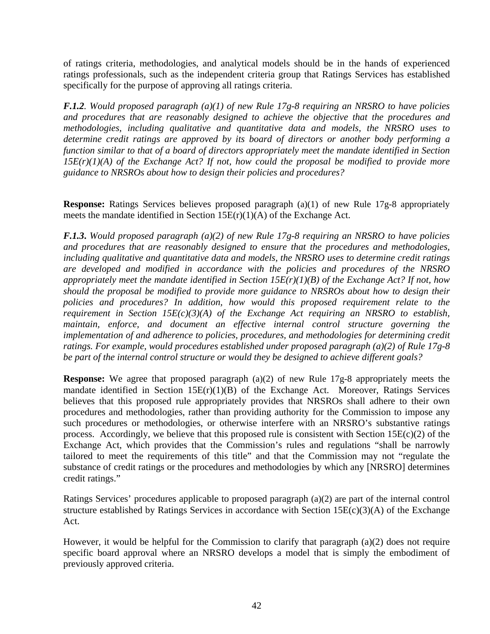of ratings criteria, methodologies, and analytical models should be in the hands of experienced ratings professionals, such as the independent criteria group that Ratings Services has established specifically for the purpose of approving all ratings criteria.

*F.1.2. Would proposed paragraph (a)(1) of new Rule 17g-8 requiring an NRSRO to have policies and procedures that are reasonably designed to achieve the objective that the procedures and methodologies, including qualitative and quantitative data and models, the NRSRO uses to determine credit ratings are approved by its board of directors or another body performing a function similar to that of a board of directors appropriately meet the mandate identified in Section 15E(r)(1)(A) of the Exchange Act? If not, how could the proposal be modified to provide more guidance to NRSROs about how to design their policies and procedures?* 

**Response:** Ratings Services believes proposed paragraph (a)(1) of new Rule 17g-8 appropriately meets the mandate identified in Section  $15E(r)(1)(A)$  of the Exchange Act.

*F.1.3***.** *Would proposed paragraph (a)(2) of new Rule 17g-8 requiring an NRSRO to have policies and procedures that are reasonably designed to ensure that the procedures and methodologies, including qualitative and quantitative data and models, the NRSRO uses to determine credit ratings are developed and modified in accordance with the policies and procedures of the NRSRO appropriately meet the mandate identified in Section 15E(r)(1)(B) of the Exchange Act? If not, how should the proposal be modified to provide more guidance to NRSROs about how to design their policies and procedures? In addition, how would this proposed requirement relate to the requirement in Section 15E(c)(3)(A) of the Exchange Act requiring an NRSRO to establish, maintain, enforce, and document an effective internal control structure governing the implementation of and adherence to policies, procedures, and methodologies for determining credit ratings. For example, would procedures established under proposed paragraph (a)(2) of Rule 17g-8 be part of the internal control structure or would they be designed to achieve different goals?*

**Response:** We agree that proposed paragraph (a)(2) of new Rule 17g-8 appropriately meets the mandate identified in Section  $15E(r)(1)(B)$  of the Exchange Act. Moreover, Ratings Services believes that this proposed rule appropriately provides that NRSROs shall adhere to their own procedures and methodologies, rather than providing authority for the Commission to impose any such procedures or methodologies, or otherwise interfere with an NRSRO's substantive ratings process. Accordingly, we believe that this proposed rule is consistent with Section 15E(c)(2) of the Exchange Act, which provides that the Commission's rules and regulations "shall be narrowly tailored to meet the requirements of this title" and that the Commission may not "regulate the substance of credit ratings or the procedures and methodologies by which any [NRSRO] determines credit ratings."

Ratings Services' procedures applicable to proposed paragraph (a)(2) are part of the internal control structure established by Ratings Services in accordance with Section 15E(c)(3)(A) of the Exchange Act.

However, it would be helpful for the Commission to clarify that paragraph (a)(2) does not require specific board approval where an NRSRO develops a model that is simply the embodiment of previously approved criteria.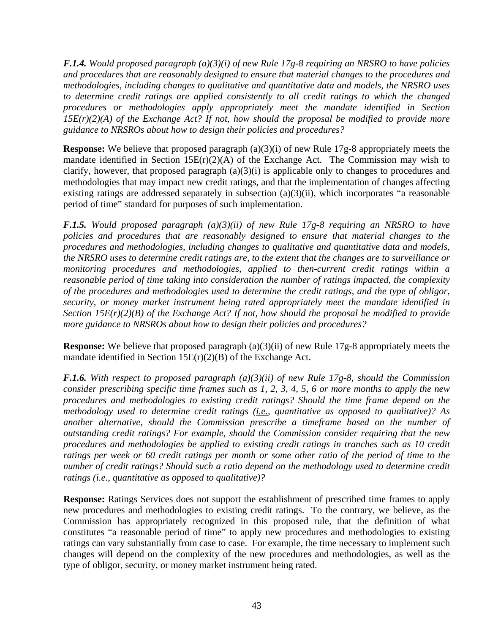*F.1.4. Would proposed paragraph (a)(3)(i) of new Rule 17g-8 requiring an NRSRO to have policies and procedures that are reasonably designed to ensure that material changes to the procedures and methodologies, including changes to qualitative and quantitative data and models, the NRSRO uses to determine credit ratings are applied consistently to all credit ratings to which the changed procedures or methodologies apply appropriately meet the mandate identified in Section 15E(r)(2)(A) of the Exchange Act? If not, how should the proposal be modified to provide more guidance to NRSROs about how to design their policies and procedures?* 

**Response:** We believe that proposed paragraph (a)(3)(i) of new Rule 17g-8 appropriately meets the mandate identified in Section  $15E(r)(2)(A)$  of the Exchange Act. The Commission may wish to clarify, however, that proposed paragraph (a)(3)(i) is applicable only to changes to procedures and methodologies that may impact new credit ratings, and that the implementation of changes affecting existing ratings are addressed separately in subsection (a)(3)(ii), which incorporates "a reasonable period of time" standard for purposes of such implementation.

*F.1.5. Would proposed paragraph (a)(3)(ii) of new Rule 17g-8 requiring an NRSRO to have policies and procedures that are reasonably designed to ensure that material changes to the procedures and methodologies, including changes to qualitative and quantitative data and models, the NRSRO uses to determine credit ratings are, to the extent that the changes are to surveillance or monitoring procedures and methodologies, applied to then-current credit ratings within a reasonable period of time taking into consideration the number of ratings impacted, the complexity of the procedures and methodologies used to determine the credit ratings, and the type of obligor, security, or money market instrument being rated appropriately meet the mandate identified in Section 15E(r)(2)(B) of the Exchange Act? If not, how should the proposal be modified to provide more guidance to NRSROs about how to design their policies and procedures?*

**Response:** We believe that proposed paragraph (a)(3)(ii) of new Rule 17g-8 appropriately meets the mandate identified in Section 15E(r)(2)(B) of the Exchange Act.

*F.1.6. With respect to proposed paragraph (a)(3)(ii) of new Rule 17g-8, should the Commission consider prescribing specific time frames such as 1, 2, 3, 4, 5, 6 or more months to apply the new procedures and methodologies to existing credit ratings? Should the time frame depend on the methodology used to determine credit ratings (i.e., quantitative as opposed to qualitative)? As another alternative, should the Commission prescribe a timeframe based on the number of outstanding credit ratings? For example, should the Commission consider requiring that the new procedures and methodologies be applied to existing credit ratings in tranches such as 10 credit ratings per week or 60 credit ratings per month or some other ratio of the period of time to the number of credit ratings? Should such a ratio depend on the methodology used to determine credit ratings (i.e., quantitative as opposed to qualitative)?*

**Response:** Ratings Services does not support the establishment of prescribed time frames to apply new procedures and methodologies to existing credit ratings. To the contrary, we believe, as the Commission has appropriately recognized in this proposed rule, that the definition of what constitutes "a reasonable period of time" to apply new procedures and methodologies to existing ratings can vary substantially from case to case. For example, the time necessary to implement such changes will depend on the complexity of the new procedures and methodologies, as well as the type of obligor, security, or money market instrument being rated.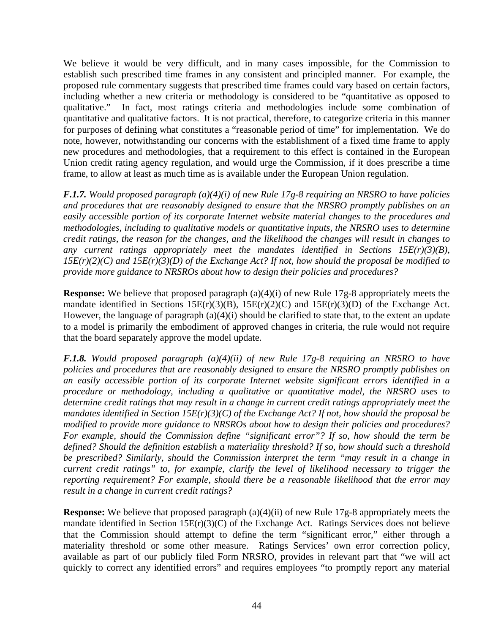We believe it would be very difficult, and in many cases impossible, for the Commission to establish such prescribed time frames in any consistent and principled manner. For example, the proposed rule commentary suggests that prescribed time frames could vary based on certain factors, including whether a new criteria or methodology is considered to be "quantitative as opposed to qualitative." In fact, most ratings criteria and methodologies include some combination of quantitative and qualitative factors. It is not practical, therefore, to categorize criteria in this manner for purposes of defining what constitutes a "reasonable period of time" for implementation. We do note, however, notwithstanding our concerns with the establishment of a fixed time frame to apply new procedures and methodologies, that a requirement to this effect is contained in the European Union credit rating agency regulation, and would urge the Commission, if it does prescribe a time frame, to allow at least as much time as is available under the European Union regulation.

*F.1.7. Would proposed paragraph (a)(4)(i) of new Rule 17g-8 requiring an NRSRO to have policies and procedures that are reasonably designed to ensure that the NRSRO promptly publishes on an easily accessible portion of its corporate Internet website material changes to the procedures and methodologies, including to qualitative models or quantitative inputs, the NRSRO uses to determine credit ratings, the reason for the changes, and the likelihood the changes will result in changes to any current ratings appropriately meet the mandates identified in Sections 15E(r)(3)(B), 15E(r)(2)(C) and 15E(r)(3)(D) of the Exchange Act? If not, how should the proposal be modified to provide more guidance to NRSROs about how to design their policies and procedures?* 

**Response:** We believe that proposed paragraph (a)(4)(i) of new Rule 17g-8 appropriately meets the mandate identified in Sections 15E(r)(3)(B), 15E(r)(2)(C) and 15E(r)(3)(D) of the Exchange Act. However, the language of paragraph (a)(4)(i) should be clarified to state that, to the extent an update to a model is primarily the embodiment of approved changes in criteria, the rule would not require that the board separately approve the model update.

*F.1.8. Would proposed paragraph (a)(4)(ii) of new Rule 17g-8 requiring an NRSRO to have policies and procedures that are reasonably designed to ensure the NRSRO promptly publishes on an easily accessible portion of its corporate Internet website significant errors identified in a procedure or methodology, including a qualitative or quantitative model, the NRSRO uses to determine credit ratings that may result in a change in current credit ratings appropriately meet the mandates identified in Section 15E(r)(3)(C) of the Exchange Act? If not, how should the proposal be modified to provide more guidance to NRSROs about how to design their policies and procedures? For example, should the Commission define "significant error"? If so, how should the term be defined? Should the definition establish a materiality threshold? If so, how should such a threshold be prescribed? Similarly, should the Commission interpret the term "may result in a change in current credit ratings" to, for example, clarify the level of likelihood necessary to trigger the reporting requirement? For example, should there be a reasonable likelihood that the error may result in a change in current credit ratings?*

**Response:** We believe that proposed paragraph (a)(4)(ii) of new Rule 17g-8 appropriately meets the mandate identified in Section 15E(r)(3)(C) of the Exchange Act. Ratings Services does not believe that the Commission should attempt to define the term "significant error," either through a materiality threshold or some other measure. Ratings Services' own error correction policy, available as part of our publicly filed Form NRSRO, provides in relevant part that "we will act quickly to correct any identified errors" and requires employees "to promptly report any material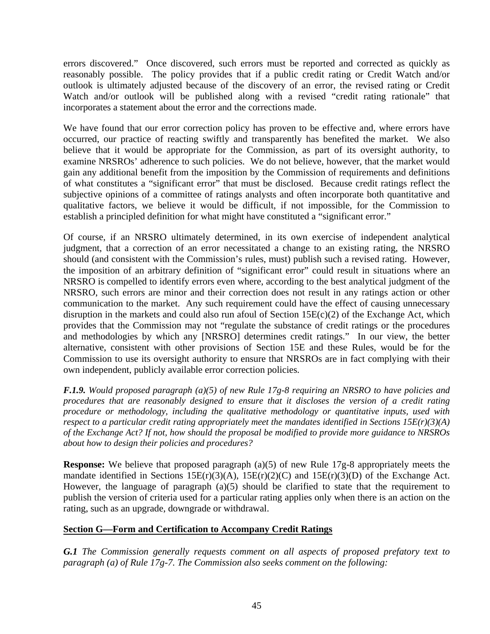errors discovered." Once discovered, such errors must be reported and corrected as quickly as reasonably possible. The policy provides that if a public credit rating or Credit Watch and/or outlook is ultimately adjusted because of the discovery of an error, the revised rating or Credit Watch and/or outlook will be published along with a revised "credit rating rationale" that incorporates a statement about the error and the corrections made.

We have found that our error correction policy has proven to be effective and, where errors have occurred, our practice of reacting swiftly and transparently has benefited the market. We also believe that it would be appropriate for the Commission, as part of its oversight authority, to examine NRSROs' adherence to such policies. We do not believe, however, that the market would gain any additional benefit from the imposition by the Commission of requirements and definitions of what constitutes a "significant error" that must be disclosed. Because credit ratings reflect the subjective opinions of a committee of ratings analysts and often incorporate both quantitative and qualitative factors, we believe it would be difficult, if not impossible, for the Commission to establish a principled definition for what might have constituted a "significant error."

Of course, if an NRSRO ultimately determined, in its own exercise of independent analytical judgment, that a correction of an error necessitated a change to an existing rating, the NRSRO should (and consistent with the Commission's rules, must) publish such a revised rating. However, the imposition of an arbitrary definition of "significant error" could result in situations where an NRSRO is compelled to identify errors even where, according to the best analytical judgment of the NRSRO, such errors are minor and their correction does not result in any ratings action or other communication to the market. Any such requirement could have the effect of causing unnecessary disruption in the markets and could also run afoul of Section 15E(c)(2) of the Exchange Act, which provides that the Commission may not "regulate the substance of credit ratings or the procedures and methodologies by which any [NRSRO] determines credit ratings." In our view, the better alternative, consistent with other provisions of Section 15E and these Rules, would be for the Commission to use its oversight authority to ensure that NRSROs are in fact complying with their own independent, publicly available error correction policies.

*F.1.9. Would proposed paragraph (a)(5) of new Rule 17g-8 requiring an NRSRO to have policies and procedures that are reasonably designed to ensure that it discloses the version of a credit rating procedure or methodology, including the qualitative methodology or quantitative inputs, used with respect to a particular credit rating appropriately meet the mandates identified in Sections 15E(r)(3)(A) of the Exchange Act? If not, how should the proposal be modified to provide more guidance to NRSROs about how to design their policies and procedures?* 

**Response:** We believe that proposed paragraph (a)(5) of new Rule 17g-8 appropriately meets the mandate identified in Sections  $15E(r)(3)(A)$ ,  $15E(r)(2)(C)$  and  $15E(r)(3)(D)$  of the Exchange Act. However, the language of paragraph (a)(5) should be clarified to state that the requirement to publish the version of criteria used for a particular rating applies only when there is an action on the rating, such as an upgrade, downgrade or withdrawal.

#### **Section G—Form and Certification to Accompany Credit Ratings**

*G.1 The Commission generally requests comment on all aspects of proposed prefatory text to paragraph (a) of Rule 17g-7. The Commission also seeks comment on the following:*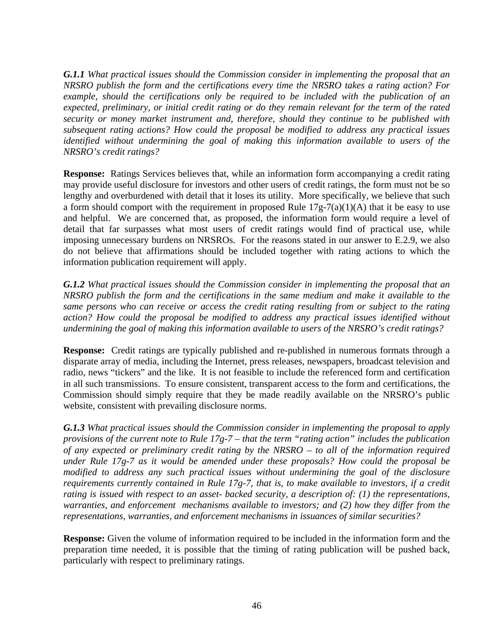*G.1.1 What practical issues should the Commission consider in implementing the proposal that an NRSRO publish the form and the certifications every time the NRSRO takes a rating action? For example, should the certifications only be required to be included with the publication of an expected, preliminary, or initial credit rating or do they remain relevant for the term of the rated security or money market instrument and, therefore, should they continue to be published with subsequent rating actions? How could the proposal be modified to address any practical issues identified without undermining the goal of making this information available to users of the NRSRO's credit ratings?* 

**Response:** Ratings Services believes that, while an information form accompanying a credit rating may provide useful disclosure for investors and other users of credit ratings, the form must not be so lengthy and overburdened with detail that it loses its utility. More specifically, we believe that such a form should comport with the requirement in proposed Rule  $17g-7(a)(1)(A)$  that it be easy to use and helpful. We are concerned that, as proposed, the information form would require a level of detail that far surpasses what most users of credit ratings would find of practical use, while imposing unnecessary burdens on NRSROs. For the reasons stated in our answer to E.2.9, we also do not believe that affirmations should be included together with rating actions to which the information publication requirement will apply.

*G.1.2 What practical issues should the Commission consider in implementing the proposal that an NRSRO publish the form and the certifications in the same medium and make it available to the same persons who can receive or access the credit rating resulting from or subject to the rating action? How could the proposal be modified to address any practical issues identified without undermining the goal of making this information available to users of the NRSRO's credit ratings?* 

**Response:** Credit ratings are typically published and re-published in numerous formats through a disparate array of media, including the Internet, press releases, newspapers, broadcast television and radio, news "tickers" and the like. It is not feasible to include the referenced form and certification in all such transmissions. To ensure consistent, transparent access to the form and certifications, the Commission should simply require that they be made readily available on the NRSRO's public website, consistent with prevailing disclosure norms.

*G.1.3 What practical issues should the Commission consider in implementing the proposal to apply provisions of the current note to Rule 17g-7 – that the term "rating action" includes the publication of any expected or preliminary credit rating by the NRSRO – to all of the information required under Rule 17g-7 as it would be amended under these proposals? How could the proposal be modified to address any such practical issues without undermining the goal of the disclosure requirements currently contained in Rule 17g-7, that is, to make available to investors, if a credit rating is issued with respect to an asset- backed security, a description of: (1) the representations, warranties, and enforcement mechanisms available to investors; and (2) how they differ from the representations, warranties, and enforcement mechanisms in issuances of similar securities?* 

**Response:** Given the volume of information required to be included in the information form and the preparation time needed, it is possible that the timing of rating publication will be pushed back, particularly with respect to preliminary ratings.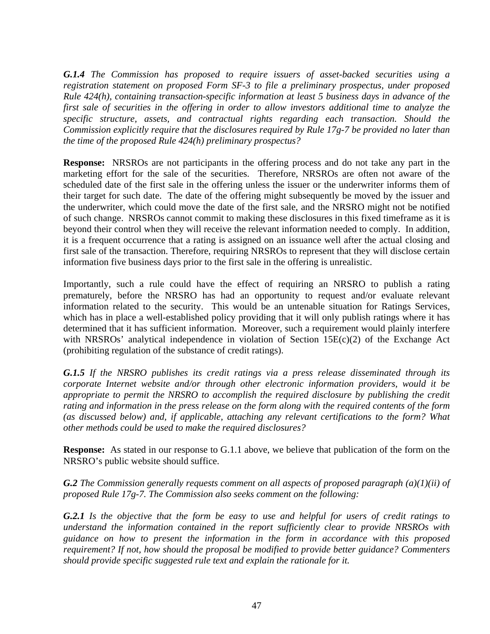*G.1.4 The Commission has proposed to require issuers of asset-backed securities using a registration statement on proposed Form SF-3 to file a preliminary prospectus, under proposed Rule 424(h), containing transaction-specific information at least 5 business days in advance of the first sale of securities in the offering in order to allow investors additional time to analyze the specific structure, assets, and contractual rights regarding each transaction. Should the Commission explicitly require that the disclosures required by Rule 17g-7 be provided no later than the time of the proposed Rule 424(h) preliminary prospectus?* 

**Response:** NRSROs are not participants in the offering process and do not take any part in the marketing effort for the sale of the securities. Therefore, NRSROs are often not aware of the scheduled date of the first sale in the offering unless the issuer or the underwriter informs them of their target for such date. The date of the offering might subsequently be moved by the issuer and the underwriter, which could move the date of the first sale, and the NRSRO might not be notified of such change. NRSROs cannot commit to making these disclosures in this fixed timeframe as it is beyond their control when they will receive the relevant information needed to comply. In addition, it is a frequent occurrence that a rating is assigned on an issuance well after the actual closing and first sale of the transaction. Therefore, requiring NRSROs to represent that they will disclose certain information five business days prior to the first sale in the offering is unrealistic.

Importantly, such a rule could have the effect of requiring an NRSRO to publish a rating prematurely, before the NRSRO has had an opportunity to request and/or evaluate relevant information related to the security. This would be an untenable situation for Ratings Services, which has in place a well-established policy providing that it will only publish ratings where it has determined that it has sufficient information. Moreover, such a requirement would plainly interfere with NRSROs' analytical independence in violation of Section  $15E(c)(2)$  of the Exchange Act (prohibiting regulation of the substance of credit ratings).

*G.1.5 If the NRSRO publishes its credit ratings via a press release disseminated through its corporate Internet website and/or through other electronic information providers, would it be appropriate to permit the NRSRO to accomplish the required disclosure by publishing the credit rating and information in the press release on the form along with the required contents of the form (as discussed below) and, if applicable, attaching any relevant certifications to the form? What other methods could be used to make the required disclosures?* 

**Response:** As stated in our response to G.1.1 above, we believe that publication of the form on the NRSRO's public website should suffice.

*G.2 The Commission generally requests comment on all aspects of proposed paragraph (a)(1)(ii) of proposed Rule 17g-7. The Commission also seeks comment on the following:* 

*G.2.1 Is the objective that the form be easy to use and helpful for users of credit ratings to understand the information contained in the report sufficiently clear to provide NRSROs with guidance on how to present the information in the form in accordance with this proposed requirement? If not, how should the proposal be modified to provide better guidance? Commenters should provide specific suggested rule text and explain the rationale for it.*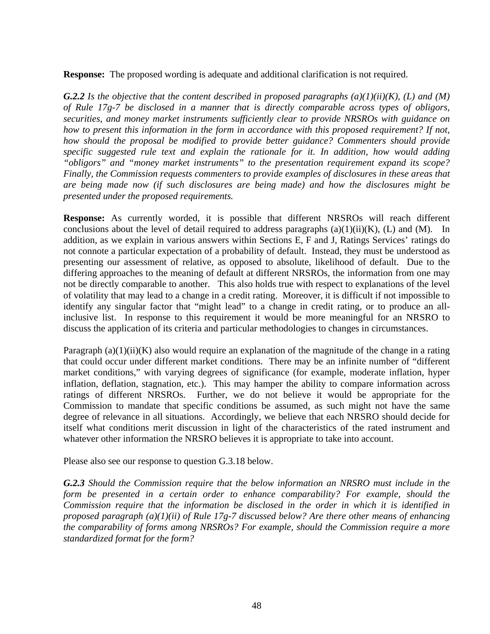**Response:** The proposed wording is adequate and additional clarification is not required.

**G.2.2** *Is the objective that the content described in proposed paragraphs*  $(a)(1)(ii)(K)$ *, (L) and (M) of Rule 17g-7 be disclosed in a manner that is directly comparable across types of obligors, securities, and money market instruments sufficiently clear to provide NRSROs with guidance on how to present this information in the form in accordance with this proposed requirement? If not, how should the proposal be modified to provide better guidance? Commenters should provide specific suggested rule text and explain the rationale for it. In addition, how would adding "obligors" and "money market instruments" to the presentation requirement expand its scope? Finally, the Commission requests commenters to provide examples of disclosures in these areas that are being made now (if such disclosures are being made) and how the disclosures might be presented under the proposed requirements.* 

**Response:** As currently worded, it is possible that different NRSROs will reach different conclusions about the level of detail required to address paragraphs  $(a)(1)(ii)(K)$ ,  $(L)$  and  $(M)$ . In addition, as we explain in various answers within Sections E, F and J, Ratings Services' ratings do not connote a particular expectation of a probability of default. Instead, they must be understood as presenting our assessment of relative, as opposed to absolute, likelihood of default. Due to the differing approaches to the meaning of default at different NRSROs, the information from one may not be directly comparable to another. This also holds true with respect to explanations of the level of volatility that may lead to a change in a credit rating. Moreover, it is difficult if not impossible to identify any singular factor that "might lead" to a change in credit rating, or to produce an allinclusive list. In response to this requirement it would be more meaningful for an NRSRO to discuss the application of its criteria and particular methodologies to changes in circumstances.

Paragraph  $(a)(1)(ii)(K)$  also would require an explanation of the magnitude of the change in a rating that could occur under different market conditions. There may be an infinite number of "different market conditions," with varying degrees of significance (for example, moderate inflation, hyper inflation, deflation, stagnation, etc.). This may hamper the ability to compare information across ratings of different NRSROs. Further, we do not believe it would be appropriate for the Commission to mandate that specific conditions be assumed, as such might not have the same degree of relevance in all situations. Accordingly, we believe that each NRSRO should decide for itself what conditions merit discussion in light of the characteristics of the rated instrument and whatever other information the NRSRO believes it is appropriate to take into account.

Please also see our response to question G.3.18 below.

*G.2.3 Should the Commission require that the below information an NRSRO must include in the form be presented in a certain order to enhance comparability? For example, should the Commission require that the information be disclosed in the order in which it is identified in proposed paragraph (a)(1)(ii) of Rule 17g-7 discussed below? Are there other means of enhancing the comparability of forms among NRSROs? For example, should the Commission require a more standardized format for the form?*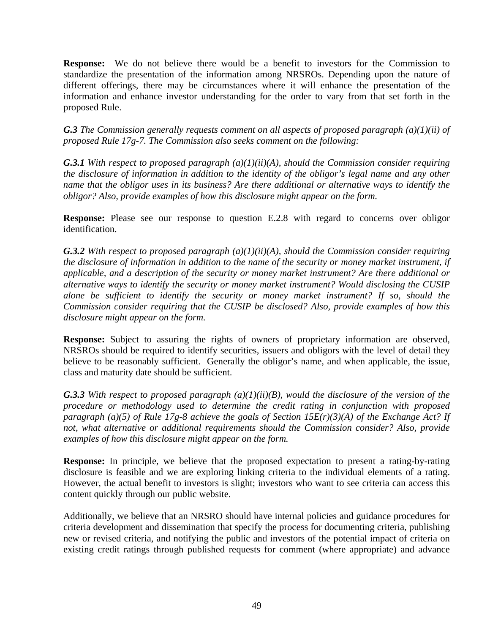**Response:** We do not believe there would be a benefit to investors for the Commission to standardize the presentation of the information among NRSROs. Depending upon the nature of different offerings, there may be circumstances where it will enhance the presentation of the information and enhance investor understanding for the order to vary from that set forth in the proposed Rule.

*G.3 The Commission generally requests comment on all aspects of proposed paragraph (a)(1)(ii) of proposed Rule 17g-7. The Commission also seeks comment on the following:* 

*G.3.1 With respect to proposed paragraph (a)(1)(ii)(A), should the Commission consider requiring the disclosure of information in addition to the identity of the obligor's legal name and any other name that the obligor uses in its business? Are there additional or alternative ways to identify the obligor? Also, provide examples of how this disclosure might appear on the form.* 

**Response:** Please see our response to question E.2.8 with regard to concerns over obligor identification.

*G.3.2 With respect to proposed paragraph (a)(1)(ii)(A), should the Commission consider requiring the disclosure of information in addition to the name of the security or money market instrument, if applicable, and a description of the security or money market instrument? Are there additional or alternative ways to identify the security or money market instrument? Would disclosing the CUSIP alone be sufficient to identify the security or money market instrument? If so, should the Commission consider requiring that the CUSIP be disclosed? Also, provide examples of how this disclosure might appear on the form.* 

**Response:** Subject to assuring the rights of owners of proprietary information are observed, NRSROs should be required to identify securities, issuers and obligors with the level of detail they believe to be reasonably sufficient. Generally the obligor's name, and when applicable, the issue, class and maturity date should be sufficient.

*G.3.3 With respect to proposed paragraph (a)(1)(ii)(B), would the disclosure of the version of the procedure or methodology used to determine the credit rating in conjunction with proposed paragraph (a)(5) of Rule 17g-8 achieve the goals of Section 15E(r)(3)(A) of the Exchange Act? If not, what alternative or additional requirements should the Commission consider? Also, provide examples of how this disclosure might appear on the form.* 

**Response:** In principle, we believe that the proposed expectation to present a rating-by-rating disclosure is feasible and we are exploring linking criteria to the individual elements of a rating. However, the actual benefit to investors is slight; investors who want to see criteria can access this content quickly through our public website.

Additionally, we believe that an NRSRO should have internal policies and guidance procedures for criteria development and dissemination that specify the process for documenting criteria, publishing new or revised criteria, and notifying the public and investors of the potential impact of criteria on existing credit ratings through published requests for comment (where appropriate) and advance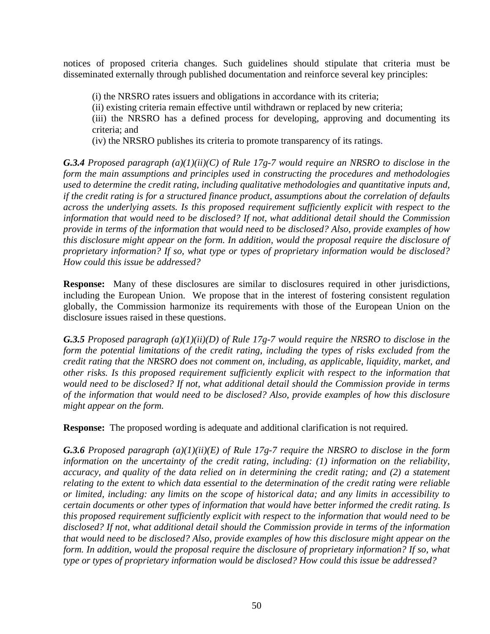notices of proposed criteria changes. Such guidelines should stipulate that criteria must be disseminated externally through published documentation and reinforce several key principles:

(i) the NRSRO rates issuers and obligations in accordance with its criteria;

(ii) existing criteria remain effective until withdrawn or replaced by new criteria;

(iii) the NRSRO has a defined process for developing, approving and documenting its criteria; and

(iv) the NRSRO publishes its criteria to promote transparency of its ratings.

*G.3.4 Proposed paragraph (a)(1)(ii)(C) of Rule 17g-7 would require an NRSRO to disclose in the form the main assumptions and principles used in constructing the procedures and methodologies used to determine the credit rating, including qualitative methodologies and quantitative inputs and, if the credit rating is for a structured finance product, assumptions about the correlation of defaults across the underlying assets. Is this proposed requirement sufficiently explicit with respect to the information that would need to be disclosed? If not, what additional detail should the Commission provide in terms of the information that would need to be disclosed? Also, provide examples of how this disclosure might appear on the form. In addition, would the proposal require the disclosure of proprietary information? If so, what type or types of proprietary information would be disclosed? How could this issue be addressed?* 

**Response:** Many of these disclosures are similar to disclosures required in other jurisdictions, including the European Union. We propose that in the interest of fostering consistent regulation globally, the Commission harmonize its requirements with those of the European Union on the disclosure issues raised in these questions.

*G.3.5 Proposed paragraph (a)(1)(ii)(D) of Rule 17g-7 would require the NRSRO to disclose in the form the potential limitations of the credit rating, including the types of risks excluded from the credit rating that the NRSRO does not comment on, including, as applicable, liquidity, market, and other risks. Is this proposed requirement sufficiently explicit with respect to the information that would need to be disclosed? If not, what additional detail should the Commission provide in terms of the information that would need to be disclosed? Also, provide examples of how this disclosure might appear on the form.* 

**Response:** The proposed wording is adequate and additional clarification is not required.

*G.3.6 Proposed paragraph (a)(1)(ii)(E) of Rule 17g-7 require the NRSRO to disclose in the form information on the uncertainty of the credit rating, including: (1) information on the reliability, accuracy, and quality of the data relied on in determining the credit rating; and (2) a statement relating to the extent to which data essential to the determination of the credit rating were reliable or limited, including: any limits on the scope of historical data; and any limits in accessibility to certain documents or other types of information that would have better informed the credit rating. Is this proposed requirement sufficiently explicit with respect to the information that would need to be disclosed? If not, what additional detail should the Commission provide in terms of the information that would need to be disclosed? Also, provide examples of how this disclosure might appear on the form. In addition, would the proposal require the disclosure of proprietary information? If so, what type or types of proprietary information would be disclosed? How could this issue be addressed?*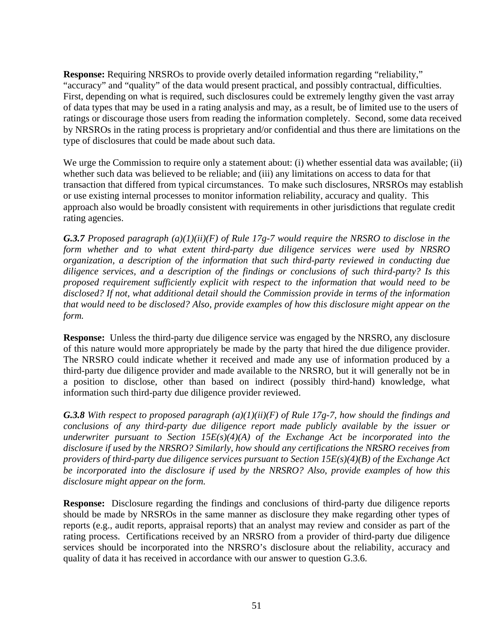**Response:** Requiring NRSROs to provide overly detailed information regarding "reliability," "accuracy" and "quality" of the data would present practical, and possibly contractual, difficulties. First, depending on what is required, such disclosures could be extremely lengthy given the vast array of data types that may be used in a rating analysis and may, as a result, be of limited use to the users of ratings or discourage those users from reading the information completely. Second, some data received by NRSROs in the rating process is proprietary and/or confidential and thus there are limitations on the type of disclosures that could be made about such data.

We urge the Commission to require only a statement about: (i) whether essential data was available; (ii) whether such data was believed to be reliable; and (iii) any limitations on access to data for that transaction that differed from typical circumstances. To make such disclosures, NRSROs may establish or use existing internal processes to monitor information reliability, accuracy and quality. This approach also would be broadly consistent with requirements in other jurisdictions that regulate credit rating agencies.

*G.3.7 Proposed paragraph (a)(1)(ii)(F) of Rule 17g-7 would require the NRSRO to disclose in the form whether and to what extent third-party due diligence services were used by NRSRO organization, a description of the information that such third-party reviewed in conducting due diligence services, and a description of the findings or conclusions of such third-party? Is this proposed requirement sufficiently explicit with respect to the information that would need to be disclosed? If not, what additional detail should the Commission provide in terms of the information that would need to be disclosed? Also, provide examples of how this disclosure might appear on the form.* 

**Response:** Unless the third-party due diligence service was engaged by the NRSRO, any disclosure of this nature would more appropriately be made by the party that hired the due diligence provider. The NRSRO could indicate whether it received and made any use of information produced by a third-party due diligence provider and made available to the NRSRO, but it will generally not be in a position to disclose, other than based on indirect (possibly third-hand) knowledge, what information such third-party due diligence provider reviewed.

*G.3.8 With respect to proposed paragraph (a)(1)(ii)(F) of Rule 17g-7, how should the findings and conclusions of any third-party due diligence report made publicly available by the issuer or underwriter pursuant to Section 15E(s)(4)(A) of the Exchange Act be incorporated into the disclosure if used by the NRSRO? Similarly, how should any certifications the NRSRO receives from providers of third-party due diligence services pursuant to Section 15E(s)(4)(B) of the Exchange Act be incorporated into the disclosure if used by the NRSRO? Also, provide examples of how this disclosure might appear on the form.* 

**Response:** Disclosure regarding the findings and conclusions of third-party due diligence reports should be made by NRSROs in the same manner as disclosure they make regarding other types of reports (e.g., audit reports, appraisal reports) that an analyst may review and consider as part of the rating process. Certifications received by an NRSRO from a provider of third-party due diligence services should be incorporated into the NRSRO's disclosure about the reliability, accuracy and quality of data it has received in accordance with our answer to question G.3.6.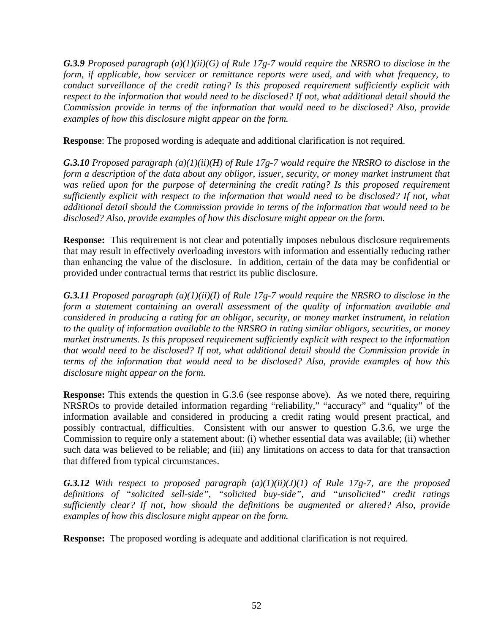*G.3.9 Proposed paragraph (a)(1)(ii)(G) of Rule 17g-7 would require the NRSRO to disclose in the form, if applicable, how servicer or remittance reports were used, and with what frequency, to conduct surveillance of the credit rating? Is this proposed requirement sufficiently explicit with respect to the information that would need to be disclosed? If not, what additional detail should the Commission provide in terms of the information that would need to be disclosed? Also, provide examples of how this disclosure might appear on the form.* 

**Response**: The proposed wording is adequate and additional clarification is not required.

*G.3.10 Proposed paragraph (a)(1)(ii)(H) of Rule 17g-7 would require the NRSRO to disclose in the form a description of the data about any obligor, issuer, security, or money market instrument that*  was relied upon for the purpose of determining the credit rating? Is this proposed requirement *sufficiently explicit with respect to the information that would need to be disclosed? If not, what additional detail should the Commission provide in terms of the information that would need to be disclosed? Also, provide examples of how this disclosure might appear on the form.* 

**Response:** This requirement is not clear and potentially imposes nebulous disclosure requirements that may result in effectively overloading investors with information and essentially reducing rather than enhancing the value of the disclosure. In addition, certain of the data may be confidential or provided under contractual terms that restrict its public disclosure.

*G.3.11 Proposed paragraph (a)(1)(ii)(I) of Rule 17g-7 would require the NRSRO to disclose in the form a statement containing an overall assessment of the quality of information available and considered in producing a rating for an obligor, security, or money market instrument, in relation to the quality of information available to the NRSRO in rating similar obligors, securities, or money market instruments. Is this proposed requirement sufficiently explicit with respect to the information that would need to be disclosed? If not, what additional detail should the Commission provide in terms of the information that would need to be disclosed? Also, provide examples of how this disclosure might appear on the form.* 

**Response:** This extends the question in G.3.6 (see response above). As we noted there, requiring NRSROs to provide detailed information regarding "reliability," "accuracy" and "quality" of the information available and considered in producing a credit rating would present practical, and possibly contractual, difficulties. Consistent with our answer to question G.3.6, we urge the Commission to require only a statement about: (i) whether essential data was available; (ii) whether such data was believed to be reliable; and (iii) any limitations on access to data for that transaction that differed from typical circumstances.

*G.3.12 With respect to proposed paragraph (a)(1)(ii)(J)(1) of Rule 17g-7, are the proposed definitions of "solicited sell-side", "solicited buy-side", and "unsolicited" credit ratings sufficiently clear? If not, how should the definitions be augmented or altered? Also, provide examples of how this disclosure might appear on the form.* 

**Response:** The proposed wording is adequate and additional clarification is not required.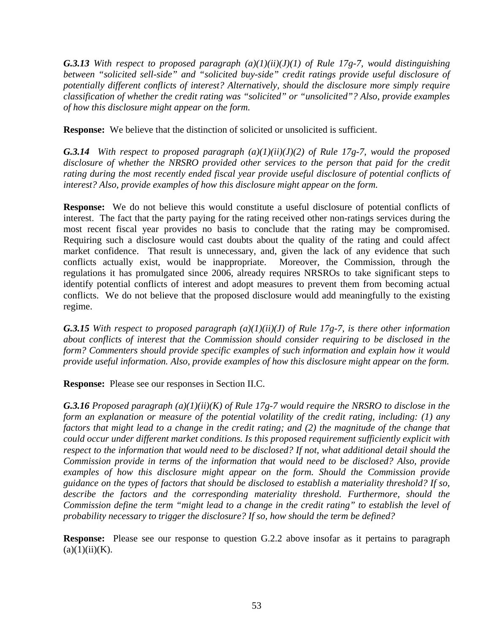*G.3.13 With respect to proposed paragraph (a)(1)(ii)(J)(1) of Rule 17g-7, would distinguishing between "solicited sell-side" and "solicited buy-side" credit ratings provide useful disclosure of potentially different conflicts of interest? Alternatively, should the disclosure more simply require classification of whether the credit rating was "solicited" or "unsolicited"? Also, provide examples of how this disclosure might appear on the form.* 

**Response:** We believe that the distinction of solicited or unsolicited is sufficient.

*G.3.14 With respect to proposed paragraph (a)(1)(ii)(J)(2) of Rule 17g-7, would the proposed disclosure of whether the NRSRO provided other services to the person that paid for the credit*  rating during the most recently ended fiscal year provide useful disclosure of potential conflicts of *interest? Also, provide examples of how this disclosure might appear on the form.* 

**Response:** We do not believe this would constitute a useful disclosure of potential conflicts of interest. The fact that the party paying for the rating received other non-ratings services during the most recent fiscal year provides no basis to conclude that the rating may be compromised. Requiring such a disclosure would cast doubts about the quality of the rating and could affect market confidence. That result is unnecessary, and, given the lack of any evidence that such conflicts actually exist, would be inappropriate. Moreover, the Commission, through the regulations it has promulgated since 2006, already requires NRSROs to take significant steps to identify potential conflicts of interest and adopt measures to prevent them from becoming actual conflicts. We do not believe that the proposed disclosure would add meaningfully to the existing regime.

*G.3.15 With respect to proposed paragraph (a)(1)(ii)(J) of Rule 17g-7, is there other information about conflicts of interest that the Commission should consider requiring to be disclosed in the form? Commenters should provide specific examples of such information and explain how it would provide useful information. Also, provide examples of how this disclosure might appear on the form.* 

**Response:** Please see our responses in Section II.C.

*G.3.16 Proposed paragraph (a)(1)(ii)(K) of Rule 17g-7 would require the NRSRO to disclose in the form an explanation or measure of the potential volatility of the credit rating, including: (1) any factors that might lead to a change in the credit rating; and (2) the magnitude of the change that could occur under different market conditions. Is this proposed requirement sufficiently explicit with respect to the information that would need to be disclosed? If not, what additional detail should the Commission provide in terms of the information that would need to be disclosed? Also, provide examples of how this disclosure might appear on the form. Should the Commission provide guidance on the types of factors that should be disclosed to establish a materiality threshold? If so, describe the factors and the corresponding materiality threshold. Furthermore, should the Commission define the term "might lead to a change in the credit rating" to establish the level of probability necessary to trigger the disclosure? If so, how should the term be defined?* 

**Response:** Please see our response to question G.2.2 above insofar as it pertains to paragraph  $(a)(1)(ii)(K)$ .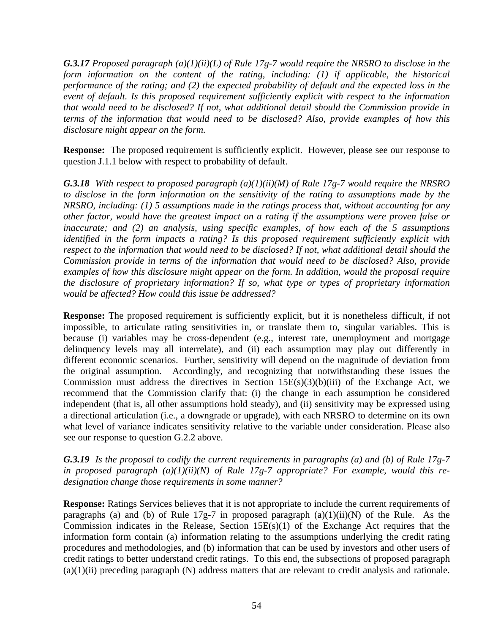*G.3.17 Proposed paragraph (a)(1)(ii)(L) of Rule 17g-7 would require the NRSRO to disclose in the form information on the content of the rating, including: (1) if applicable, the historical performance of the rating; and (2) the expected probability of default and the expected loss in the event of default. Is this proposed requirement sufficiently explicit with respect to the information that would need to be disclosed? If not, what additional detail should the Commission provide in terms of the information that would need to be disclosed? Also, provide examples of how this disclosure might appear on the form.* 

**Response:** The proposed requirement is sufficiently explicit. However, please see our response to question J.1.1 below with respect to probability of default.

*G.3.18 With respect to proposed paragraph (a)(1)(ii)(M) of Rule 17g-7 would require the NRSRO to disclose in the form information on the sensitivity of the rating to assumptions made by the NRSRO, including: (1) 5 assumptions made in the ratings process that, without accounting for any other factor, would have the greatest impact on a rating if the assumptions were proven false or inaccurate; and (2) an analysis, using specific examples, of how each of the 5 assumptions identified in the form impacts a rating? Is this proposed requirement sufficiently explicit with respect to the information that would need to be disclosed? If not, what additional detail should the Commission provide in terms of the information that would need to be disclosed? Also, provide examples of how this disclosure might appear on the form. In addition, would the proposal require the disclosure of proprietary information? If so, what type or types of proprietary information would be affected? How could this issue be addressed?* 

**Response:** The proposed requirement is sufficiently explicit, but it is nonetheless difficult, if not impossible, to articulate rating sensitivities in, or translate them to, singular variables. This is because (i) variables may be cross-dependent (e.g., interest rate, unemployment and mortgage delinquency levels may all interrelate), and (ii) each assumption may play out differently in different economic scenarios. Further, sensitivity will depend on the magnitude of deviation from the original assumption. Accordingly, and recognizing that notwithstanding these issues the Commission must address the directives in Section  $15E(s)(3)(b)(iii)$  of the Exchange Act, we recommend that the Commission clarify that: (i) the change in each assumption be considered independent (that is, all other assumptions hold steady), and (ii) sensitivity may be expressed using a directional articulation (i.e., a downgrade or upgrade), with each NRSRO to determine on its own what level of variance indicates sensitivity relative to the variable under consideration. Please also see our response to question G.2.2 above.

*G.3.19 Is the proposal to codify the current requirements in paragraphs (a) and (b) of Rule 17g-7 in proposed paragraph (a)(1)(ii)(N) of Rule 17g-7 appropriate? For example, would this redesignation change those requirements in some manner?* 

**Response:** Ratings Services believes that it is not appropriate to include the current requirements of paragraphs (a) and (b) of Rule 17g-7 in proposed paragraph  $(a)(1)(ii)(N)$  of the Rule. As the Commission indicates in the Release, Section  $15E(s)(1)$  of the Exchange Act requires that the information form contain (a) information relating to the assumptions underlying the credit rating procedures and methodologies, and (b) information that can be used by investors and other users of credit ratings to better understand credit ratings. To this end, the subsections of proposed paragraph (a)(1)(ii) preceding paragraph (N) address matters that are relevant to credit analysis and rationale.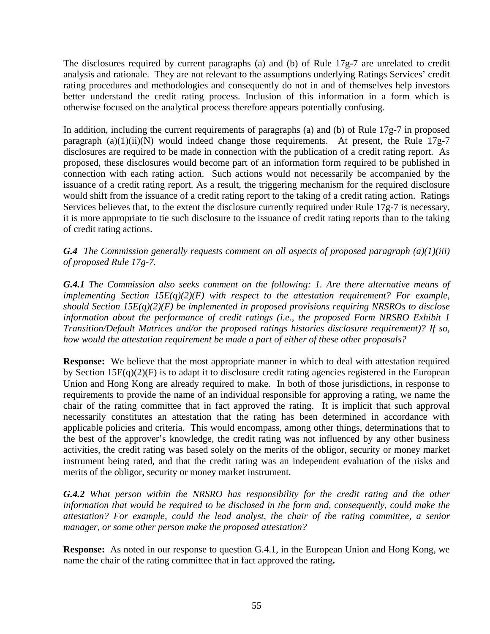The disclosures required by current paragraphs (a) and (b) of Rule 17g-7 are unrelated to credit analysis and rationale. They are not relevant to the assumptions underlying Ratings Services' credit rating procedures and methodologies and consequently do not in and of themselves help investors better understand the credit rating process. Inclusion of this information in a form which is otherwise focused on the analytical process therefore appears potentially confusing.

In addition, including the current requirements of paragraphs (a) and (b) of Rule 17g-7 in proposed paragraph  $(a)(1)(ii)(N)$  would indeed change those requirements. At present, the Rule 17g-7 disclosures are required to be made in connection with the publication of a credit rating report. As proposed, these disclosures would become part of an information form required to be published in connection with each rating action. Such actions would not necessarily be accompanied by the issuance of a credit rating report. As a result, the triggering mechanism for the required disclosure would shift from the issuance of a credit rating report to the taking of a credit rating action. Ratings Services believes that, to the extent the disclosure currently required under Rule 17g-7 is necessary, it is more appropriate to tie such disclosure to the issuance of credit rating reports than to the taking of credit rating actions.

*G.4 The Commission generally requests comment on all aspects of proposed paragraph (a)(1)(iii) of proposed Rule 17g-7.* 

*G.4.1 The Commission also seeks comment on the following: 1. Are there alternative means of implementing Section 15E(q)(2)(F) with respect to the attestation requirement? For example, should Section 15E(q)(2)(F) be implemented in proposed provisions requiring NRSROs to disclose information about the performance of credit ratings (i.e., the proposed Form NRSRO Exhibit 1 Transition/Default Matrices and/or the proposed ratings histories disclosure requirement)? If so, how would the attestation requirement be made a part of either of these other proposals?* 

**Response:** We believe that the most appropriate manner in which to deal with attestation required by Section  $15E(q)(2)(F)$  is to adapt it to disclosure credit rating agencies registered in the European Union and Hong Kong are already required to make. In both of those jurisdictions, in response to requirements to provide the name of an individual responsible for approving a rating, we name the chair of the rating committee that in fact approved the rating. It is implicit that such approval necessarily constitutes an attestation that the rating has been determined in accordance with applicable policies and criteria. This would encompass, among other things, determinations that to the best of the approver's knowledge, the credit rating was not influenced by any other business activities, the credit rating was based solely on the merits of the obligor, security or money market instrument being rated, and that the credit rating was an independent evaluation of the risks and merits of the obligor, security or money market instrument.

*G.4.2 What person within the NRSRO has responsibility for the credit rating and the other information that would be required to be disclosed in the form and, consequently, could make the attestation? For example, could the lead analyst, the chair of the rating committee, a senior manager, or some other person make the proposed attestation?* 

**Response:** As noted in our response to question G.4.1, in the European Union and Hong Kong, we name the chair of the rating committee that in fact approved the rating**.**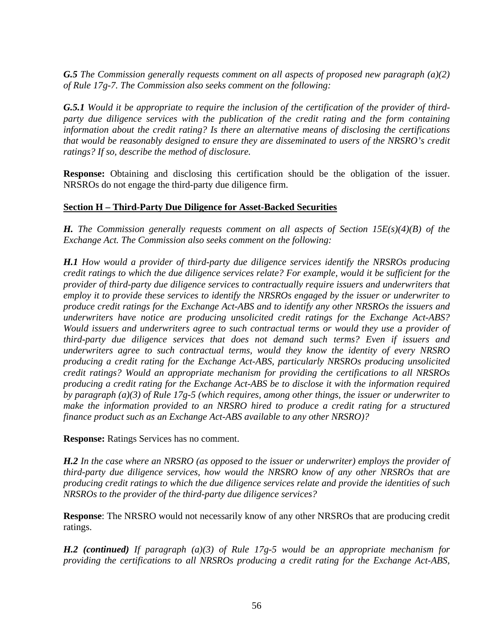*G.5 The Commission generally requests comment on all aspects of proposed new paragraph (a)(2) of Rule 17g-7. The Commission also seeks comment on the following:* 

*G.5.1 Would it be appropriate to require the inclusion of the certification of the provider of thirdparty due diligence services with the publication of the credit rating and the form containing information about the credit rating? Is there an alternative means of disclosing the certifications that would be reasonably designed to ensure they are disseminated to users of the NRSRO's credit ratings? If so, describe the method of disclosure.* 

**Response:** Obtaining and disclosing this certification should be the obligation of the issuer. NRSROs do not engage the third-party due diligence firm.

# **Section H – Third-Party Due Diligence for Asset-Backed Securities**

*H. The Commission generally requests comment on all aspects of Section 15E(s)(4)(B) of the Exchange Act. The Commission also seeks comment on the following:* 

*H.1 How would a provider of third-party due diligence services identify the NRSROs producing credit ratings to which the due diligence services relate? For example, would it be sufficient for the provider of third-party due diligence services to contractually require issuers and underwriters that employ it to provide these services to identify the NRSROs engaged by the issuer or underwriter to produce credit ratings for the Exchange Act-ABS and to identify any other NRSROs the issuers and underwriters have notice are producing unsolicited credit ratings for the Exchange Act-ABS? Would issuers and underwriters agree to such contractual terms or would they use a provider of third-party due diligence services that does not demand such terms? Even if issuers and underwriters agree to such contractual terms, would they know the identity of every NRSRO producing a credit rating for the Exchange Act-ABS, particularly NRSROs producing unsolicited credit ratings? Would an appropriate mechanism for providing the certifications to all NRSROs producing a credit rating for the Exchange Act-ABS be to disclose it with the information required by paragraph (a)(3) of Rule 17g-5 (which requires, among other things, the issuer or underwriter to make the information provided to an NRSRO hired to produce a credit rating for a structured finance product such as an Exchange Act-ABS available to any other NRSRO)?* 

**Response:** Ratings Services has no comment.

*H.2 In the case where an NRSRO (as opposed to the issuer or underwriter) employs the provider of third-party due diligence services, how would the NRSRO know of any other NRSROs that are producing credit ratings to which the due diligence services relate and provide the identities of such NRSROs to the provider of the third-party due diligence services?* 

**Response**: The NRSRO would not necessarily know of any other NRSROs that are producing credit ratings.

*H.2 (continued) If paragraph (a)(3) of Rule 17g-5 would be an appropriate mechanism for providing the certifications to all NRSROs producing a credit rating for the Exchange Act-ABS,*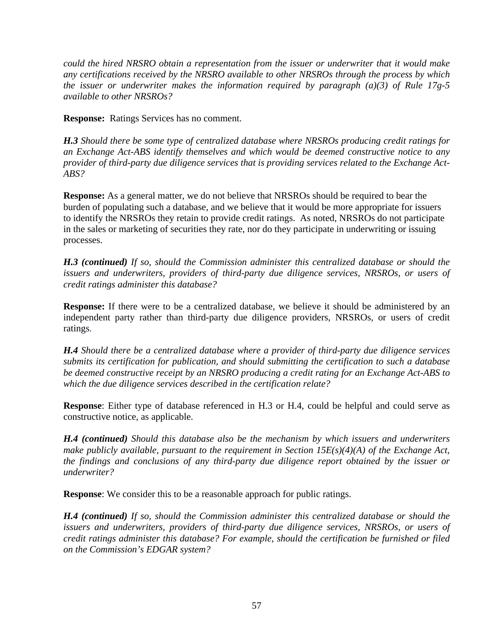*could the hired NRSRO obtain a representation from the issuer or underwriter that it would make any certifications received by the NRSRO available to other NRSROs through the process by which the issuer or underwriter makes the information required by paragraph (a)(3) of Rule 17g-5 available to other NRSROs?* 

**Response:** Ratings Services has no comment.

*H.3 Should there be some type of centralized database where NRSROs producing credit ratings for an Exchange Act-ABS identify themselves and which would be deemed constructive notice to any provider of third-party due diligence services that is providing services related to the Exchange Act-ABS?* 

**Response:** As a general matter, we do not believe that NRSROs should be required to bear the burden of populating such a database, and we believe that it would be more appropriate for issuers to identify the NRSROs they retain to provide credit ratings. As noted, NRSROs do not participate in the sales or marketing of securities they rate, nor do they participate in underwriting or issuing processes.

*H.3 (continued) If so, should the Commission administer this centralized database or should the issuers and underwriters, providers of third-party due diligence services, NRSROs, or users of credit ratings administer this database?* 

**Response:** If there were to be a centralized database, we believe it should be administered by an independent party rather than third-party due diligence providers, NRSROs, or users of credit ratings.

*H.4 Should there be a centralized database where a provider of third-party due diligence services submits its certification for publication, and should submitting the certification to such a database be deemed constructive receipt by an NRSRO producing a credit rating for an Exchange Act-ABS to which the due diligence services described in the certification relate?* 

**Response**: Either type of database referenced in H.3 or H.4, could be helpful and could serve as constructive notice, as applicable.

*H.4 (continued) Should this database also be the mechanism by which issuers and underwriters make publicly available, pursuant to the requirement in Section 15E(s)(4)(A) of the Exchange Act, the findings and conclusions of any third-party due diligence report obtained by the issuer or underwriter?* 

**Response:** We consider this to be a reasonable approach for public ratings.

*H.4 (continued) If so, should the Commission administer this centralized database or should the issuers and underwriters, providers of third-party due diligence services, NRSROs, or users of credit ratings administer this database? For example, should the certification be furnished or filed on the Commission's EDGAR system?*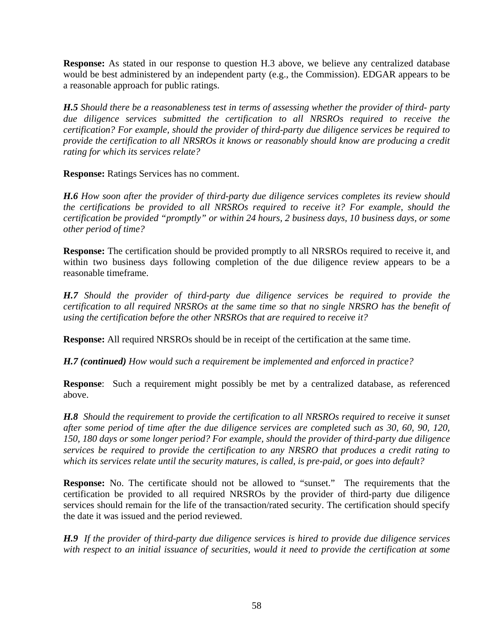**Response:** As stated in our response to question H.3 above, we believe any centralized database would be best administered by an independent party (e.g., the Commission). EDGAR appears to be a reasonable approach for public ratings.

*H.5 Should there be a reasonableness test in terms of assessing whether the provider of third- party due diligence services submitted the certification to all NRSROs required to receive the certification? For example, should the provider of third-party due diligence services be required to provide the certification to all NRSROs it knows or reasonably should know are producing a credit rating for which its services relate?* 

**Response:** Ratings Services has no comment.

*H.6 How soon after the provider of third-party due diligence services completes its review should the certifications be provided to all NRSROs required to receive it? For example, should the certification be provided "promptly" or within 24 hours, 2 business days, 10 business days, or some other period of time?* 

**Response:** The certification should be provided promptly to all NRSROs required to receive it, and within two business days following completion of the due diligence review appears to be a reasonable timeframe.

*H.7 Should the provider of third-party due diligence services be required to provide the certification to all required NRSROs at the same time so that no single NRSRO has the benefit of using the certification before the other NRSROs that are required to receive it?* 

**Response:** All required NRSROs should be in receipt of the certification at the same time.

*H.7 (continued) How would such a requirement be implemented and enforced in practice?* 

**Response**: Such a requirement might possibly be met by a centralized database, as referenced above.

*H.8 Should the requirement to provide the certification to all NRSROs required to receive it sunset after some period of time after the due diligence services are completed such as 30, 60, 90, 120, 150, 180 days or some longer period? For example, should the provider of third-party due diligence services be required to provide the certification to any NRSRO that produces a credit rating to which its services relate until the security matures, is called, is pre-paid, or goes into default?* 

**Response:** No. The certificate should not be allowed to "sunset." The requirements that the certification be provided to all required NRSROs by the provider of third-party due diligence services should remain for the life of the transaction/rated security. The certification should specify the date it was issued and the period reviewed.

*H.9 If the provider of third-party due diligence services is hired to provide due diligence services with respect to an initial issuance of securities, would it need to provide the certification at some*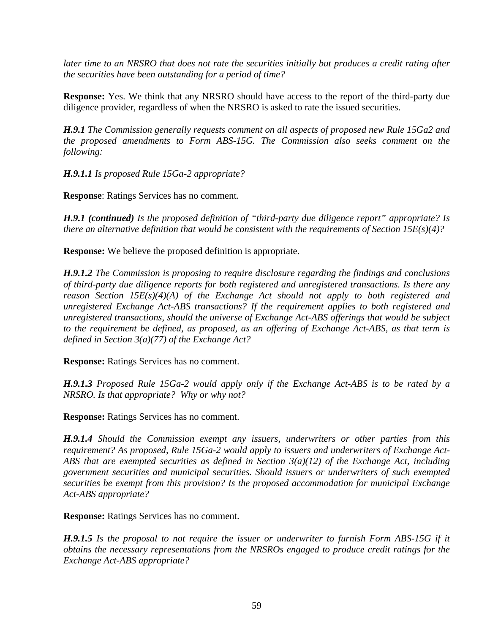*later time to an NRSRO that does not rate the securities initially but produces a credit rating after the securities have been outstanding for a period of time?* 

**Response:** Yes. We think that any NRSRO should have access to the report of the third-party due diligence provider, regardless of when the NRSRO is asked to rate the issued securities.

*H.9.1 The Commission generally requests comment on all aspects of proposed new Rule 15Ga2 and the proposed amendments to Form ABS-15G. The Commission also seeks comment on the following:* 

*H.9.1.1 Is proposed Rule 15Ga-2 appropriate?* 

**Response**: Ratings Services has no comment.

*H.9.1 (continued) Is the proposed definition of "third-party due diligence report" appropriate? Is there an alternative definition that would be consistent with the requirements of Section 15E(s)(4)?* 

**Response:** We believe the proposed definition is appropriate.

*H.9.1.2 The Commission is proposing to require disclosure regarding the findings and conclusions of third-party due diligence reports for both registered and unregistered transactions. Is there any reason Section 15E(s)(4)(A) of the Exchange Act should not apply to both registered and unregistered Exchange Act-ABS transactions? If the requirement applies to both registered and unregistered transactions, should the universe of Exchange Act-ABS offerings that would be subject to the requirement be defined, as proposed, as an offering of Exchange Act-ABS, as that term is defined in Section 3(a)(77) of the Exchange Act?* 

**Response:** Ratings Services has no comment.

*H.9.1.3 Proposed Rule 15Ga-2 would apply only if the Exchange Act-ABS is to be rated by a NRSRO. Is that appropriate? Why or why not?* 

**Response:** Ratings Services has no comment.

*H.9.1.4 Should the Commission exempt any issuers, underwriters or other parties from this requirement? As proposed, Rule 15Ga-2 would apply to issuers and underwriters of Exchange Act-ABS that are exempted securities as defined in Section 3(a)(12) of the Exchange Act, including government securities and municipal securities. Should issuers or underwriters of such exempted securities be exempt from this provision? Is the proposed accommodation for municipal Exchange Act-ABS appropriate?* 

**Response:** Ratings Services has no comment.

*H.9.1.5 Is the proposal to not require the issuer or underwriter to furnish Form ABS-15G if it obtains the necessary representations from the NRSROs engaged to produce credit ratings for the Exchange Act-ABS appropriate?*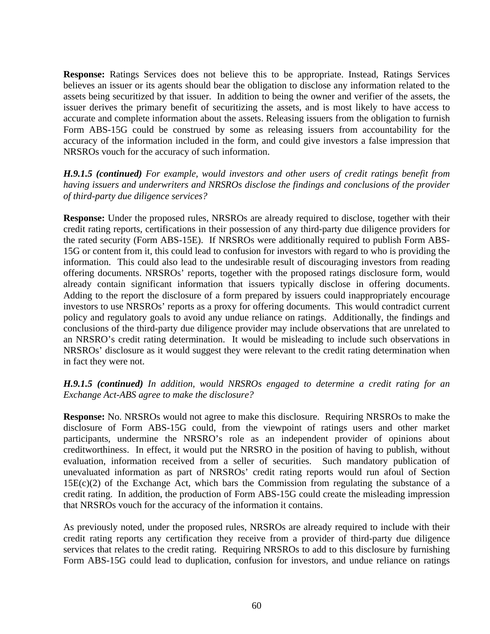**Response:** Ratings Services does not believe this to be appropriate. Instead, Ratings Services believes an issuer or its agents should bear the obligation to disclose any information related to the assets being securitized by that issuer. In addition to being the owner and verifier of the assets, the issuer derives the primary benefit of securitizing the assets, and is most likely to have access to accurate and complete information about the assets. Releasing issuers from the obligation to furnish Form ABS-15G could be construed by some as releasing issuers from accountability for the accuracy of the information included in the form, and could give investors a false impression that NRSROs vouch for the accuracy of such information.

*H.9.1.5 (continued) For example, would investors and other users of credit ratings benefit from having issuers and underwriters and NRSROs disclose the findings and conclusions of the provider of third-party due diligence services?* 

**Response:** Under the proposed rules, NRSROs are already required to disclose, together with their credit rating reports, certifications in their possession of any third-party due diligence providers for the rated security (Form ABS-15E). If NRSROs were additionally required to publish Form ABS-15G or content from it, this could lead to confusion for investors with regard to who is providing the information. This could also lead to the undesirable result of discouraging investors from reading offering documents. NRSROs' reports, together with the proposed ratings disclosure form, would already contain significant information that issuers typically disclose in offering documents. Adding to the report the disclosure of a form prepared by issuers could inappropriately encourage investors to use NRSROs' reports as a proxy for offering documents. This would contradict current policy and regulatory goals to avoid any undue reliance on ratings. Additionally, the findings and conclusions of the third-party due diligence provider may include observations that are unrelated to an NRSRO's credit rating determination. It would be misleading to include such observations in NRSROs' disclosure as it would suggest they were relevant to the credit rating determination when in fact they were not.

### *H.9.1.5 (continued) In addition, would NRSROs engaged to determine a credit rating for an Exchange Act-ABS agree to make the disclosure?*

**Response:** No. NRSROs would not agree to make this disclosure. Requiring NRSROs to make the disclosure of Form ABS-15G could, from the viewpoint of ratings users and other market participants, undermine the NRSRO's role as an independent provider of opinions about creditworthiness. In effect, it would put the NRSRO in the position of having to publish, without evaluation, information received from a seller of securities. Such mandatory publication of unevaluated information as part of NRSROs' credit rating reports would run afoul of Section  $15E(c)(2)$  of the Exchange Act, which bars the Commission from regulating the substance of a credit rating. In addition, the production of Form ABS-15G could create the misleading impression that NRSROs vouch for the accuracy of the information it contains.

As previously noted, under the proposed rules, NRSROs are already required to include with their credit rating reports any certification they receive from a provider of third-party due diligence services that relates to the credit rating. Requiring NRSROs to add to this disclosure by furnishing Form ABS-15G could lead to duplication, confusion for investors, and undue reliance on ratings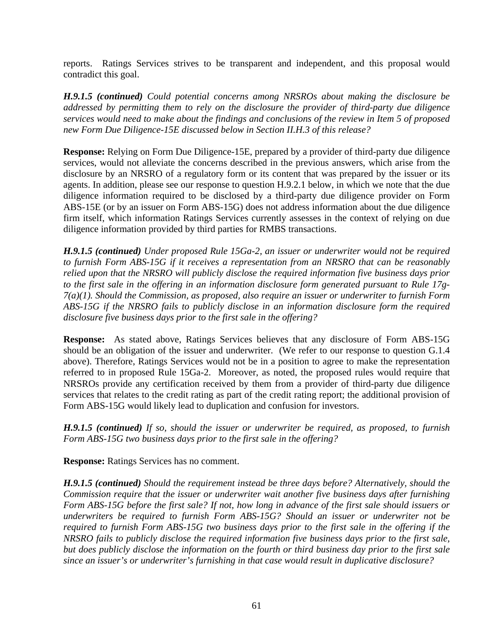reports. Ratings Services strives to be transparent and independent, and this proposal would contradict this goal.

*H.9.1.5 (continued) Could potential concerns among NRSROs about making the disclosure be addressed by permitting them to rely on the disclosure the provider of third-party due diligence services would need to make about the findings and conclusions of the review in Item 5 of proposed new Form Due Diligence-15E discussed below in Section II.H.3 of this release?*

**Response:** Relying on Form Due Diligence-15E, prepared by a provider of third-party due diligence services, would not alleviate the concerns described in the previous answers, which arise from the disclosure by an NRSRO of a regulatory form or its content that was prepared by the issuer or its agents. In addition, please see our response to question H.9.2.1 below, in which we note that the due diligence information required to be disclosed by a third-party due diligence provider on Form ABS-15E (or by an issuer on Form ABS-15G) does not address information about the due diligence firm itself, which information Ratings Services currently assesses in the context of relying on due diligence information provided by third parties for RMBS transactions.

*H.9.1.5 (continued) Under proposed Rule 15Ga-2, an issuer or underwriter would not be required to furnish Form ABS-15G if it receives a representation from an NRSRO that can be reasonably relied upon that the NRSRO will publicly disclose the required information five business days prior to the first sale in the offering in an information disclosure form generated pursuant to Rule 17g-7(a)(1). Should the Commission, as proposed, also require an issuer or underwriter to furnish Form ABS-15G if the NRSRO fails to publicly disclose in an information disclosure form the required disclosure five business days prior to the first sale in the offering?* 

**Response:** As stated above, Ratings Services believes that any disclosure of Form ABS-15G should be an obligation of the issuer and underwriter. (We refer to our response to question G.1.4 above). Therefore, Ratings Services would not be in a position to agree to make the representation referred to in proposed Rule 15Ga-2. Moreover, as noted, the proposed rules would require that NRSROs provide any certification received by them from a provider of third-party due diligence services that relates to the credit rating as part of the credit rating report; the additional provision of Form ABS-15G would likely lead to duplication and confusion for investors.

*H.9.1.5 (continued) If so, should the issuer or underwriter be required, as proposed, to furnish Form ABS-15G two business days prior to the first sale in the offering?* 

**Response:** Ratings Services has no comment.

*H.9.1.5 (continued) Should the requirement instead be three days before? Alternatively, should the Commission require that the issuer or underwriter wait another five business days after furnishing Form ABS-15G before the first sale? If not, how long in advance of the first sale should issuers or underwriters be required to furnish Form ABS-15G? Should an issuer or underwriter not be required to furnish Form ABS-15G two business days prior to the first sale in the offering if the NRSRO fails to publicly disclose the required information five business days prior to the first sale, but does publicly disclose the information on the fourth or third business day prior to the first sale since an issuer's or underwriter's furnishing in that case would result in duplicative disclosure?*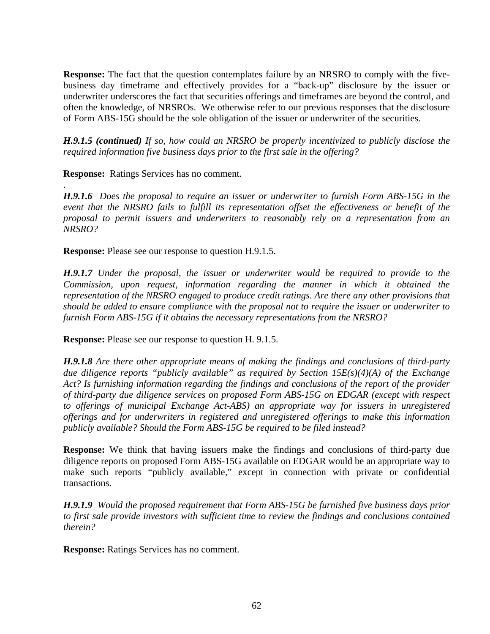**Response:** The fact that the question contemplates failure by an NRSRO to comply with the fivebusiness day timeframe and effectively provides for a "back-up" disclosure by the issuer or underwriter underscores the fact that securities offerings and timeframes are beyond the control, and often the knowledge, of NRSROs. We otherwise refer to our previous responses that the disclosure of Form ABS-15G should be the sole obligation of the issuer or underwriter of the securities.

*H.9.1.5 (continued) If so, how could an NRSRO be properly incentivized to publicly disclose the required information five business days prior to the first sale in the offering?* 

**Response:** Ratings Services has no comment.

.

*H.9.1.6 Does the proposal to require an issuer or underwriter to furnish Form ABS-15G in the event that the NRSRO fails to fulfill its representation offset the effectiveness or benefit of the proposal to permit issuers and underwriters to reasonably rely on a representation from an NRSRO?* 

**Response:** Please see our response to question H.9.1.5.

*H.9.1.7 Under the proposal, the issuer or underwriter would be required to provide to the Commission, upon request, information regarding the manner in which it obtained the representation of the NRSRO engaged to produce credit ratings. Are there any other provisions that should be added to ensure compliance with the proposal not to require the issuer or underwriter to furnish Form ABS-15G if it obtains the necessary representations from the NRSRO?* 

**Response:** Please see our response to question H. 9.1.5.

*H.9.1.8 Are there other appropriate means of making the findings and conclusions of third-party due diligence reports "publicly available" as required by Section 15E(s)(4)(A) of the Exchange Act? Is furnishing information regarding the findings and conclusions of the report of the provider of third-party due diligence services on proposed Form ABS-15G on EDGAR (except with respect to offerings of municipal Exchange Act-ABS) an appropriate way for issuers in unregistered offerings and for underwriters in registered and unregistered offerings to make this information publicly available? Should the Form ABS-15G be required to be filed instead?* 

**Response:** We think that having issuers make the findings and conclusions of third-party due diligence reports on proposed Form ABS-15G available on EDGAR would be an appropriate way to make such reports "publicly available," except in connection with private or confidential transactions.

*H.9.1.9 Would the proposed requirement that Form ABS-15G be furnished five business days prior to first sale provide investors with sufficient time to review the findings and conclusions contained therein?* 

**Response:** Ratings Services has no comment.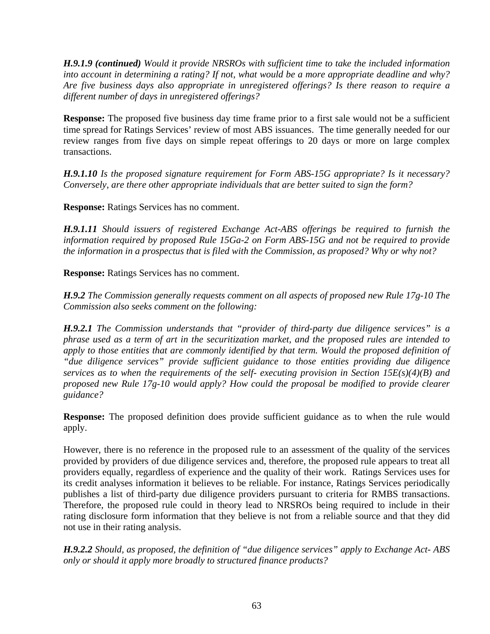*H.9.1.9 (continued) Would it provide NRSROs with sufficient time to take the included information into account in determining a rating? If not, what would be a more appropriate deadline and why? Are five business days also appropriate in unregistered offerings? Is there reason to require a different number of days in unregistered offerings?* 

**Response:** The proposed five business day time frame prior to a first sale would not be a sufficient time spread for Ratings Services' review of most ABS issuances. The time generally needed for our review ranges from five days on simple repeat offerings to 20 days or more on large complex transactions.

*H.9.1.10 Is the proposed signature requirement for Form ABS-15G appropriate? Is it necessary? Conversely, are there other appropriate individuals that are better suited to sign the form?* 

**Response:** Ratings Services has no comment.

*H.9.1.11 Should issuers of registered Exchange Act-ABS offerings be required to furnish the information required by proposed Rule 15Ga-2 on Form ABS-15G and not be required to provide the information in a prospectus that is filed with the Commission, as proposed? Why or why not?* 

**Response:** Ratings Services has no comment.

*H.9.2 The Commission generally requests comment on all aspects of proposed new Rule 17g-10 The Commission also seeks comment on the following:* 

*H.9.2.1 The Commission understands that "provider of third-party due diligence services" is a phrase used as a term of art in the securitization market, and the proposed rules are intended to apply to those entities that are commonly identified by that term. Would the proposed definition of "due diligence services" provide sufficient guidance to those entities providing due diligence services as to when the requirements of the self- executing provision in Section 15E(s)(4)(B) and proposed new Rule 17g-10 would apply? How could the proposal be modified to provide clearer guidance?* 

**Response:** The proposed definition does provide sufficient guidance as to when the rule would apply.

However, there is no reference in the proposed rule to an assessment of the quality of the services provided by providers of due diligence services and, therefore, the proposed rule appears to treat all providers equally, regardless of experience and the quality of their work. Ratings Services uses for its credit analyses information it believes to be reliable. For instance, Ratings Services periodically publishes a list of third-party due diligence providers pursuant to criteria for RMBS transactions. Therefore, the proposed rule could in theory lead to NRSROs being required to include in their rating disclosure form information that they believe is not from a reliable source and that they did not use in their rating analysis.

*H.9.2.2 Should, as proposed, the definition of "due diligence services" apply to Exchange Act- ABS only or should it apply more broadly to structured finance products?*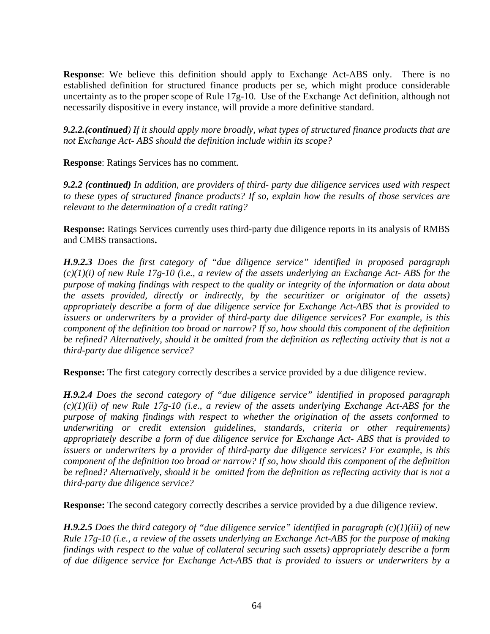**Response**: We believe this definition should apply to Exchange Act-ABS only. There is no established definition for structured finance products per se, which might produce considerable uncertainty as to the proper scope of Rule 17g-10. Use of the Exchange Act definition, although not necessarily dispositive in every instance, will provide a more definitive standard.

*9.2.2.(continued) If it should apply more broadly, what types of structured finance products that are not Exchange Act- ABS should the definition include within its scope?* 

**Response**: Ratings Services has no comment.

*9.2.2 (continued) In addition, are providers of third- party due diligence services used with respect to these types of structured finance products? If so, explain how the results of those services are relevant to the determination of a credit rating?* 

**Response:** Ratings Services currently uses third-party due diligence reports in its analysis of RMBS and CMBS transactions**.**

*H.9.2.3 Does the first category of "due diligence service" identified in proposed paragraph (c)(1)(i) of new Rule 17g-10 (i.e., a review of the assets underlying an Exchange Act- ABS for the purpose of making findings with respect to the quality or integrity of the information or data about the assets provided, directly or indirectly, by the securitizer or originator of the assets) appropriately describe a form of due diligence service for Exchange Act-ABS that is provided to issuers or underwriters by a provider of third-party due diligence services? For example, is this component of the definition too broad or narrow? If so, how should this component of the definition be refined? Alternatively, should it be omitted from the definition as reflecting activity that is not a third-party due diligence service?* 

**Response:** The first category correctly describes a service provided by a due diligence review.

*H.9.2.4 Does the second category of "due diligence service" identified in proposed paragraph (c)(1)(ii) of new Rule 17g-10 (i.e., a review of the assets underlying Exchange Act-ABS for the purpose of making findings with respect to whether the origination of the assets conformed to underwriting or credit extension guidelines, standards, criteria or other requirements) appropriately describe a form of due diligence service for Exchange Act- ABS that is provided to issuers or underwriters by a provider of third-party due diligence services? For example, is this component of the definition too broad or narrow? If so, how should this component of the definition be refined? Alternatively, should it be omitted from the definition as reflecting activity that is not a third-party due diligence service?* 

**Response:** The second category correctly describes a service provided by a due diligence review.

*H.9.2.5 Does the third category of "due diligence service" identified in paragraph (c)(1)(iii) of new Rule 17g-10 (i.e., a review of the assets underlying an Exchange Act-ABS for the purpose of making findings with respect to the value of collateral securing such assets) appropriately describe a form of due diligence service for Exchange Act-ABS that is provided to issuers or underwriters by a*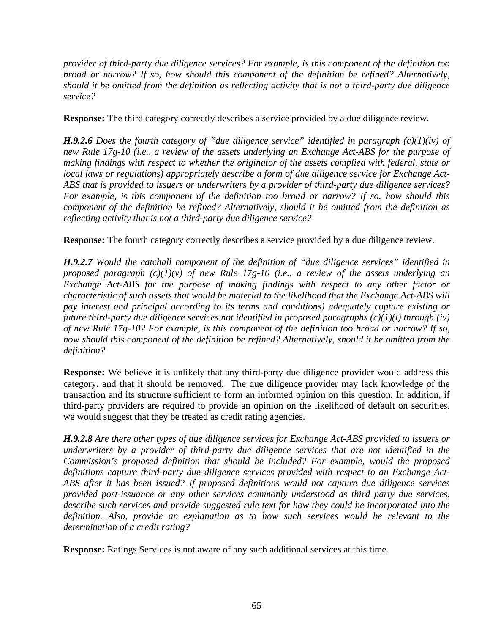*provider of third-party due diligence services? For example, is this component of the definition too broad or narrow? If so, how should this component of the definition be refined? Alternatively, should it be omitted from the definition as reflecting activity that is not a third-party due diligence service?* 

**Response:** The third category correctly describes a service provided by a due diligence review.

*H.9.2.6 Does the fourth category of "due diligence service" identified in paragraph (c)(1)(iv) of new Rule 17g-10 (i.e., a review of the assets underlying an Exchange Act-ABS for the purpose of making findings with respect to whether the originator of the assets complied with federal, state or local laws or regulations) appropriately describe a form of due diligence service for Exchange Act-ABS that is provided to issuers or underwriters by a provider of third-party due diligence services? For example, is this component of the definition too broad or narrow? If so, how should this component of the definition be refined? Alternatively, should it be omitted from the definition as reflecting activity that is not a third-party due diligence service?* 

**Response:** The fourth category correctly describes a service provided by a due diligence review.

*H.9.2.7 Would the catchall component of the definition of "due diligence services" identified in proposed paragraph (c)(1)(v) of new Rule 17g-10 (i.e., a review of the assets underlying an Exchange Act-ABS for the purpose of making findings with respect to any other factor or characteristic of such assets that would be material to the likelihood that the Exchange Act-ABS will pay interest and principal according to its terms and conditions) adequately capture existing or future third-party due diligence services not identified in proposed paragraphs (c)(1)(i) through (iv) of new Rule 17g-10? For example, is this component of the definition too broad or narrow? If so, how should this component of the definition be refined? Alternatively, should it be omitted from the definition?* 

**Response:** We believe it is unlikely that any third-party due diligence provider would address this category, and that it should be removed. The due diligence provider may lack knowledge of the transaction and its structure sufficient to form an informed opinion on this question. In addition, if third-party providers are required to provide an opinion on the likelihood of default on securities, we would suggest that they be treated as credit rating agencies.

*H.9.2.8 Are there other types of due diligence services for Exchange Act-ABS provided to issuers or underwriters by a provider of third-party due diligence services that are not identified in the Commission's proposed definition that should be included? For example, would the proposed definitions capture third-party due diligence services provided with respect to an Exchange Act-ABS after it has been issued? If proposed definitions would not capture due diligence services provided post-issuance or any other services commonly understood as third party due services, describe such services and provide suggested rule text for how they could be incorporated into the*  definition. Also, provide an explanation as to how such services would be relevant to the *determination of a credit rating?*

**Response:** Ratings Services is not aware of any such additional services at this time.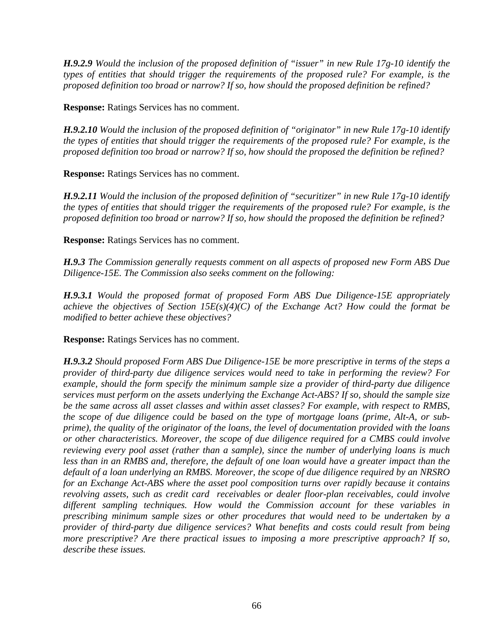*H.9.2.9 Would the inclusion of the proposed definition of "issuer" in new Rule 17g-10 identify the types of entities that should trigger the requirements of the proposed rule? For example, is the proposed definition too broad or narrow? If so, how should the proposed definition be refined?* 

**Response:** Ratings Services has no comment.

*H.9.2.10 Would the inclusion of the proposed definition of "originator" in new Rule 17g-10 identify the types of entities that should trigger the requirements of the proposed rule? For example, is the proposed definition too broad or narrow? If so, how should the proposed the definition be refined?* 

**Response:** Ratings Services has no comment.

*H.9.2.11 Would the inclusion of the proposed definition of "securitizer" in new Rule 17g-10 identify the types of entities that should trigger the requirements of the proposed rule? For example, is the proposed definition too broad or narrow? If so, how should the proposed the definition be refined?*

**Response:** Ratings Services has no comment.

*H.9.3 The Commission generally requests comment on all aspects of proposed new Form ABS Due Diligence-15E. The Commission also seeks comment on the following:* 

*H.9.3.1 Would the proposed format of proposed Form ABS Due Diligence-15E appropriately achieve the objectives of Section 15E(s)(4)(C) of the Exchange Act? How could the format be modified to better achieve these objectives?* 

**Response:** Ratings Services has no comment.

*H.9.3.2 Should proposed Form ABS Due Diligence-15E be more prescriptive in terms of the steps a provider of third-party due diligence services would need to take in performing the review? For example, should the form specify the minimum sample size a provider of third-party due diligence services must perform on the assets underlying the Exchange Act-ABS? If so, should the sample size be the same across all asset classes and within asset classes? For example, with respect to RMBS, the scope of due diligence could be based on the type of mortgage loans (prime, Alt-A, or subprime), the quality of the originator of the loans, the level of documentation provided with the loans or other characteristics. Moreover, the scope of due diligence required for a CMBS could involve reviewing every pool asset (rather than a sample), since the number of underlying loans is much*  less than in an RMBS and, therefore, the default of one loan would have a greater impact than the *default of a loan underlying an RMBS. Moreover, the scope of due diligence required by an NRSRO for an Exchange Act-ABS where the asset pool composition turns over rapidly because it contains revolving assets, such as credit card receivables or dealer floor-plan receivables, could involve different sampling techniques. How would the Commission account for these variables in prescribing minimum sample sizes or other procedures that would need to be undertaken by a provider of third-party due diligence services? What benefits and costs could result from being more prescriptive? Are there practical issues to imposing a more prescriptive approach? If so, describe these issues.*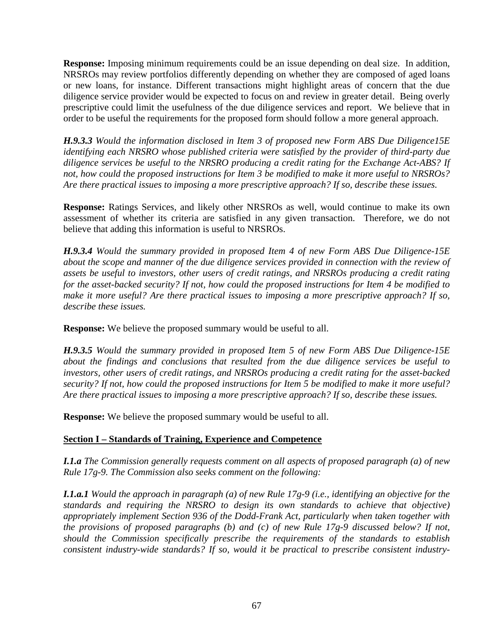**Response:** Imposing minimum requirements could be an issue depending on deal size. In addition, NRSROs may review portfolios differently depending on whether they are composed of aged loans or new loans, for instance. Different transactions might highlight areas of concern that the due diligence service provider would be expected to focus on and review in greater detail. Being overly prescriptive could limit the usefulness of the due diligence services and report. We believe that in order to be useful the requirements for the proposed form should follow a more general approach.

*H.9.3.3 Would the information disclosed in Item 3 of proposed new Form ABS Due Diligence15E identifying each NRSRO whose published criteria were satisfied by the provider of third-party due diligence services be useful to the NRSRO producing a credit rating for the Exchange Act-ABS? If not, how could the proposed instructions for Item 3 be modified to make it more useful to NRSROs? Are there practical issues to imposing a more prescriptive approach? If so, describe these issues.* 

**Response:** Ratings Services, and likely other NRSROs as well, would continue to make its own assessment of whether its criteria are satisfied in any given transaction. Therefore, we do not believe that adding this information is useful to NRSROs.

*H.9.3.4 Would the summary provided in proposed Item 4 of new Form ABS Due Diligence-15E about the scope and manner of the due diligence services provided in connection with the review of assets be useful to investors, other users of credit ratings, and NRSROs producing a credit rating for the asset-backed security? If not, how could the proposed instructions for Item 4 be modified to make it more useful? Are there practical issues to imposing a more prescriptive approach? If so, describe these issues.* 

**Response:** We believe the proposed summary would be useful to all.

*H.9.3.5 Would the summary provided in proposed Item 5 of new Form ABS Due Diligence-15E about the findings and conclusions that resulted from the due diligence services be useful to investors, other users of credit ratings, and NRSROs producing a credit rating for the asset-backed security? If not, how could the proposed instructions for Item 5 be modified to make it more useful? Are there practical issues to imposing a more prescriptive approach? If so, describe these issues.* 

**Response:** We believe the proposed summary would be useful to all.

# **Section I – Standards of Training, Experience and Competence**

*I.1.a The Commission generally requests comment on all aspects of proposed paragraph (a) of new Rule 17g-9. The Commission also seeks comment on the following:* 

*I.1.a.1 Would the approach in paragraph (a) of new Rule 17g-9 (i.e., identifying an objective for the standards and requiring the NRSRO to design its own standards to achieve that objective) appropriately implement Section 936 of the Dodd-Frank Act, particularly when taken together with the provisions of proposed paragraphs (b) and (c) of new Rule 17g-9 discussed below? If not, should the Commission specifically prescribe the requirements of the standards to establish consistent industry-wide standards? If so, would it be practical to prescribe consistent industry-*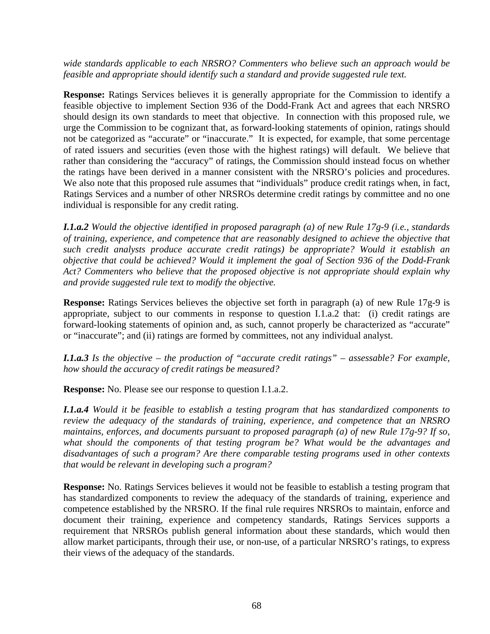*wide standards applicable to each NRSRO? Commenters who believe such an approach would be feasible and appropriate should identify such a standard and provide suggested rule text.* 

**Response:** Ratings Services believes it is generally appropriate for the Commission to identify a feasible objective to implement Section 936 of the Dodd-Frank Act and agrees that each NRSRO should design its own standards to meet that objective. In connection with this proposed rule, we urge the Commission to be cognizant that, as forward-looking statements of opinion, ratings should not be categorized as "accurate" or "inaccurate." It is expected, for example, that some percentage of rated issuers and securities (even those with the highest ratings) will default. We believe that rather than considering the "accuracy" of ratings, the Commission should instead focus on whether the ratings have been derived in a manner consistent with the NRSRO's policies and procedures. We also note that this proposed rule assumes that "individuals" produce credit ratings when, in fact, Ratings Services and a number of other NRSROs determine credit ratings by committee and no one individual is responsible for any credit rating.

*I.1.a.2 Would the objective identified in proposed paragraph (a) of new Rule 17g-9 (i.e., standards of training, experience, and competence that are reasonably designed to achieve the objective that such credit analysts produce accurate credit ratings) be appropriate? Would it establish an objective that could be achieved? Would it implement the goal of Section 936 of the Dodd-Frank Act? Commenters who believe that the proposed objective is not appropriate should explain why and provide suggested rule text to modify the objective.* 

**Response:** Ratings Services believes the objective set forth in paragraph (a) of new Rule 17g-9 is appropriate, subject to our comments in response to question I.1.a.2 that: (i) credit ratings are forward-looking statements of opinion and, as such, cannot properly be characterized as "accurate" or "inaccurate"; and (ii) ratings are formed by committees, not any individual analyst.

*I.1.a.3 Is the objective – the production of "accurate credit ratings" – assessable? For example, how should the accuracy of credit ratings be measured?* 

**Response:** No. Please see our response to question I.1.a.2.

*I.1.a.4 Would it be feasible to establish a testing program that has standardized components to review the adequacy of the standards of training, experience, and competence that an NRSRO maintains, enforces, and documents pursuant to proposed paragraph (a) of new Rule 17g-9? If so, what should the components of that testing program be? What would be the advantages and disadvantages of such a program? Are there comparable testing programs used in other contexts that would be relevant in developing such a program?* 

**Response:** No. Ratings Services believes it would not be feasible to establish a testing program that has standardized components to review the adequacy of the standards of training, experience and competence established by the NRSRO. If the final rule requires NRSROs to maintain, enforce and document their training, experience and competency standards, Ratings Services supports a requirement that NRSROs publish general information about these standards, which would then allow market participants, through their use, or non-use, of a particular NRSRO's ratings, to express their views of the adequacy of the standards.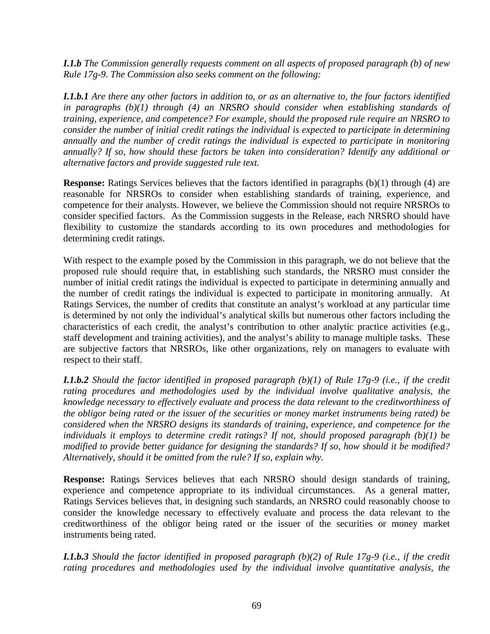*I.1.b The Commission generally requests comment on all aspects of proposed paragraph (b) of new Rule 17g-9. The Commission also seeks comment on the following:* 

*I.1.b.1 Are there any other factors in addition to, or as an alternative to, the four factors identified in paragraphs (b)(1) through (4) an NRSRO should consider when establishing standards of training, experience, and competence? For example, should the proposed rule require an NRSRO to consider the number of initial credit ratings the individual is expected to participate in determining annually and the number of credit ratings the individual is expected to participate in monitoring annually? If so, how should these factors be taken into consideration? Identify any additional or alternative factors and provide suggested rule text.* 

**Response:** Ratings Services believes that the factors identified in paragraphs (b)(1) through (4) are reasonable for NRSROs to consider when establishing standards of training, experience, and competence for their analysts. However, we believe the Commission should not require NRSROs to consider specified factors. As the Commission suggests in the Release, each NRSRO should have flexibility to customize the standards according to its own procedures and methodologies for determining credit ratings.

With respect to the example posed by the Commission in this paragraph, we do not believe that the proposed rule should require that, in establishing such standards, the NRSRO must consider the number of initial credit ratings the individual is expected to participate in determining annually and the number of credit ratings the individual is expected to participate in monitoring annually. At Ratings Services, the number of credits that constitute an analyst's workload at any particular time is determined by not only the individual's analytical skills but numerous other factors including the characteristics of each credit, the analyst's contribution to other analytic practice activities (e.g., staff development and training activities), and the analyst's ability to manage multiple tasks. These are subjective factors that NRSROs, like other organizations, rely on managers to evaluate with respect to their staff.

*I.1.b.2 Should the factor identified in proposed paragraph (b)(1) of Rule 17g-9 (i.e., if the credit rating procedures and methodologies used by the individual involve qualitative analysis, the knowledge necessary to effectively evaluate and process the data relevant to the creditworthiness of the obligor being rated or the issuer of the securities or money market instruments being rated) be considered when the NRSRO designs its standards of training, experience, and competence for the individuals it employs to determine credit ratings? If not, should proposed paragraph (b)(1) be modified to provide better guidance for designing the standards? If so, how should it be modified? Alternatively, should it be omitted from the rule? If so, explain why.* 

**Response:** Ratings Services believes that each NRSRO should design standards of training, experience and competence appropriate to its individual circumstances. As a general matter, Ratings Services believes that, in designing such standards, an NRSRO could reasonably choose to consider the knowledge necessary to effectively evaluate and process the data relevant to the creditworthiness of the obligor being rated or the issuer of the securities or money market instruments being rated.

*I.1.b.3 Should the factor identified in proposed paragraph (b)(2) of Rule 17g-9 (i.e., if the credit rating procedures and methodologies used by the individual involve quantitative analysis, the*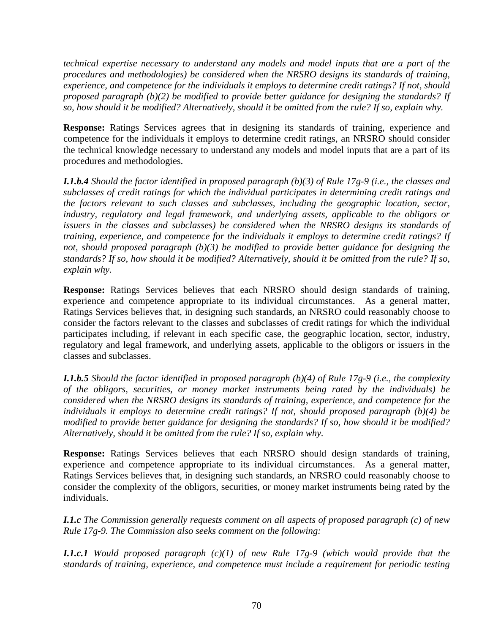*technical expertise necessary to understand any models and model inputs that are a part of the procedures and methodologies) be considered when the NRSRO designs its standards of training, experience, and competence for the individuals it employs to determine credit ratings? If not, should proposed paragraph (b)(2) be modified to provide better guidance for designing the standards? If so, how should it be modified? Alternatively, should it be omitted from the rule? If so, explain why.* 

**Response:** Ratings Services agrees that in designing its standards of training, experience and competence for the individuals it employs to determine credit ratings, an NRSRO should consider the technical knowledge necessary to understand any models and model inputs that are a part of its procedures and methodologies.

*I.1.b.4 Should the factor identified in proposed paragraph (b)(3) of Rule 17g-9 (i.e., the classes and subclasses of credit ratings for which the individual participates in determining credit ratings and the factors relevant to such classes and subclasses, including the geographic location, sector, industry, regulatory and legal framework, and underlying assets, applicable to the obligors or issuers in the classes and subclasses) be considered when the NRSRO designs its standards of training, experience, and competence for the individuals it employs to determine credit ratings? If not, should proposed paragraph (b)(3) be modified to provide better guidance for designing the standards? If so, how should it be modified? Alternatively, should it be omitted from the rule? If so, explain why.* 

**Response:** Ratings Services believes that each NRSRO should design standards of training, experience and competence appropriate to its individual circumstances. As a general matter, Ratings Services believes that, in designing such standards, an NRSRO could reasonably choose to consider the factors relevant to the classes and subclasses of credit ratings for which the individual participates including, if relevant in each specific case, the geographic location, sector, industry, regulatory and legal framework, and underlying assets, applicable to the obligors or issuers in the classes and subclasses.

*I.1.b.5 Should the factor identified in proposed paragraph (b)(4) of Rule 17g-9 (i.e., the complexity of the obligors, securities, or money market instruments being rated by the individuals) be considered when the NRSRO designs its standards of training, experience, and competence for the individuals it employs to determine credit ratings? If not, should proposed paragraph (b)(4) be modified to provide better guidance for designing the standards? If so, how should it be modified? Alternatively, should it be omitted from the rule? If so, explain why.* 

**Response:** Ratings Services believes that each NRSRO should design standards of training, experience and competence appropriate to its individual circumstances. As a general matter, Ratings Services believes that, in designing such standards, an NRSRO could reasonably choose to consider the complexity of the obligors, securities, or money market instruments being rated by the individuals.

*I.1.c The Commission generally requests comment on all aspects of proposed paragraph (c) of new Rule 17g-9. The Commission also seeks comment on the following:* 

*I.1.c.1 Would proposed paragraph (c)(1) of new Rule 17g-9 (which would provide that the standards of training, experience, and competence must include a requirement for periodic testing*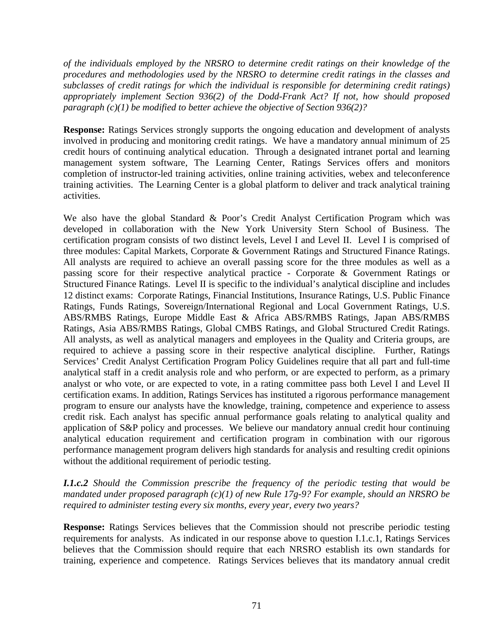*of the individuals employed by the NRSRO to determine credit ratings on their knowledge of the procedures and methodologies used by the NRSRO to determine credit ratings in the classes and subclasses of credit ratings for which the individual is responsible for determining credit ratings) appropriately implement Section 936(2) of the Dodd-Frank Act? If not, how should proposed paragraph (c)(1) be modified to better achieve the objective of Section 936(2)?* 

**Response:** Ratings Services strongly supports the ongoing education and development of analysts involved in producing and monitoring credit ratings. We have a mandatory annual minimum of 25 credit hours of continuing analytical education. Through a designated intranet portal and learning management system software, The Learning Center, Ratings Services offers and monitors completion of instructor-led training activities, online training activities, webex and teleconference training activities. The Learning Center is a global platform to deliver and track analytical training activities.

We also have the global Standard & Poor's Credit Analyst Certification Program which was developed in collaboration with the New York University Stern School of Business. The certification program consists of two distinct levels, Level I and Level II. Level I is comprised of three modules: Capital Markets, Corporate & Government Ratings and Structured Finance Ratings. All analysts are required to achieve an overall passing score for the three modules as well as a passing score for their respective analytical practice - Corporate & Government Ratings or Structured Finance Ratings. Level II is specific to the individual's analytical discipline and includes 12 distinct exams: Corporate Ratings, Financial Institutions, Insurance Ratings, U.S. Public Finance Ratings, Funds Ratings, Sovereign/International Regional and Local Government Ratings, U.S. ABS/RMBS Ratings, Europe Middle East & Africa ABS/RMBS Ratings, Japan ABS/RMBS Ratings, Asia ABS/RMBS Ratings, Global CMBS Ratings, and Global Structured Credit Ratings. All analysts, as well as analytical managers and employees in the Quality and Criteria groups, are required to achieve a passing score in their respective analytical discipline. Further, Ratings Services' Credit Analyst Certification Program Policy Guidelines require that all part and full-time analytical staff in a credit analysis role and who perform, or are expected to perform, as a primary analyst or who vote, or are expected to vote, in a rating committee pass both Level I and Level II certification exams. In addition, Ratings Services has instituted a rigorous performance management program to ensure our analysts have the knowledge, training, competence and experience to assess credit risk. Each analyst has specific annual performance goals relating to analytical quality and application of S&P policy and processes. We believe our mandatory annual credit hour continuing analytical education requirement and certification program in combination with our rigorous performance management program delivers high standards for analysis and resulting credit opinions without the additional requirement of periodic testing.

### *I.1.c.2 Should the Commission prescribe the frequency of the periodic testing that would be mandated under proposed paragraph (c)(1) of new Rule 17g-9? For example, should an NRSRO be required to administer testing every six months, every year, every two years?*

**Response:** Ratings Services believes that the Commission should not prescribe periodic testing requirements for analysts. As indicated in our response above to question I.1.c.1, Ratings Services believes that the Commission should require that each NRSRO establish its own standards for training, experience and competence. Ratings Services believes that its mandatory annual credit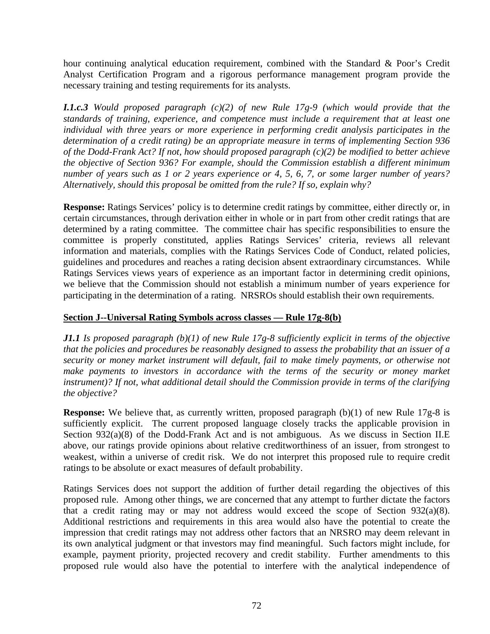hour continuing analytical education requirement, combined with the Standard & Poor's Credit Analyst Certification Program and a rigorous performance management program provide the necessary training and testing requirements for its analysts.

*I.1.c.3 Would proposed paragraph (c)(2) of new Rule 17g-9 (which would provide that the standards of training, experience, and competence must include a requirement that at least one individual with three years or more experience in performing credit analysis participates in the determination of a credit rating) be an appropriate measure in terms of implementing Section 936 of the Dodd-Frank Act? If not, how should proposed paragraph (c)(2) be modified to better achieve the objective of Section 936? For example, should the Commission establish a different minimum number of years such as 1 or 2 years experience or 4, 5, 6, 7, or some larger number of years? Alternatively, should this proposal be omitted from the rule? If so, explain why?* 

**Response:** Ratings Services' policy is to determine credit ratings by committee, either directly or, in certain circumstances, through derivation either in whole or in part from other credit ratings that are determined by a rating committee. The committee chair has specific responsibilities to ensure the committee is properly constituted, applies Ratings Services' criteria, reviews all relevant information and materials, complies with the Ratings Services Code of Conduct, related policies, guidelines and procedures and reaches a rating decision absent extraordinary circumstances. While Ratings Services views years of experience as an important factor in determining credit opinions, we believe that the Commission should not establish a minimum number of years experience for participating in the determination of a rating. NRSROs should establish their own requirements.

## **Section J--Universal Rating Symbols across classes — Rule 17g-8(b)**

*J1.1 Is proposed paragraph (b)(1) of new Rule 17g-8 sufficiently explicit in terms of the objective that the policies and procedures be reasonably designed to assess the probability that an issuer of a security or money market instrument will default, fail to make timely payments, or otherwise not*  make payments to investors in accordance with the terms of the security or money market *instrument)? If not, what additional detail should the Commission provide in terms of the clarifying the objective?* 

**Response:** We believe that, as currently written, proposed paragraph (b)(1) of new Rule 17g-8 is sufficiently explicit. The current proposed language closely tracks the applicable provision in Section  $932(a)(8)$  of the Dodd-Frank Act and is not ambiguous. As we discuss in Section II.E above, our ratings provide opinions about relative creditworthiness of an issuer, from strongest to weakest, within a universe of credit risk. We do not interpret this proposed rule to require credit ratings to be absolute or exact measures of default probability.

Ratings Services does not support the addition of further detail regarding the objectives of this proposed rule. Among other things, we are concerned that any attempt to further dictate the factors that a credit rating may or may not address would exceed the scope of Section 932(a)(8). Additional restrictions and requirements in this area would also have the potential to create the impression that credit ratings may not address other factors that an NRSRO may deem relevant in its own analytical judgment or that investors may find meaningful. Such factors might include, for example, payment priority, projected recovery and credit stability. Further amendments to this proposed rule would also have the potential to interfere with the analytical independence of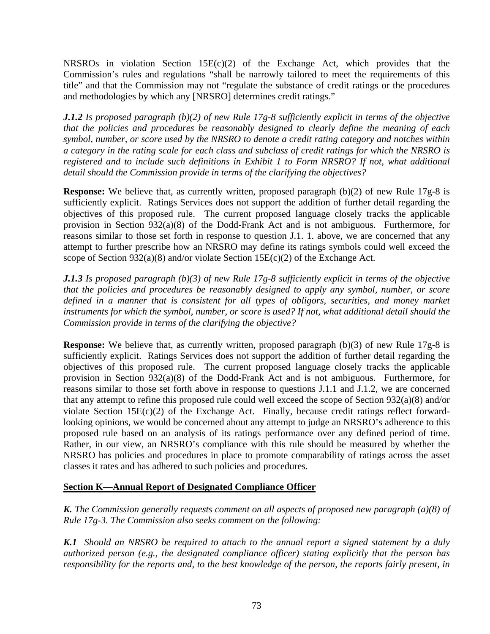NRSROs in violation Section 15E(c)(2) of the Exchange Act, which provides that the Commission's rules and regulations "shall be narrowly tailored to meet the requirements of this title" and that the Commission may not "regulate the substance of credit ratings or the procedures and methodologies by which any [NRSRO] determines credit ratings."

*J.1.2 Is proposed paragraph (b)(2) of new Rule 17g-8 sufficiently explicit in terms of the objective that the policies and procedures be reasonably designed to clearly define the meaning of each symbol, number, or score used by the NRSRO to denote a credit rating category and notches within a category in the rating scale for each class and subclass of credit ratings for which the NRSRO is registered and to include such definitions in Exhibit 1 to Form NRSRO? If not, what additional detail should the Commission provide in terms of the clarifying the objectives?* 

**Response:** We believe that, as currently written, proposed paragraph (b)(2) of new Rule 17g-8 is sufficiently explicit. Ratings Services does not support the addition of further detail regarding the objectives of this proposed rule. The current proposed language closely tracks the applicable provision in Section 932(a)(8) of the Dodd-Frank Act and is not ambiguous. Furthermore, for reasons similar to those set forth in response to question J.1. 1. above, we are concerned that any attempt to further prescribe how an NRSRO may define its ratings symbols could well exceed the scope of Section 932(a)(8) and/or violate Section 15 $E(c)(2)$  of the Exchange Act.

*J.1.3 Is proposed paragraph (b)(3) of new Rule 17g-8 sufficiently explicit in terms of the objective that the policies and procedures be reasonably designed to apply any symbol, number, or score defined in a manner that is consistent for all types of obligors, securities, and money market instruments for which the symbol, number, or score is used? If not, what additional detail should the Commission provide in terms of the clarifying the objective?* 

**Response:** We believe that, as currently written, proposed paragraph (b)(3) of new Rule 17g-8 is sufficiently explicit. Ratings Services does not support the addition of further detail regarding the objectives of this proposed rule. The current proposed language closely tracks the applicable provision in Section 932(a)(8) of the Dodd-Frank Act and is not ambiguous. Furthermore, for reasons similar to those set forth above in response to questions J.1.1 and J.1.2, we are concerned that any attempt to refine this proposed rule could well exceed the scope of Section 932(a)(8) and/or violate Section  $15E(c)(2)$  of the Exchange Act. Finally, because credit ratings reflect forwardlooking opinions, we would be concerned about any attempt to judge an NRSRO's adherence to this proposed rule based on an analysis of its ratings performance over any defined period of time. Rather, in our view, an NRSRO's compliance with this rule should be measured by whether the NRSRO has policies and procedures in place to promote comparability of ratings across the asset classes it rates and has adhered to such policies and procedures.

# **Section K—Annual Report of Designated Compliance Officer**

*K. The Commission generally requests comment on all aspects of proposed new paragraph (a)(8) of Rule 17g-3. The Commission also seeks comment on the following:* 

*K.1 Should an NRSRO be required to attach to the annual report a signed statement by a duly authorized person (e.g., the designated compliance officer) stating explicitly that the person has responsibility for the reports and, to the best knowledge of the person, the reports fairly present, in*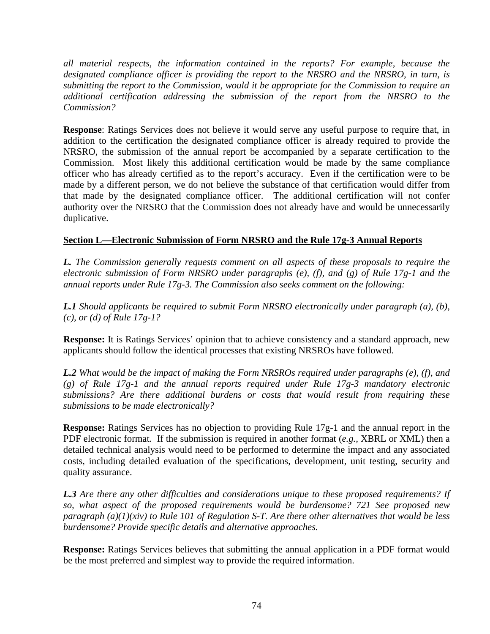*all material respects, the information contained in the reports? For example, because the designated compliance officer is providing the report to the NRSRO and the NRSRO, in turn, is submitting the report to the Commission, would it be appropriate for the Commission to require an additional certification addressing the submission of the report from the NRSRO to the Commission?* 

**Response**: Ratings Services does not believe it would serve any useful purpose to require that, in addition to the certification the designated compliance officer is already required to provide the NRSRO, the submission of the annual report be accompanied by a separate certification to the Commission. Most likely this additional certification would be made by the same compliance officer who has already certified as to the report's accuracy. Even if the certification were to be made by a different person, we do not believe the substance of that certification would differ from that made by the designated compliance officer. The additional certification will not confer authority over the NRSRO that the Commission does not already have and would be unnecessarily duplicative.

# **Section L—Electronic Submission of Form NRSRO and the Rule 17g-3 Annual Reports**

*L. The Commission generally requests comment on all aspects of these proposals to require the electronic submission of Form NRSRO under paragraphs (e), (f), and (g) of Rule 17g-1 and the annual reports under Rule 17g-3. The Commission also seeks comment on the following:* 

*L.1 Should applicants be required to submit Form NRSRO electronically under paragraph (a), (b), (c), or (d) of Rule 17g-1?* 

**Response:** It is Ratings Services' opinion that to achieve consistency and a standard approach, new applicants should follow the identical processes that existing NRSROs have followed.

*L.2 What would be the impact of making the Form NRSROs required under paragraphs (e), (f), and (g) of Rule 17g-1 and the annual reports required under Rule 17g-3 mandatory electronic submissions? Are there additional burdens or costs that would result from requiring these submissions to be made electronically?* 

**Response:** Ratings Services has no objection to providing Rule 17g-1 and the annual report in the PDF electronic format. If the submission is required in another format (*e.g.,* XBRL or XML) then a detailed technical analysis would need to be performed to determine the impact and any associated costs, including detailed evaluation of the specifications, development, unit testing, security and quality assurance.

*L.3 Are there any other difficulties and considerations unique to these proposed requirements? If so, what aspect of the proposed requirements would be burdensome? 721 See proposed new paragraph (a)(1)(xiv) to Rule 101 of Regulation S-T. Are there other alternatives that would be less burdensome? Provide specific details and alternative approaches.* 

**Response:** Ratings Services believes that submitting the annual application in a PDF format would be the most preferred and simplest way to provide the required information.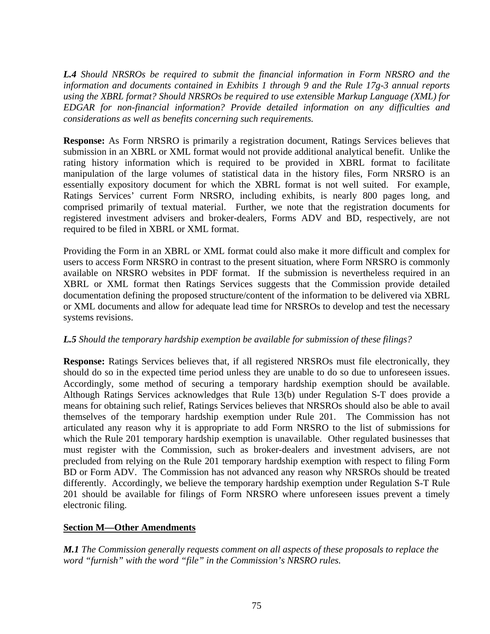*L.4 Should NRSROs be required to submit the financial information in Form NRSRO and the information and documents contained in Exhibits 1 through 9 and the Rule 17g-3 annual reports using the XBRL format? Should NRSROs be required to use extensible Markup Language (XML) for EDGAR for non-financial information? Provide detailed information on any difficulties and considerations as well as benefits concerning such requirements.* 

**Response:** As Form NRSRO is primarily a registration document, Ratings Services believes that submission in an XBRL or XML format would not provide additional analytical benefit. Unlike the rating history information which is required to be provided in XBRL format to facilitate manipulation of the large volumes of statistical data in the history files, Form NRSRO is an essentially expository document for which the XBRL format is not well suited. For example, Ratings Services' current Form NRSRO, including exhibits, is nearly 800 pages long, and comprised primarily of textual material. Further, we note that the registration documents for registered investment advisers and broker-dealers, Forms ADV and BD, respectively, are not required to be filed in XBRL or XML format.

Providing the Form in an XBRL or XML format could also make it more difficult and complex for users to access Form NRSRO in contrast to the present situation, where Form NRSRO is commonly available on NRSRO websites in PDF format. If the submission is nevertheless required in an XBRL or XML format then Ratings Services suggests that the Commission provide detailed documentation defining the proposed structure/content of the information to be delivered via XBRL or XML documents and allow for adequate lead time for NRSROs to develop and test the necessary systems revisions.

#### *L.5 Should the temporary hardship exemption be available for submission of these filings?*

**Response:** Ratings Services believes that, if all registered NRSROs must file electronically, they should do so in the expected time period unless they are unable to do so due to unforeseen issues. Accordingly, some method of securing a temporary hardship exemption should be available. Although Ratings Services acknowledges that Rule 13(b) under Regulation S-T does provide a means for obtaining such relief, Ratings Services believes that NRSROs should also be able to avail themselves of the temporary hardship exemption under Rule 201. The Commission has not articulated any reason why it is appropriate to add Form NRSRO to the list of submissions for which the Rule 201 temporary hardship exemption is unavailable. Other regulated businesses that must register with the Commission, such as broker-dealers and investment advisers, are not precluded from relying on the Rule 201 temporary hardship exemption with respect to filing Form BD or Form ADV. The Commission has not advanced any reason why NRSROs should be treated differently. Accordingly, we believe the temporary hardship exemption under Regulation S-T Rule 201 should be available for filings of Form NRSRO where unforeseen issues prevent a timely electronic filing.

# **Section M—Other Amendments**

*M.1 The Commission generally requests comment on all aspects of these proposals to replace the word "furnish" with the word "file" in the Commission's NRSRO rules.*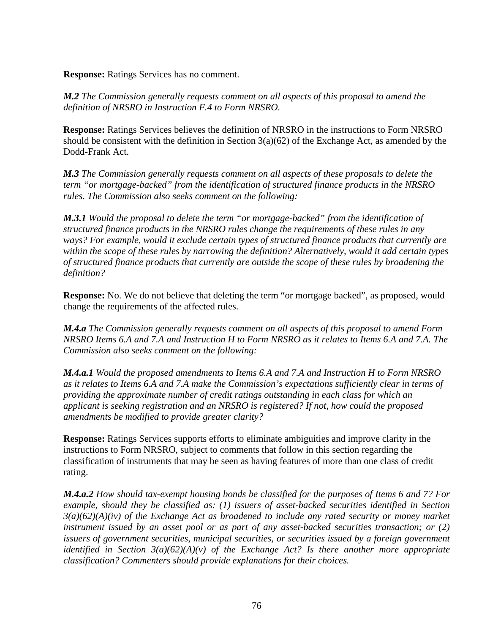**Response:** Ratings Services has no comment.

*M.2 The Commission generally requests comment on all aspects of this proposal to amend the definition of NRSRO in Instruction F.4 to Form NRSRO.* 

**Response:** Ratings Services believes the definition of NRSRO in the instructions to Form NRSRO should be consistent with the definition in Section  $3(a)(62)$  of the Exchange Act, as amended by the Dodd-Frank Act.

*M.3 The Commission generally requests comment on all aspects of these proposals to delete the term "or mortgage-backed" from the identification of structured finance products in the NRSRO rules. The Commission also seeks comment on the following:* 

*M.3.1 Would the proposal to delete the term "or mortgage-backed" from the identification of structured finance products in the NRSRO rules change the requirements of these rules in any ways? For example, would it exclude certain types of structured finance products that currently are within the scope of these rules by narrowing the definition? Alternatively, would it add certain types of structured finance products that currently are outside the scope of these rules by broadening the definition?* 

**Response:** No. We do not believe that deleting the term "or mortgage backed", as proposed, would change the requirements of the affected rules.

*M.4.a The Commission generally requests comment on all aspects of this proposal to amend Form NRSRO Items 6.A and 7.A and Instruction H to Form NRSRO as it relates to Items 6.A and 7.A. The Commission also seeks comment on the following:* 

*M.4.a.1 Would the proposed amendments to Items 6.A and 7.A and Instruction H to Form NRSRO as it relates to Items 6.A and 7.A make the Commission's expectations sufficiently clear in terms of providing the approximate number of credit ratings outstanding in each class for which an applicant is seeking registration and an NRSRO is registered? If not, how could the proposed amendments be modified to provide greater clarity?* 

**Response:** Ratings Services supports efforts to eliminate ambiguities and improve clarity in the instructions to Form NRSRO, subject to comments that follow in this section regarding the classification of instruments that may be seen as having features of more than one class of credit rating.

*M.4.a.2 How should tax-exempt housing bonds be classified for the purposes of Items 6 and 7? For example, should they be classified as: (1) issuers of asset-backed securities identified in Section 3(a)(62)(A)(iv) of the Exchange Act as broadened to include any rated security or money market instrument issued by an asset pool or as part of any asset-backed securities transaction; or (2) issuers of government securities, municipal securities, or securities issued by a foreign government identified in Section 3(a)(62)(A)(v) of the Exchange Act? Is there another more appropriate classification? Commenters should provide explanations for their choices.*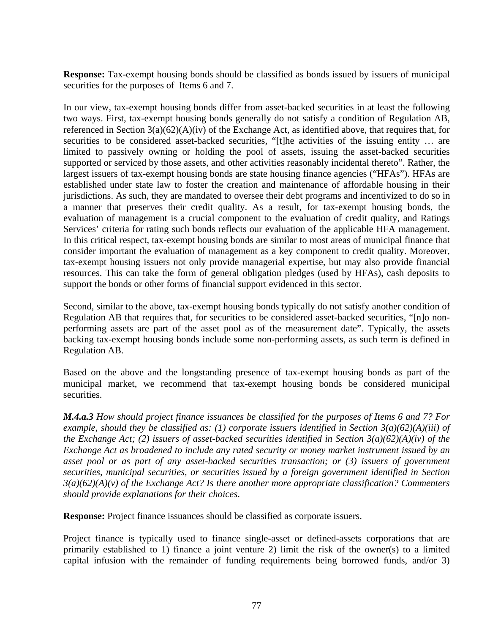**Response:** Tax-exempt housing bonds should be classified as bonds issued by issuers of municipal securities for the purposes of Items 6 and 7.

In our view, tax-exempt housing bonds differ from asset-backed securities in at least the following two ways. First, tax-exempt housing bonds generally do not satisfy a condition of Regulation AB, referenced in Section 3(a)(62)(A)(iv) of the Exchange Act, as identified above, that requires that, for securities to be considered asset-backed securities, "[t]he activities of the issuing entity ... are limited to passively owning or holding the pool of assets, issuing the asset-backed securities supported or serviced by those assets, and other activities reasonably incidental thereto". Rather, the largest issuers of tax-exempt housing bonds are state housing finance agencies ("HFAs"). HFAs are established under state law to foster the creation and maintenance of affordable housing in their jurisdictions. As such, they are mandated to oversee their debt programs and incentivized to do so in a manner that preserves their credit quality. As a result, for tax-exempt housing bonds, the evaluation of management is a crucial component to the evaluation of credit quality, and Ratings Services' criteria for rating such bonds reflects our evaluation of the applicable HFA management. In this critical respect, tax-exempt housing bonds are similar to most areas of municipal finance that consider important the evaluation of management as a key component to credit quality. Moreover, tax-exempt housing issuers not only provide managerial expertise, but may also provide financial resources. This can take the form of general obligation pledges (used by HFAs), cash deposits to support the bonds or other forms of financial support evidenced in this sector.

Second, similar to the above, tax-exempt housing bonds typically do not satisfy another condition of Regulation AB that requires that, for securities to be considered asset-backed securities, "[n]o nonperforming assets are part of the asset pool as of the measurement date". Typically, the assets backing tax-exempt housing bonds include some non-performing assets, as such term is defined in Regulation AB.

Based on the above and the longstanding presence of tax-exempt housing bonds as part of the municipal market, we recommend that tax-exempt housing bonds be considered municipal securities.

*M.4.a.3 How should project finance issuances be classified for the purposes of Items 6 and 7? For example, should they be classified as: (1) corporate issuers identified in Section 3(a)(62)(A)(iii) of the Exchange Act; (2) issuers of asset-backed securities identified in Section 3(a)(62)(A)(iv) of the Exchange Act as broadened to include any rated security or money market instrument issued by an asset pool or as part of any asset-backed securities transaction; or (3) issuers of government securities, municipal securities, or securities issued by a foreign government identified in Section 3(a)(62)(A)(v) of the Exchange Act? Is there another more appropriate classification? Commenters should provide explanations for their choices*.

**Response:** Project finance issuances should be classified as corporate issuers.

Project finance is typically used to finance single-asset or defined-assets corporations that are primarily established to 1) finance a joint venture 2) limit the risk of the owner(s) to a limited capital infusion with the remainder of funding requirements being borrowed funds, and/or 3)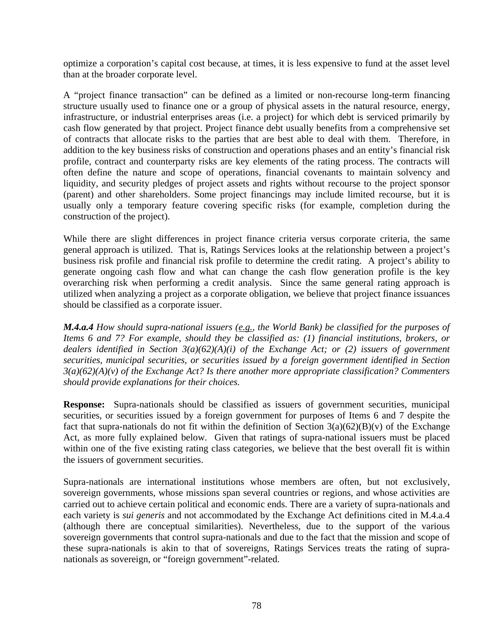optimize a corporation's capital cost because, at times, it is less expensive to fund at the asset level than at the broader corporate level.

A "project finance transaction" can be defined as a limited or non-recourse long-term financing structure usually used to finance one or a group of physical assets in the natural resource, energy, infrastructure, or industrial enterprises areas (i.e. a project) for which debt is serviced primarily by cash flow generated by that project. Project finance debt usually benefits from a comprehensive set of contracts that allocate risks to the parties that are best able to deal with them. Therefore, in addition to the key business risks of construction and operations phases and an entity's financial risk profile, contract and counterparty risks are key elements of the rating process. The contracts will often define the nature and scope of operations, financial covenants to maintain solvency and liquidity, and security pledges of project assets and rights without recourse to the project sponsor (parent) and other shareholders. Some project financings may include limited recourse, but it is usually only a temporary feature covering specific risks (for example, completion during the construction of the project).

While there are slight differences in project finance criteria versus corporate criteria, the same general approach is utilized. That is, Ratings Services looks at the relationship between a project's business risk profile and financial risk profile to determine the credit rating. A project's ability to generate ongoing cash flow and what can change the cash flow generation profile is the key overarching risk when performing a credit analysis. Since the same general rating approach is utilized when analyzing a project as a corporate obligation, we believe that project finance issuances should be classified as a corporate issuer.

*M.4.a.4 How should supra-national issuers (e.g., the World Bank) be classified for the purposes of Items 6 and 7? For example, should they be classified as: (1) financial institutions, brokers, or dealers identified in Section 3(a)(62)(A)(i) of the Exchange Act; or (2) issuers of government securities, municipal securities, or securities issued by a foreign government identified in Section 3(a)(62)(A)(v) of the Exchange Act? Is there another more appropriate classification? Commenters should provide explanations for their choices.* 

**Response:** Supra-nationals should be classified as issuers of government securities*,* municipal securities, or securities issued by a foreign government for purposes of Items 6 and 7 despite the fact that supra-nationals do not fit within the definition of Section  $3(a)(62)(B)(v)$  of the Exchange Act, as more fully explained below. Given that ratings of supra-national issuers must be placed within one of the five existing rating class categories, we believe that the best overall fit is within the issuers of government securities.

Supra-nationals are international institutions whose members are often, but not exclusively, sovereign governments, whose missions span several countries or regions, and whose activities are carried out to achieve certain political and economic ends. There are a variety of supra-nationals and each variety is *sui generis* and not accommodated by the Exchange Act definitions cited in M.4.a.4 (although there are conceptual similarities). Nevertheless, due to the support of the various sovereign governments that control supra-nationals and due to the fact that the mission and scope of these supra-nationals is akin to that of sovereigns, Ratings Services treats the rating of supranationals as sovereign, or "foreign government"-related.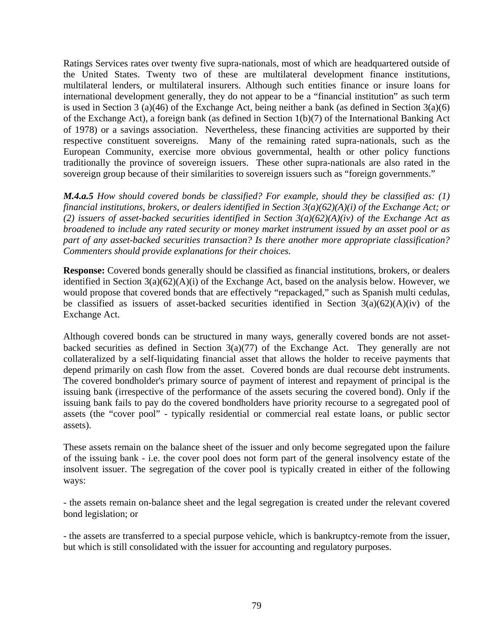Ratings Services rates over twenty five supra-nationals, most of which are headquartered outside of the United States. Twenty two of these are multilateral development finance institutions, multilateral lenders, or multilateral insurers. Although such entities finance or insure loans for international development generally, they do not appear to be a "financial institution" as such term is used in Section 3 (a)(46) of the Exchange Act, being neither a bank (as defined in Section 3(a)(6) of the Exchange Act), a foreign bank (as defined in Section 1(b)(7) of the International Banking Act of 1978) or a savings association. Nevertheless, these financing activities are supported by their respective constituent sovereigns. Many of the remaining rated supra-nationals, such as the European Community, exercise more obvious governmental, health or other policy functions traditionally the province of sovereign issuers. These other supra-nationals are also rated in the sovereign group because of their similarities to sovereign issuers such as "foreign governments."

*M.4.a.5 How should covered bonds be classified? For example, should they be classified as: (1) financial institutions, brokers, or dealers identified in Section 3(a)(62)(A)(i) of the Exchange Act; or (2) issuers of asset-backed securities identified in Section 3(a)(62)(A)(iv) of the Exchange Act as broadened to include any rated security or money market instrument issued by an asset pool or as part of any asset-backed securities transaction? Is there another more appropriate classification? Commenters should provide explanations for their choices.* 

**Response:** Covered bonds generally should be classified as financial institutions, brokers, or dealers identified in Section 3(a)(62)(A)(i) of the Exchange Act, based on the analysis below. However, we would propose that covered bonds that are effectively "repackaged," such as Spanish multi cedulas, be classified as issuers of asset-backed securities identified in Section  $3(a)(62)(A)(iv)$  of the Exchange Act.

Although covered bonds can be structured in many ways, generally covered bonds are not assetbacked securities as defined in Section  $3(a)(77)$  of the Exchange Act. They generally are not collateralized by a self-liquidating financial asset that allows the holder to receive payments that depend primarily on cash flow from the asset. Covered bonds are dual recourse debt instruments. The covered bondholder's primary source of payment of interest and repayment of principal is the issuing bank (irrespective of the performance of the assets securing the covered bond). Only if the issuing bank fails to pay do the covered bondholders have priority recourse to a segregated pool of assets (the "cover pool" - typically residential or commercial real estate loans, or public sector assets).

These assets remain on the balance sheet of the issuer and only become segregated upon the failure of the issuing bank - i.e. the cover pool does not form part of the general insolvency estate of the insolvent issuer. The segregation of the cover pool is typically created in either of the following ways:

- the assets remain on-balance sheet and the legal segregation is created under the relevant covered bond legislation; or

- the assets are transferred to a special purpose vehicle, which is bankruptcy-remote from the issuer, but which is still consolidated with the issuer for accounting and regulatory purposes.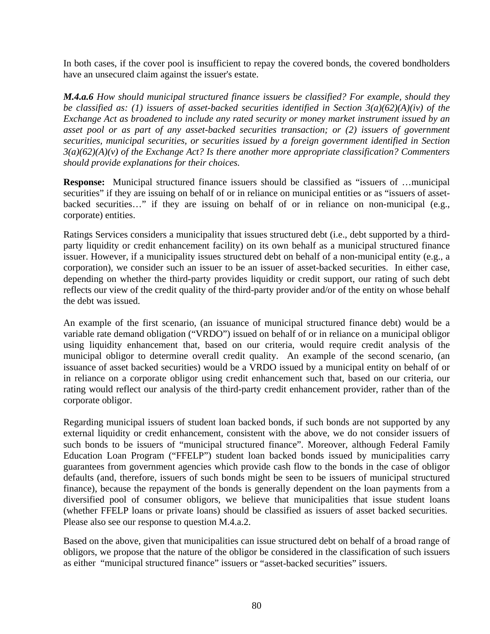In both cases, if the cover pool is insufficient to repay the covered bonds, the covered bondholders have an unsecured claim against the issuer's estate.

*M.4.a.6 How should municipal structured finance issuers be classified? For example, should they be classified as: (1) issuers of asset-backed securities identified in Section 3(a)(62)(A)(iv) of the Exchange Act as broadened to include any rated security or money market instrument issued by an asset pool or as part of any asset-backed securities transaction; or (2) issuers of government securities, municipal securities, or securities issued by a foreign government identified in Section 3(a)(62)(A)(v) of the Exchange Act? Is there another more appropriate classification? Commenters should provide explanations for their choices.* 

**Response:** Municipal structured finance issuers should be classified as "issuers of …municipal securities" if they are issuing on behalf of or in reliance on municipal entities or as "issuers of assetbacked securities…" if they are issuing on behalf of or in reliance on non-municipal (e.g., corporate) entities.

Ratings Services considers a municipality that issues structured debt (i.e., debt supported by a thirdparty liquidity or credit enhancement facility) on its own behalf as a municipal structured finance issuer. However, if a municipality issues structured debt on behalf of a non-municipal entity (e.g., a corporation), we consider such an issuer to be an issuer of asset-backed securities. In either case, depending on whether the third-party provides liquidity or credit support, our rating of such debt reflects our view of the credit quality of the third-party provider and/or of the entity on whose behalf the debt was issued.

An example of the first scenario, (an issuance of municipal structured finance debt) would be a variable rate demand obligation ("VRDO") issued on behalf of or in reliance on a municipal obligor using liquidity enhancement that, based on our criteria, would require credit analysis of the municipal obligor to determine overall credit quality. An example of the second scenario, (an issuance of asset backed securities) would be a VRDO issued by a municipal entity on behalf of or in reliance on a corporate obligor using credit enhancement such that, based on our criteria, our rating would reflect our analysis of the third-party credit enhancement provider, rather than of the corporate obligor.

Regarding municipal issuers of student loan backed bonds, if such bonds are not supported by any external liquidity or credit enhancement, consistent with the above, we do not consider issuers of such bonds to be issuers of "municipal structured finance". Moreover, although Federal Family Education Loan Program ("FFELP") student loan backed bonds issued by municipalities carry guarantees from government agencies which provide cash flow to the bonds in the case of obligor defaults (and, therefore, issuers of such bonds might be seen to be issuers of municipal structured finance), because the repayment of the bonds is generally dependent on the loan payments from a diversified pool of consumer obligors, we believe that municipalities that issue student loans (whether FFELP loans or private loans) should be classified as issuers of asset backed securities. Please also see our response to question M.4.a.2.

Based on the above, given that municipalities can issue structured debt on behalf of a broad range of obligors, we propose that the nature of the obligor be considered in the classification of such issuers as either "municipal structured finance" issuers or "asset-backed securities" issuers.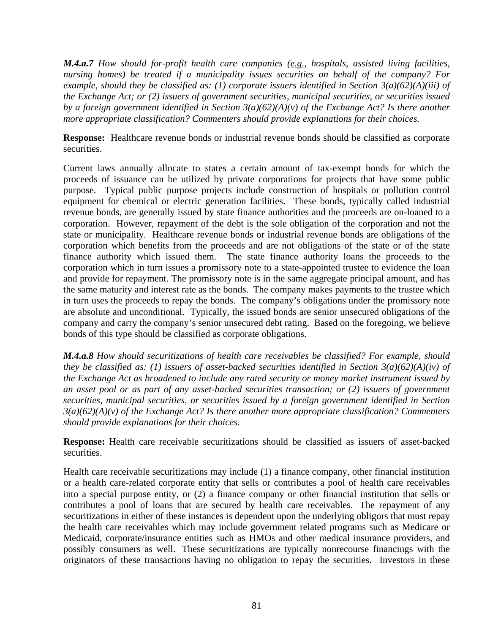*M.4.a.7 How should for-profit health care companies (e.g., hospitals, assisted living facilities, nursing homes) be treated if a municipality issues securities on behalf of the company? For example, should they be classified as: (1) corporate issuers identified in Section 3(a)(62)(A)(iii) of the Exchange Act; or (2) issuers of government securities, municipal securities, or securities issued by a foreign government identified in Section 3(a)(62)(A)(v) of the Exchange Act? Is there another more appropriate classification? Commenters should provide explanations for their choices.* 

**Response:** Healthcare revenue bonds or industrial revenue bonds should be classified as corporate securities.

Current laws annually allocate to states a certain amount of tax-exempt bonds for which the proceeds of issuance can be utilized by private corporations for projects that have some public purpose. Typical public purpose projects include construction of hospitals or pollution control equipment for chemical or electric generation facilities. These bonds, typically called industrial revenue bonds, are generally issued by state finance authorities and the proceeds are on-loaned to a corporation. However, repayment of the debt is the sole obligation of the corporation and not the state or municipality. Healthcare revenue bonds or industrial revenue bonds are obligations of the corporation which benefits from the proceeds and are not obligations of the state or of the state finance authority which issued them. The state finance authority loans the proceeds to the corporation which in turn issues a promissory note to a state-appointed trustee to evidence the loan and provide for repayment. The promissory note is in the same aggregate principal amount, and has the same maturity and interest rate as the bonds. The company makes payments to the trustee which in turn uses the proceeds to repay the bonds. The company's obligations under the promissory note are absolute and unconditional. Typically, the issued bonds are senior unsecured obligations of the company and carry the company's senior unsecured debt rating. Based on the foregoing, we believe bonds of this type should be classified as corporate obligations.

*M.4.a.8 How should securitizations of health care receivables be classified? For example, should they be classified as: (1) issuers of asset-backed securities identified in Section 3(a)(62)(A)(iv) of the Exchange Act as broadened to include any rated security or money market instrument issued by an asset pool or as part of any asset-backed securities transaction; or (2) issuers of government securities, municipal securities, or securities issued by a foreign government identified in Section 3(a)(62)(A)(v) of the Exchange Act? Is there another more appropriate classification? Commenters should provide explanations for their choices.* 

**Response:** Health care receivable securitizations should be classified as issuers of asset-backed securities.

Health care receivable securitizations may include (1) a finance company, other financial institution or a health care-related corporate entity that sells or contributes a pool of health care receivables into a special purpose entity, or (2) a finance company or other financial institution that sells or contributes a pool of loans that are secured by health care receivables. The repayment of any securitizations in either of these instances is dependent upon the underlying obligors that must repay the health care receivables which may include government related programs such as Medicare or Medicaid, corporate/insurance entities such as HMOs and other medical insurance providers, and possibly consumers as well. These securitizations are typically nonrecourse financings with the originators of these transactions having no obligation to repay the securities. Investors in these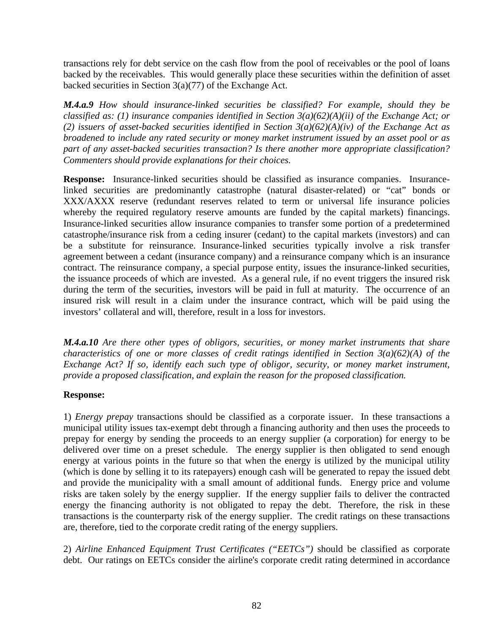transactions rely for debt service on the cash flow from the pool of receivables or the pool of loans backed by the receivables. This would generally place these securities within the definition of asset backed securities in Section  $3(a)(77)$  of the Exchange Act.

*M.4.a.9 How should insurance-linked securities be classified? For example, should they be classified as: (1) insurance companies identified in Section 3(a)(62)(A)(ii) of the Exchange Act; or (2) issuers of asset-backed securities identified in Section 3(a)(62)(A)(iv) of the Exchange Act as broadened to include any rated security or money market instrument issued by an asset pool or as part of any asset-backed securities transaction? Is there another more appropriate classification? Commenters should provide explanations for their choices.* 

**Response:** Insurance-linked securities should be classified as insurance companies. Insurancelinked securities are predominantly catastrophe (natural disaster-related) or "cat" bonds or XXX/AXXX reserve (redundant reserves related to term or universal life insurance policies whereby the required regulatory reserve amounts are funded by the capital markets) financings. Insurance-linked securities allow insurance companies to transfer some portion of a predetermined catastrophe/insurance risk from a ceding insurer (cedant) to the capital markets (investors) and can be a substitute for reinsurance. Insurance-linked securities typically involve a risk transfer agreement between a cedant (insurance company) and a reinsurance company which is an insurance contract. The reinsurance company, a special purpose entity, issues the insurance-linked securities, the issuance proceeds of which are invested. As a general rule, if no event triggers the insured risk during the term of the securities, investors will be paid in full at maturity. The occurrence of an insured risk will result in a claim under the insurance contract, which will be paid using the investors' collateral and will, therefore, result in a loss for investors.

*M.4.a.10 Are there other types of obligors, securities, or money market instruments that share characteristics of one or more classes of credit ratings identified in Section 3(a)(62)(A) of the Exchange Act? If so, identify each such type of obligor, security, or money market instrument, provide a proposed classification, and explain the reason for the proposed classification.* 

#### **Response:**

1) *Energy prepay* transactions should be classified as a corporate issuer. In these transactions a municipal utility issues tax-exempt debt through a financing authority and then uses the proceeds to prepay for energy by sending the proceeds to an energy supplier (a corporation) for energy to be delivered over time on a preset schedule. The energy supplier is then obligated to send enough energy at various points in the future so that when the energy is utilized by the municipal utility (which is done by selling it to its ratepayers) enough cash will be generated to repay the issued debt and provide the municipality with a small amount of additional funds. Energy price and volume risks are taken solely by the energy supplier. If the energy supplier fails to deliver the contracted energy the financing authority is not obligated to repay the debt. Therefore, the risk in these transactions is the counterparty risk of the energy supplier. The credit ratings on these transactions are, therefore, tied to the corporate credit rating of the energy suppliers.

2) *Airline Enhanced Equipment Trust Certificates ("EETCs")* should be classified as corporate debt. Our ratings on EETCs consider the airline's corporate credit rating determined in accordance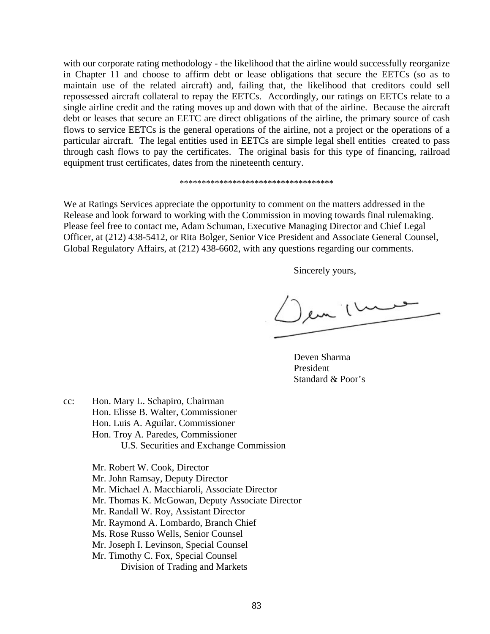with our corporate rating methodology - the likelihood that the airline would successfully reorganize in Chapter 11 and choose to affirm debt or lease obligations that secure the EETCs (so as to maintain use of the related aircraft) and, failing that, the likelihood that creditors could sell repossessed aircraft collateral to repay the EETCs. Accordingly, our ratings on EETCs relate to a single airline credit and the rating moves up and down with that of the airline. Because the aircraft debt or leases that secure an EETC are direct obligations of the airline, the primary source of cash flows to service EETCs is the general operations of the airline, not a project or the operations of a particular aircraft. The legal entities used in EETCs are simple legal shell entities created to pass through cash flows to pay the certificates. The original basis for this type of financing, railroad equipment trust certificates, dates from the nineteenth century.

#### \*\*\*\*\*\*\*\*\*\*\*\*\*\*\*\*\*\*\*\*\*\*\*\*\*\*\*\*\*\*\*\*\*\*\*

We at Ratings Services appreciate the opportunity to comment on the matters addressed in the Release and look forward to working with the Commission in moving towards final rulemaking. Please feel free to contact me, Adam Schuman, Executive Managing Director and Chief Legal Officer, at (212) 438-5412, or Rita Bolger, Senior Vice President and Associate General Counsel, Global Regulatory Affairs, at (212) 438-6602, with any questions regarding our comments.

Sincerely yours,

en 1 m

 Deven Sharma President Standard & Poor's

cc: Hon. Mary L. Schapiro, Chairman Hon. Elisse B. Walter, Commissioner Hon. Luis A. Aguilar. Commissioner

- Hon. Troy A. Paredes, Commissioner
	- U.S. Securities and Exchange Commission
- Mr. Robert W. Cook, Director
- Mr. John Ramsay, Deputy Director
- Mr. Michael A. Macchiaroli, Associate Director
- Mr. Thomas K. McGowan, Deputy Associate Director
- Mr. Randall W. Roy, Assistant Director
- Mr. Raymond A. Lombardo, Branch Chief
- Ms. Rose Russo Wells, Senior Counsel
- Mr. Joseph I. Levinson, Special Counsel
- Mr. Timothy C. Fox, Special Counsel Division of Trading and Markets